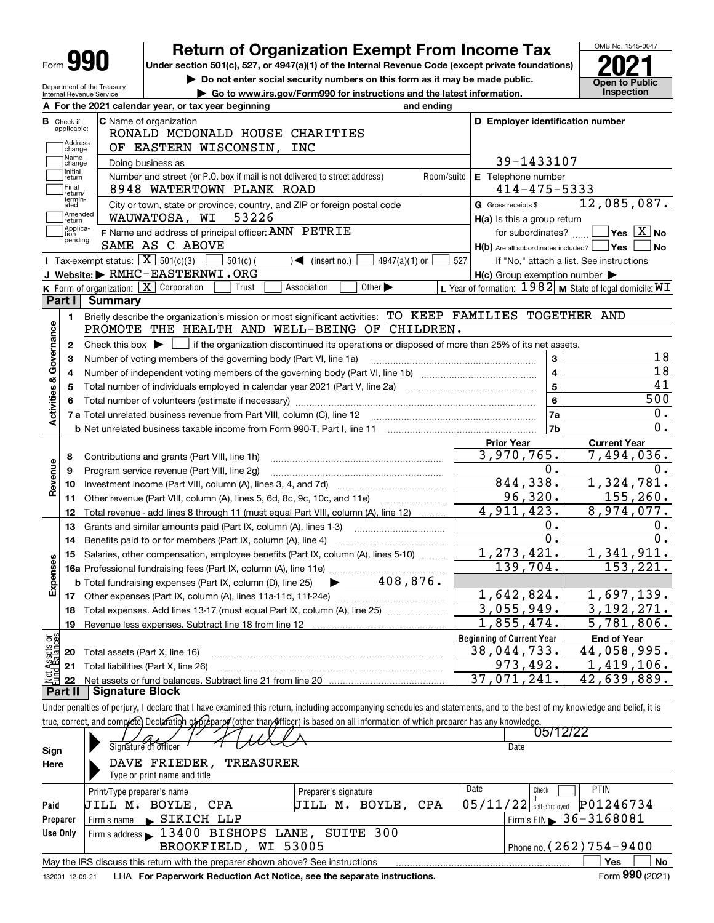| Form | 8 I |
|------|-----|
|------|-----|

Department of the Treasury Internal Revenue Service

# **Return of Organization Exempt From Income Tax**

Under section 501(c), 527, or 4947(a)(1) of the Internal Revenue Code (except private foundations) **2021** 

**| Do not enter social security numbers on this form as it may be made public.**

**Open to Public | Go to www.irs.gov/Form990 for instructions and the latest information. Inspection**

OMB No. 1545-0047

|                                  | A For the 2021 calendar year, or tax year beginning<br>and ending                                                                                                          |                                                                                                                    |                                                   |
|----------------------------------|----------------------------------------------------------------------------------------------------------------------------------------------------------------------------|--------------------------------------------------------------------------------------------------------------------|---------------------------------------------------|
| <b>B</b> Check if<br>applicable: | C Name of organization<br>RONALD MCDONALD HOUSE CHARITIES                                                                                                                  | D Employer identification number                                                                                   |                                                   |
| Address<br>change                | OF EASTERN WISCONSIN,<br>INC                                                                                                                                               |                                                                                                                    |                                                   |
| Name<br>change                   | Doing business as                                                                                                                                                          | 39-1433107                                                                                                         |                                                   |
| Initial<br>return<br> Final      | Number and street (or P.O. box if mail is not delivered to street address)<br>8948 WATERTOWN PLANK ROAD                                                                    | E Telephone number<br>Room/suite<br>$414 - 475 - 5333$                                                             |                                                   |
| return/<br>termin-               | City or town, state or province, country, and ZIP or foreign postal code                                                                                                   | G Gross receipts \$                                                                                                | 12,085,087.                                       |
| ated<br>Amended                  | 53226<br>WAUWATOSA, WI                                                                                                                                                     |                                                                                                                    |                                                   |
| ∣return<br>Applica-              | F Name and address of principal officer: ANN PETRIE                                                                                                                        | H(a) Is this a group return                                                                                        | $\boxed{\phantom{1}}$ Yes $\boxed{\mathrm{X}}$ No |
| tion<br>pending                  | SAME AS C ABOVE                                                                                                                                                            | for subordinates?                                                                                                  | ∣No                                               |
|                                  | Tax-exempt status: $\boxed{\mathbf{X}}$ 501(c)(3)<br>$4947(a)(1)$ or<br>$501(c)$ (<br>$\sqrt{\bullet}$ (insert no.)                                                        | $H(b)$ Are all subordinates included? $\Box$ Yes<br>527                                                            | If "No," attach a list. See instructions          |
|                                  | J Website: RMHC-EASTERNWI.ORG                                                                                                                                              |                                                                                                                    |                                                   |
|                                  | Other $\blacktriangleright$<br><b>K</b> Form of organization: $\boxed{\mathbf{X}}$ Corporation<br>Association<br>Trust                                                     | $H(c)$ Group exemption number $\blacktriangleright$<br>L Year of formation: $1982$ M State of legal domicile: $WT$ |                                                   |
| Part I                           | <b>Summary</b>                                                                                                                                                             |                                                                                                                    |                                                   |
|                                  | Briefly describe the organization's mission or most significant activities: TO KEEP FAMILIES TOGETHER AND                                                                  |                                                                                                                    |                                                   |
| 1.<br>Governance                 | PROMOTE THE HEALTH AND WELL-BEING OF CHILDREN.                                                                                                                             |                                                                                                                    |                                                   |
| 2                                | Check this box $\blacktriangleright$ $\Box$ if the organization discontinued its operations or disposed of more than 25% of its net assets.                                |                                                                                                                    |                                                   |
| З                                | Number of voting members of the governing body (Part VI, line 1a)                                                                                                          | 3                                                                                                                  | 18                                                |
| 4                                |                                                                                                                                                                            | 4                                                                                                                  | 18                                                |
| 5                                |                                                                                                                                                                            | 5                                                                                                                  | 41                                                |
| 6                                |                                                                                                                                                                            | 6                                                                                                                  | 500                                               |
| <b>Activities &amp;</b>          |                                                                                                                                                                            | 7a                                                                                                                 | 0.                                                |
|                                  |                                                                                                                                                                            | 7b                                                                                                                 | 0.                                                |
|                                  |                                                                                                                                                                            | <b>Prior Year</b>                                                                                                  | <b>Current Year</b>                               |
| 8                                | Contributions and grants (Part VIII, line 1h)                                                                                                                              | 3,970,765.                                                                                                         | 7,494,036.                                        |
| Revenue<br>9                     | Program service revenue (Part VIII, line 2g)                                                                                                                               | 0.                                                                                                                 | 0.                                                |
| 10                               |                                                                                                                                                                            | 844, 338.                                                                                                          | 1,324,781.                                        |
| 11                               | Other revenue (Part VIII, column (A), lines 5, 6d, 8c, 9c, 10c, and 11e)                                                                                                   | 96, 320.                                                                                                           | 155, 260.                                         |
| 12                               | Total revenue - add lines 8 through 11 (must equal Part VIII, column (A), line 12)                                                                                         | 4,911,423.                                                                                                         | $\overline{8}$ , 974, 077.                        |
| 13                               | Grants and similar amounts paid (Part IX, column (A), lines 1-3)                                                                                                           | О.                                                                                                                 | 0.                                                |
| 14                               | Benefits paid to or for members (Part IX, column (A), line 4)                                                                                                              | 0.                                                                                                                 | 0.                                                |
| 15                               | Salaries, other compensation, employee benefits (Part IX, column (A), lines 5-10)                                                                                          | 1, 273, 421.                                                                                                       | 1,341,911.                                        |
| Expenses                         |                                                                                                                                                                            | 139,704.                                                                                                           | 153, 221.                                         |
|                                  | $\blacktriangleright$ 408,876.<br><b>b</b> Total fundraising expenses (Part IX, column (D), line 25)                                                                       |                                                                                                                    |                                                   |
| 17                               |                                                                                                                                                                            | 1,642,824.                                                                                                         | 1,697,139.                                        |
| 18                               | Total expenses. Add lines 13-17 (must equal Part IX, column (A), line 25)                                                                                                  | 3,055,949.                                                                                                         | 3,192,271.                                        |
| 19                               | Revenue less expenses. Subtract line 18 from line 12                                                                                                                       | <u>1,855,474.</u>                                                                                                  | <u>5,781,806.</u>                                 |
|                                  |                                                                                                                                                                            | <b>Beginning of Current Year</b>                                                                                   | <b>End of Year</b>                                |
| ssets or<br>lalances<br>20       | Total assets (Part X, line 16)                                                                                                                                             | 38,044,733.                                                                                                        | 44,058,995.                                       |
| 21                               | Total liabilities (Part X, line 26)                                                                                                                                        | 973,492.                                                                                                           | 1,419,106.                                        |
| 형<br>22                          |                                                                                                                                                                            | 37,071,241.                                                                                                        | 42,639,889.                                       |
| Part II                          | <b>Signature Block</b>                                                                                                                                                     |                                                                                                                    |                                                   |
|                                  | Under penalties of perjury, I declare that I have examined this return, including accompanying schedules and statements, and to the best of my knowledge and belief, it is |                                                                                                                    |                                                   |
|                                  | true, correct, and complete) Declaration of prepared (other than officer) is based on all information of which preparer has any knowledge.                                 |                                                                                                                    |                                                   |
|                                  |                                                                                                                                                                            | 05/12/22                                                                                                           |                                                   |
| Sign                             | Signature of officer                                                                                                                                                       | Date                                                                                                               |                                                   |
| Here                             | TREASURER<br>DAVE FRIEDER,                                                                                                                                                 |                                                                                                                    |                                                   |
|                                  | Type or print name and title                                                                                                                                               |                                                                                                                    |                                                   |
|                                  | Print/Type preparer's name<br>Preparer's signature                                                                                                                         | Date<br>Check                                                                                                      | <b>PTIN</b>                                       |
| Paid                             | JILL M. BOYLE, CPA<br>JILL M. BOYLE, CPA                                                                                                                                   | $05/11/22$ self-employed                                                                                           | P01246734                                         |
| Preparer                         | SIKICH LLP<br>Firm's name                                                                                                                                                  |                                                                                                                    | Firm's EIN $\triangleright$ 36 - 3168081          |
|                                  | Firm's address > 13400 BISHOPS LANE, SUITE 300                                                                                                                             |                                                                                                                    |                                                   |
|                                  |                                                                                                                                                                            |                                                                                                                    |                                                   |
|                                  |                                                                                                                                                                            |                                                                                                                    |                                                   |
| Use Only                         | BROOKFIELD, WI 53005<br>May the IRS discuss this return with the preparer shown above? See instructions                                                                    |                                                                                                                    | Phone no. (262) 754-9400<br>Yes<br>No             |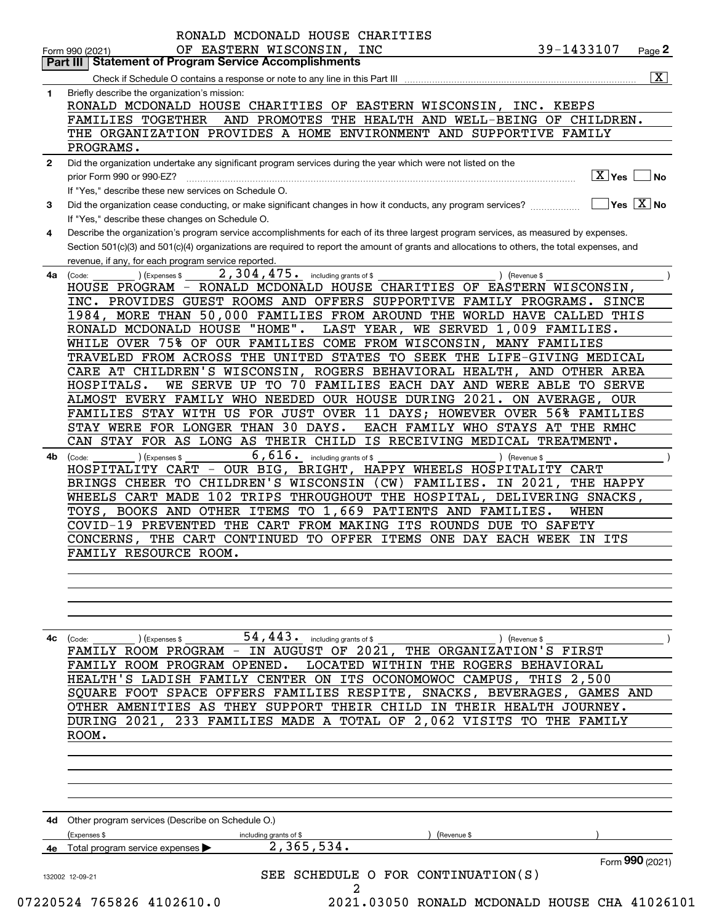|    | $\overline{\mathbf{x}}$<br>Check if Schedule O contains a response or note to any line in this Part III                                                              |
|----|----------------------------------------------------------------------------------------------------------------------------------------------------------------------|
| 1  | Briefly describe the organization's mission:<br>RONALD MCDONALD HOUSE CHARITIES OF EASTERN WISCONSIN, INC. KEEPS                                                     |
|    | AND PROMOTES THE HEALTH AND WELL-BEING OF CHILDREN.<br><b>FAMILIES TOGETHER</b>                                                                                      |
|    | THE ORGANIZATION PROVIDES A HOME ENVIRONMENT AND SUPPORTIVE FAMILY                                                                                                   |
|    | PROGRAMS.                                                                                                                                                            |
| 2  | Did the organization undertake any significant program services during the year which were not listed on the                                                         |
|    | ∣ X ∣Yes<br><b>No</b><br>prior Form 990 or 990-EZ?                                                                                                                   |
|    | If "Yes." describe these new services on Schedule O.                                                                                                                 |
| 3  | $\overline{\mathsf{Yes}}$ $\overline{\mathsf{X}}$ No<br>Did the organization cease conducting, or make significant changes in how it conducts, any program services? |
|    | If "Yes," describe these changes on Schedule O.                                                                                                                      |
| 4  | Describe the organization's program service accomplishments for each of its three largest program services, as measured by expenses.                                 |
|    | Section 501(c)(3) and 501(c)(4) organizations are required to report the amount of grants and allocations to others, the total expenses, and                         |
|    | revenue, if any, for each program service reported.                                                                                                                  |
| 4a | 2,304,475. including grants of \$<br>) (Revenue \$<br>(Code:<br>(Expenses \$<br>HOUSE PROGRAM - RONALD MCDONALD HOUSE CHARITIES OF EASTERN WISCONSIN,                |
|    | INC. PROVIDES GUEST ROOMS AND OFFERS SUPPORTIVE FAMILY PROGRAMS. SINCE                                                                                               |
|    | 1984, MORE THAN 50,000 FAMILIES FROM AROUND THE WORLD HAVE CALLED THIS                                                                                               |
|    | RONALD MCDONALD HOUSE "HOME".<br>LAST YEAR, WE SERVED 1,009 FAMILIES.                                                                                                |
|    | WHILE OVER 75% OF OUR FAMILIES COME FROM WISCONSIN, MANY FAMILIES                                                                                                    |
|    | TRAVELED FROM ACROSS THE UNITED STATES TO SEEK THE LIFE-GIVING MEDICAL                                                                                               |
|    | CARE AT CHILDREN'S WISCONSIN, ROGERS BEHAVIORAL HEALTH,<br>AND OTHER AREA                                                                                            |
|    | WE SERVE UP TO 70 FAMILIES EACH DAY AND WERE ABLE TO SERVE<br>HOSPITALS.                                                                                             |
|    | ALMOST EVERY FAMILY WHO NEEDED OUR HOUSE DURING 2021.<br>ON AVERAGE, OUR                                                                                             |
|    | FAMILIES STAY WITH US FOR JUST OVER 11 DAYS; HOWEVER OVER 56% FAMILIES                                                                                               |
|    | STAY WERE FOR LONGER THAN 30 DAYS.<br>EACH FAMILY WHO STAYS AT THE RMHC                                                                                              |
|    | CAN STAY FOR AS LONG AS THEIR CHILD IS RECEIVING MEDICAL TREATMENT.                                                                                                  |
| 4b | $\overline{6}$ , $616$ . including grants of \$<br>) (Expenses \$<br>) (Revenue \$<br>(Code:                                                                         |
|    | HOSPITALITY CART - OUR BIG, BRIGHT, HAPPY WHEELS HOSPITALITY CART<br>BRINGS CHEER TO CHILDREN'S WISCONSIN<br>(CW)<br>FAMILIES. IN 2021,<br>THE HAPPY                 |
|    | WHEELS CART MADE 102 TRIPS THROUGHOUT THE HOSPITAL, DELIVERING SNACKS,                                                                                               |
|    | TOYS, BOOKS AND OTHER ITEMS TO 1,669 PATIENTS AND FAMILIES.<br>WHEN                                                                                                  |
|    | COVID-19 PREVENTED THE CART FROM MAKING ITS ROUNDS DUE TO SAFETY                                                                                                     |
|    | CONCERNS, THE CART CONTINUED TO OFFER ITEMS ONE DAY EACH WEEK IN ITS                                                                                                 |
|    | FAMILY RESOURCE ROOM.                                                                                                                                                |
|    |                                                                                                                                                                      |
|    |                                                                                                                                                                      |
|    |                                                                                                                                                                      |
|    |                                                                                                                                                                      |
| 4c | 54, $443$ $\cdot$ including grants of \$<br>) (Expenses \$<br>) (Revenue \$                                                                                          |
|    | (Code:<br>FAMILY ROOM PROGRAM - IN AUGUST OF 2021,<br>THE ORGANIZATION'S FIRST                                                                                       |
|    | FAMILY ROOM PROGRAM OPENED.<br>LOCATED WITHIN THE ROGERS<br><b>BEHAVIORAL</b>                                                                                        |
|    | HEALTH'S LADISH FAMILY CENTER ON ITS<br>OCONOMOWOC CAMPUS,<br><b>THIS 2,500</b>                                                                                      |
|    | SPACE OFFERS FAMILIES RESPITE,<br>SOUARE FOOT<br>SNACKS, BEVERAGES, GAMES AND                                                                                        |
|    | OTHER AMENITIES AS THEY SUPPORT THEIR CHILD IN THEIR HEALTH JOURNEY.                                                                                                 |
|    | FAMILIES MADE A TOTAL OF 2,062 VISITS<br>DURING 2021,<br>233<br>TO<br>THE FAMILY                                                                                     |
|    | ROOM.                                                                                                                                                                |
|    |                                                                                                                                                                      |
|    |                                                                                                                                                                      |
|    |                                                                                                                                                                      |
|    |                                                                                                                                                                      |
| 4d | Other program services (Describe on Schedule O.)                                                                                                                     |
|    | (Expenses \$<br>including grants of \$<br>(Revenue \$                                                                                                                |
|    | 2,365,534.<br>Total program service expenses                                                                                                                         |
|    | Form 990 (2021)                                                                                                                                                      |
|    | SEE SCHEDULE O FOR CONTINUATION(S)                                                                                                                                   |

RONALD MCDONALD HOUSE CHARITIES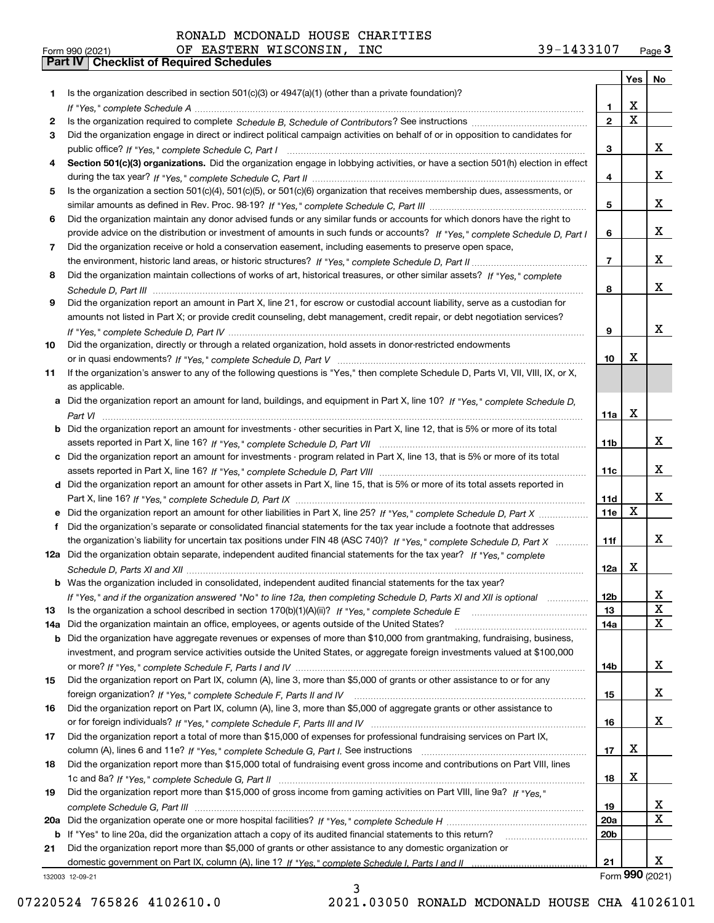**Form 990 (2021) CHECK CORPER SCHEL CORP AT PART IV Checklist of Required Schedules** RONALD MCDONALD HOUSE CHARITIES

| Form 990 (2021) | EASTERN WISCONSIN<br>INC<br>ΟF | ⊥433107<br>າດ $-$<br>Page <b>J</b> |
|-----------------|--------------------------------|------------------------------------|
|-----------------|--------------------------------|------------------------------------|

|     |                                                                                                                                   |                 | Yes                     | No |
|-----|-----------------------------------------------------------------------------------------------------------------------------------|-----------------|-------------------------|----|
| 1   | Is the organization described in section $501(c)(3)$ or $4947(a)(1)$ (other than a private foundation)?                           |                 |                         |    |
|     |                                                                                                                                   | 1               | X                       |    |
| 2   |                                                                                                                                   | $\overline{2}$  | $\overline{\mathbf{x}}$ |    |
| 3   | Did the organization engage in direct or indirect political campaign activities on behalf of or in opposition to candidates for   |                 |                         |    |
|     |                                                                                                                                   | 3               |                         | x  |
| 4   | Section 501(c)(3) organizations. Did the organization engage in lobbying activities, or have a section 501(h) election in effect  |                 |                         |    |
|     |                                                                                                                                   | 4               |                         | x  |
| 5.  | Is the organization a section 501(c)(4), 501(c)(5), or 501(c)(6) organization that receives membership dues, assessments, or      |                 |                         |    |
|     |                                                                                                                                   | 5               |                         | x  |
| 6   | Did the organization maintain any donor advised funds or any similar funds or accounts for which donors have the right to         |                 |                         |    |
|     | provide advice on the distribution or investment of amounts in such funds or accounts? If "Yes," complete Schedule D, Part I      | 6               |                         | x  |
| 7   | Did the organization receive or hold a conservation easement, including easements to preserve open space,                         |                 |                         |    |
|     |                                                                                                                                   | $\overline{7}$  |                         | x  |
| 8   | Did the organization maintain collections of works of art, historical treasures, or other similar assets? If "Yes," complete      |                 |                         |    |
|     |                                                                                                                                   | 8               |                         | x  |
| 9   | Did the organization report an amount in Part X, line 21, for escrow or custodial account liability, serve as a custodian for     |                 |                         |    |
|     | amounts not listed in Part X; or provide credit counseling, debt management, credit repair, or debt negotiation services?         |                 |                         | x  |
|     |                                                                                                                                   | 9               |                         |    |
| 10  | Did the organization, directly or through a related organization, hold assets in donor-restricted endowments                      | 10              | Χ                       |    |
| 11  | If the organization's answer to any of the following questions is "Yes," then complete Schedule D, Parts VI, VII, VIII, IX, or X, |                 |                         |    |
|     | as applicable.                                                                                                                    |                 |                         |    |
|     | a Did the organization report an amount for land, buildings, and equipment in Part X, line 10? If "Yes," complete Schedule D,     |                 |                         |    |
|     |                                                                                                                                   | 11a             | Χ                       |    |
| b   | Did the organization report an amount for investments - other securities in Part X, line 12, that is 5% or more of its total      |                 |                         |    |
|     |                                                                                                                                   | 11 <sub>b</sub> |                         | x  |
| c   | Did the organization report an amount for investments - program related in Part X, line 13, that is 5% or more of its total       |                 |                         |    |
|     |                                                                                                                                   | 11c             |                         | x  |
|     | d Did the organization report an amount for other assets in Part X, line 15, that is 5% or more of its total assets reported in   |                 |                         |    |
|     |                                                                                                                                   | 11d             |                         | x  |
| е   | Did the organization report an amount for other liabilities in Part X, line 25? If "Yes," complete Schedule D, Part X             | 11e             | $\mathbf X$             |    |
| f   | Did the organization's separate or consolidated financial statements for the tax year include a footnote that addresses           |                 |                         |    |
|     | the organization's liability for uncertain tax positions under FIN 48 (ASC 740)? If "Yes," complete Schedule D, Part X            | 11f             |                         | x  |
|     | 12a Did the organization obtain separate, independent audited financial statements for the tax year? If "Yes," complete           |                 |                         |    |
|     |                                                                                                                                   | 12a             | x                       |    |
|     | <b>b</b> Was the organization included in consolidated, independent audited financial statements for the tax year?                |                 |                         |    |
|     | If "Yes," and if the organization answered "No" to line 12a, then completing Schedule D, Parts XI and XII is optional             | 12b             |                         | ᅀ  |
| 13  |                                                                                                                                   | 13              |                         | X  |
| 14a | Did the organization maintain an office, employees, or agents outside of the United States?                                       | 14a             |                         | x  |
| b   | Did the organization have aggregate revenues or expenses of more than \$10,000 from grantmaking, fundraising, business,           |                 |                         |    |
|     | investment, and program service activities outside the United States, or aggregate foreign investments valued at \$100,000        |                 |                         |    |
|     |                                                                                                                                   | 14b             |                         | x  |
| 15  | Did the organization report on Part IX, column (A), line 3, more than \$5,000 of grants or other assistance to or for any         |                 |                         |    |
|     |                                                                                                                                   | 15              |                         | x  |
| 16  | Did the organization report on Part IX, column (A), line 3, more than \$5,000 of aggregate grants or other assistance to          |                 |                         |    |
|     |                                                                                                                                   | 16              |                         | x  |
| 17  | Did the organization report a total of more than \$15,000 of expenses for professional fundraising services on Part IX,           |                 | х                       |    |
|     |                                                                                                                                   | 17              |                         |    |
| 18  | Did the organization report more than \$15,000 total of fundraising event gross income and contributions on Part VIII, lines      |                 | x                       |    |
|     | Did the organization report more than \$15,000 of gross income from gaming activities on Part VIII, line 9a? If "Yes."            | 18              |                         |    |
| 19  |                                                                                                                                   | 19              |                         | x  |
| 20a |                                                                                                                                   | 20a             |                         | x  |
| b   | If "Yes" to line 20a, did the organization attach a copy of its audited financial statements to this return?                      | 20 <sub>b</sub> |                         |    |
| 21  | Did the organization report more than \$5,000 of grants or other assistance to any domestic organization or                       |                 |                         |    |
|     |                                                                                                                                   | 21              |                         | x  |
|     | 132003 12-09-21                                                                                                                   |                 | Form 990 (2021)         |    |

132003 12-09-21

3 07220524 765826 4102610.0 2021.03050 RONALD MCDONALD HOUSE CHA 41026101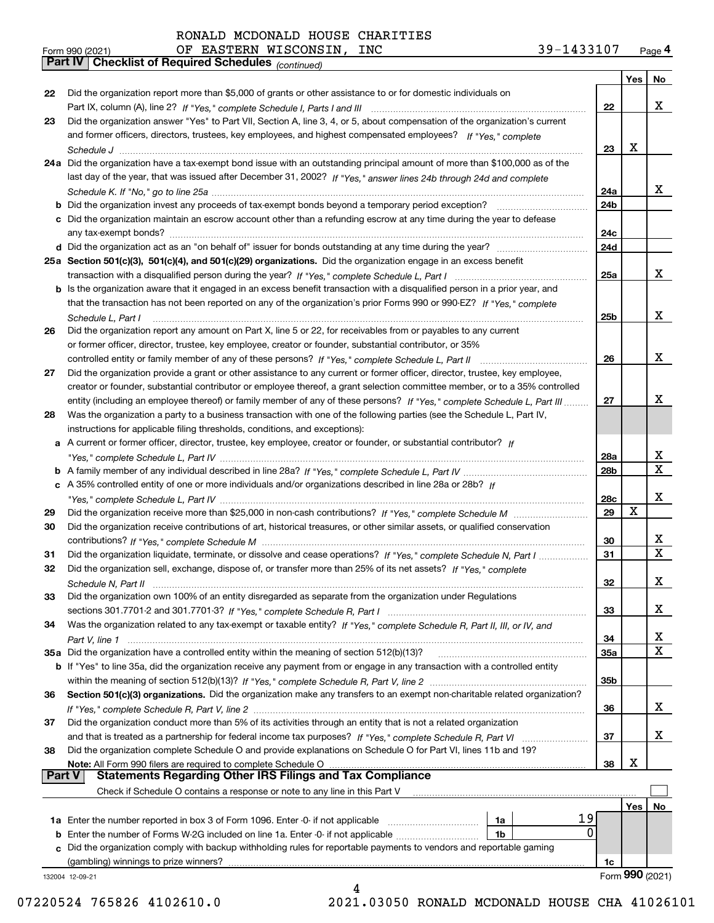## RONALD MCDONALD HOUSE CHARITIES

*(continued)*

| Form 990 (2021) |                                                       | OF EASTERN WISCONSIN, | <b>INC</b> | 39-1433107 | Page $4$ |
|-----------------|-------------------------------------------------------|-----------------------|------------|------------|----------|
|                 | Part IV   Checklist of Required Schedules (continued) |                       |            |            |          |

|               |                                                                                                                                                                                                                                |            | Yes | No                      |
|---------------|--------------------------------------------------------------------------------------------------------------------------------------------------------------------------------------------------------------------------------|------------|-----|-------------------------|
| 22            | Did the organization report more than \$5,000 of grants or other assistance to or for domestic individuals on                                                                                                                  |            |     |                         |
|               |                                                                                                                                                                                                                                | 22         |     | x                       |
| 23            | Did the organization answer "Yes" to Part VII, Section A, line 3, 4, or 5, about compensation of the organization's current                                                                                                    |            |     |                         |
|               | and former officers, directors, trustees, key employees, and highest compensated employees? If "Yes," complete                                                                                                                 |            |     |                         |
|               |                                                                                                                                                                                                                                | 23         | x   |                         |
|               | 24a Did the organization have a tax-exempt bond issue with an outstanding principal amount of more than \$100,000 as of the                                                                                                    |            |     |                         |
|               | last day of the year, that was issued after December 31, 2002? If "Yes," answer lines 24b through 24d and complete                                                                                                             | 24a        |     | X.                      |
|               | <b>b</b> Did the organization invest any proceeds of tax-exempt bonds beyond a temporary period exception?                                                                                                                     | 24b        |     |                         |
|               | c Did the organization maintain an escrow account other than a refunding escrow at any time during the year to defease                                                                                                         |            |     |                         |
|               | any tax-exempt bonds?                                                                                                                                                                                                          | 24c        |     |                         |
|               |                                                                                                                                                                                                                                | 24d        |     |                         |
|               | 25a Section 501(c)(3), 501(c)(4), and 501(c)(29) organizations. Did the organization engage in an excess benefit                                                                                                               |            |     |                         |
|               |                                                                                                                                                                                                                                | 25a        |     | X                       |
|               | b Is the organization aware that it engaged in an excess benefit transaction with a disqualified person in a prior year, and                                                                                                   |            |     |                         |
|               | that the transaction has not been reported on any of the organization's prior Forms 990 or 990-EZ? If "Yes." complete                                                                                                          |            |     |                         |
|               | Schedule L. Part I                                                                                                                                                                                                             | 25b        |     | x                       |
| 26            | Did the organization report any amount on Part X, line 5 or 22, for receivables from or payables to any current                                                                                                                |            |     |                         |
|               | or former officer, director, trustee, key employee, creator or founder, substantial contributor, or 35%                                                                                                                        |            |     |                         |
|               |                                                                                                                                                                                                                                | 26         |     | х                       |
| 27            | Did the organization provide a grant or other assistance to any current or former officer, director, trustee, key employee,                                                                                                    |            |     |                         |
|               | creator or founder, substantial contributor or employee thereof, a grant selection committee member, or to a 35% controlled                                                                                                    |            |     |                         |
|               | entity (including an employee thereof) or family member of any of these persons? If "Yes," complete Schedule L. Part III                                                                                                       | 27         |     | x                       |
| 28            | Was the organization a party to a business transaction with one of the following parties (see the Schedule L, Part IV,                                                                                                         |            |     |                         |
|               | instructions for applicable filing thresholds, conditions, and exceptions):                                                                                                                                                    |            |     |                         |
|               | a A current or former officer, director, trustee, key employee, creator or founder, or substantial contributor? If                                                                                                             |            |     | X                       |
|               |                                                                                                                                                                                                                                | 28a<br>28b |     | $\overline{\mathbf{X}}$ |
|               | c A 35% controlled entity of one or more individuals and/or organizations described in line 28a or 28b? If                                                                                                                     |            |     |                         |
|               |                                                                                                                                                                                                                                | 28c        |     | x                       |
| 29            |                                                                                                                                                                                                                                | 29         | X   |                         |
| 30            | Did the organization receive contributions of art, historical treasures, or other similar assets, or qualified conservation                                                                                                    |            |     |                         |
|               |                                                                                                                                                                                                                                | 30         |     | X                       |
| 31            | Did the organization liquidate, terminate, or dissolve and cease operations? If "Yes," complete Schedule N, Part I                                                                                                             | 31         |     | $\overline{\mathbf{X}}$ |
| 32            | Did the organization sell, exchange, dispose of, or transfer more than 25% of its net assets? If "Yes," complete                                                                                                               |            |     |                         |
|               | Schedule N, Part II                                                                                                                                                                                                            | 32         |     | x                       |
| 33            | Did the organization own 100% of an entity disregarded as separate from the organization under Regulations                                                                                                                     |            |     |                         |
|               |                                                                                                                                                                                                                                | 33         |     | х                       |
| 34            | Was the organization related to any tax-exempt or taxable entity? If "Yes," complete Schedule R, Part II, III, or IV, and                                                                                                      |            |     |                         |
|               |                                                                                                                                                                                                                                | 34         |     | $\overline{\mathbf{x}}$ |
|               | 35a Did the organization have a controlled entity within the meaning of section 512(b)(13)?                                                                                                                                    | 35a        |     | $\overline{\mathbf{x}}$ |
|               | <b>b</b> If "Yes" to line 35a, did the organization receive any payment from or engage in any transaction with a controlled entity                                                                                             |            |     |                         |
|               |                                                                                                                                                                                                                                | 35b        |     |                         |
| 36            | Section 501(c)(3) organizations. Did the organization make any transfers to an exempt non-charitable related organization?                                                                                                     |            |     |                         |
|               | Did the organization conduct more than 5% of its activities through an entity that is not a related organization                                                                                                               | 36         |     | x                       |
| 37            |                                                                                                                                                                                                                                | 37         |     | x                       |
| 38            | and that is treated as a partnership for federal income tax purposes? If "Yes," complete Schedule R, Part VI<br>Did the organization complete Schedule O and provide explanations on Schedule O for Part VI, lines 11b and 19? |            |     |                         |
|               | Note: All Form 990 filers are required to complete Schedule O                                                                                                                                                                  | 38         | х   |                         |
| <b>Part V</b> | Statements Regarding Other IRS Filings and Tax Compliance                                                                                                                                                                      |            |     |                         |
|               | Check if Schedule O contains a response or note to any line in this Part V                                                                                                                                                     |            |     |                         |
|               |                                                                                                                                                                                                                                |            | Yes | No                      |
|               | 19<br>1a Enter the number reported in box 3 of Form 1096. Enter -0- if not applicable<br>1a                                                                                                                                    |            |     |                         |
|               | 0<br><b>b</b> Enter the number of Forms W-2G included on line 1a. Enter -0- if not applicable <i>manumumum</i><br>1b                                                                                                           |            |     |                         |
|               | c Did the organization comply with backup withholding rules for reportable payments to vendors and reportable gaming                                                                                                           |            |     |                         |
|               | (gambling) winnings to prize winners?                                                                                                                                                                                          | 1c         |     |                         |
|               | 132004 12-09-21                                                                                                                                                                                                                |            |     | Form 990 (2021)         |
|               | 4                                                                                                                                                                                                                              |            |     |                         |

07220524 765826 4102610.0 2021.03050 RONALD MCDONALD HOUSE CHA 41026101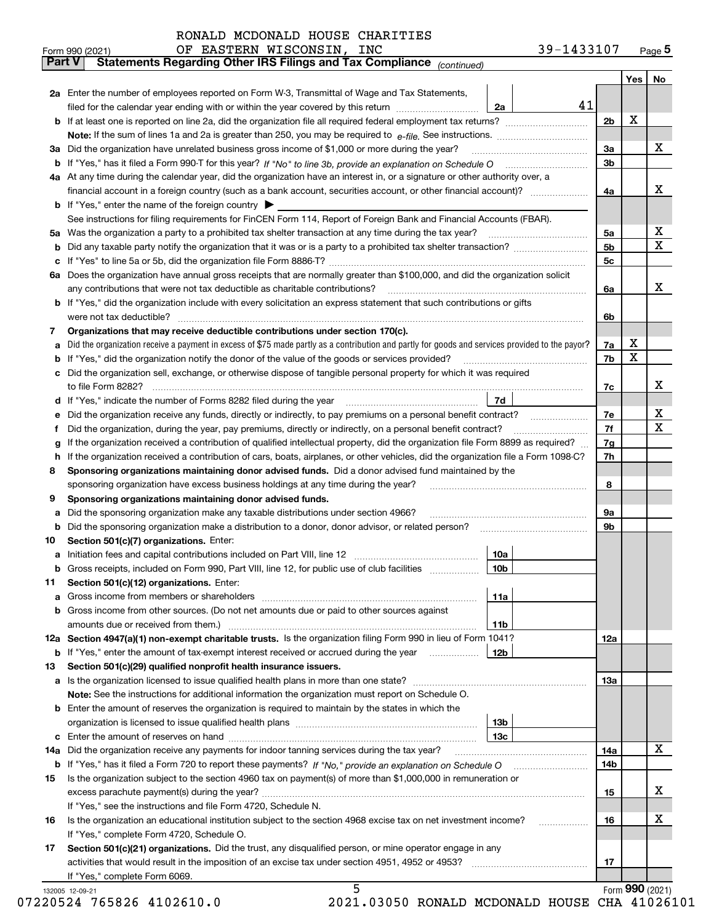| ran v   | Statements Regarding Other IRS Fillings and Tax Compilance $_{(continued)}$                                                                                                                                                                |          |     |                 |
|---------|--------------------------------------------------------------------------------------------------------------------------------------------------------------------------------------------------------------------------------------------|----------|-----|-----------------|
|         |                                                                                                                                                                                                                                            |          | Yes | No              |
|         | 2a Enter the number of employees reported on Form W-3, Transmittal of Wage and Tax Statements,<br>41                                                                                                                                       |          |     |                 |
|         | filed for the calendar year ending with or within the year covered by this return <i>manumumumum</i><br>2a                                                                                                                                 |          | X   |                 |
|         |                                                                                                                                                                                                                                            | 2b       |     |                 |
|         | 3a Did the organization have unrelated business gross income of \$1,000 or more during the year?                                                                                                                                           | За       |     | x               |
| b       |                                                                                                                                                                                                                                            | 3b       |     |                 |
|         | 4a At any time during the calendar year, did the organization have an interest in, or a signature or other authority over, a                                                                                                               |          |     |                 |
|         |                                                                                                                                                                                                                                            | 4a       |     | x               |
|         | <b>b</b> If "Yes," enter the name of the foreign country $\triangleright$                                                                                                                                                                  |          |     |                 |
|         | See instructions for filing requirements for FinCEN Form 114, Report of Foreign Bank and Financial Accounts (FBAR).                                                                                                                        |          |     |                 |
|         |                                                                                                                                                                                                                                            | 5a       |     | х               |
| b       |                                                                                                                                                                                                                                            | 5b       |     | Х               |
| с       |                                                                                                                                                                                                                                            | 5c       |     |                 |
|         | 6a Does the organization have annual gross receipts that are normally greater than \$100,000, and did the organization solicit                                                                                                             |          |     |                 |
|         | any contributions that were not tax deductible as charitable contributions?                                                                                                                                                                | 6a       |     | x               |
|         | <b>b</b> If "Yes," did the organization include with every solicitation an express statement that such contributions or gifts                                                                                                              |          |     |                 |
|         | were not tax deductible?                                                                                                                                                                                                                   | 6b       |     |                 |
| 7       | Organizations that may receive deductible contributions under section 170(c).                                                                                                                                                              |          |     |                 |
| а       | Did the organization receive a payment in excess of \$75 made partly as a contribution and partly for goods and services provided to the payor?                                                                                            | 7a       | х   |                 |
| b       | If "Yes," did the organization notify the donor of the value of the goods or services provided?                                                                                                                                            | 7b       | Х   |                 |
|         | c Did the organization sell, exchange, or otherwise dispose of tangible personal property for which it was required                                                                                                                        |          |     |                 |
|         | to file Form 8282?                                                                                                                                                                                                                         | 7c       |     | x               |
|         | 7d<br>d If "Yes," indicate the number of Forms 8282 filed during the year                                                                                                                                                                  |          |     |                 |
| е       | Did the organization receive any funds, directly or indirectly, to pay premiums on a personal benefit contract?                                                                                                                            | 7e       |     | х<br>Х          |
| f       | Did the organization, during the year, pay premiums, directly or indirectly, on a personal benefit contract?                                                                                                                               | 7f       |     |                 |
| g       | If the organization received a contribution of qualified intellectual property, did the organization file Form 8899 as required?                                                                                                           | 7g<br>7h |     |                 |
| h.<br>8 | If the organization received a contribution of cars, boats, airplanes, or other vehicles, did the organization file a Form 1098-C?<br>Sponsoring organizations maintaining donor advised funds. Did a donor advised fund maintained by the |          |     |                 |
|         | sponsoring organization have excess business holdings at any time during the year?                                                                                                                                                         | 8        |     |                 |
| 9       | Sponsoring organizations maintaining donor advised funds.                                                                                                                                                                                  |          |     |                 |
| а       | Did the sponsoring organization make any taxable distributions under section 4966?                                                                                                                                                         | 9а       |     |                 |
| b       | Did the sponsoring organization make a distribution to a donor, donor advisor, or related person?                                                                                                                                          | 9b       |     |                 |
| 10      | Section 501(c)(7) organizations. Enter:                                                                                                                                                                                                    |          |     |                 |
| а       | 10a                                                                                                                                                                                                                                        |          |     |                 |
| b       | Gross receipts, included on Form 990, Part VIII, line 12, for public use of club facilities<br>10 <sub>b</sub>                                                                                                                             |          |     |                 |
| 11.     | Section 501(c)(12) organizations. Enter:                                                                                                                                                                                                   |          |     |                 |
|         | 11a                                                                                                                                                                                                                                        |          |     |                 |
| b       | Gross income from other sources. (Do not net amounts due or paid to other sources against                                                                                                                                                  |          |     |                 |
|         | 11b                                                                                                                                                                                                                                        |          |     |                 |
|         | 12a Section 4947(a)(1) non-exempt charitable trusts. Is the organization filing Form 990 in lieu of Form 1041?                                                                                                                             | 12a      |     |                 |
|         | 12b<br><b>b</b> If "Yes," enter the amount of tax-exempt interest received or accrued during the year                                                                                                                                      |          |     |                 |
| 13      | Section 501(c)(29) qualified nonprofit health insurance issuers.                                                                                                                                                                           |          |     |                 |
|         | a Is the organization licensed to issue qualified health plans in more than one state?                                                                                                                                                     | 13a      |     |                 |
|         | Note: See the instructions for additional information the organization must report on Schedule O.                                                                                                                                          |          |     |                 |
|         | <b>b</b> Enter the amount of reserves the organization is required to maintain by the states in which the                                                                                                                                  |          |     |                 |
|         | 13b                                                                                                                                                                                                                                        |          |     |                 |
|         | 13с                                                                                                                                                                                                                                        |          |     |                 |
| 14a     | Did the organization receive any payments for indoor tanning services during the tax year?                                                                                                                                                 | 14a      |     | х               |
|         |                                                                                                                                                                                                                                            | 14b      |     |                 |
| 15      | Is the organization subject to the section 4960 tax on payment(s) of more than \$1,000,000 in remuneration or                                                                                                                              |          |     |                 |
|         |                                                                                                                                                                                                                                            | 15       |     | х               |
|         | If "Yes," see the instructions and file Form 4720, Schedule N.                                                                                                                                                                             |          |     | х               |
| 16      | Is the organization an educational institution subject to the section 4968 excise tax on net investment income?                                                                                                                            | 16       |     |                 |
|         | If "Yes," complete Form 4720, Schedule O.                                                                                                                                                                                                  |          |     |                 |
| 17      | Section 501(c)(21) organizations. Did the trust, any disqualified person, or mine operator engage in any<br>activities that would result in the imposition of an excise tax under section 4951, 4952 or 4953?                              | 17       |     |                 |
|         | If "Yes," complete Form 6069.                                                                                                                                                                                                              |          |     |                 |
|         | 5<br>132005 12-09-21                                                                                                                                                                                                                       |          |     | Form 990 (2021) |

2021.03050 RONALD MCDONALD HOUSE CHA 41026101

Form (2021) **990**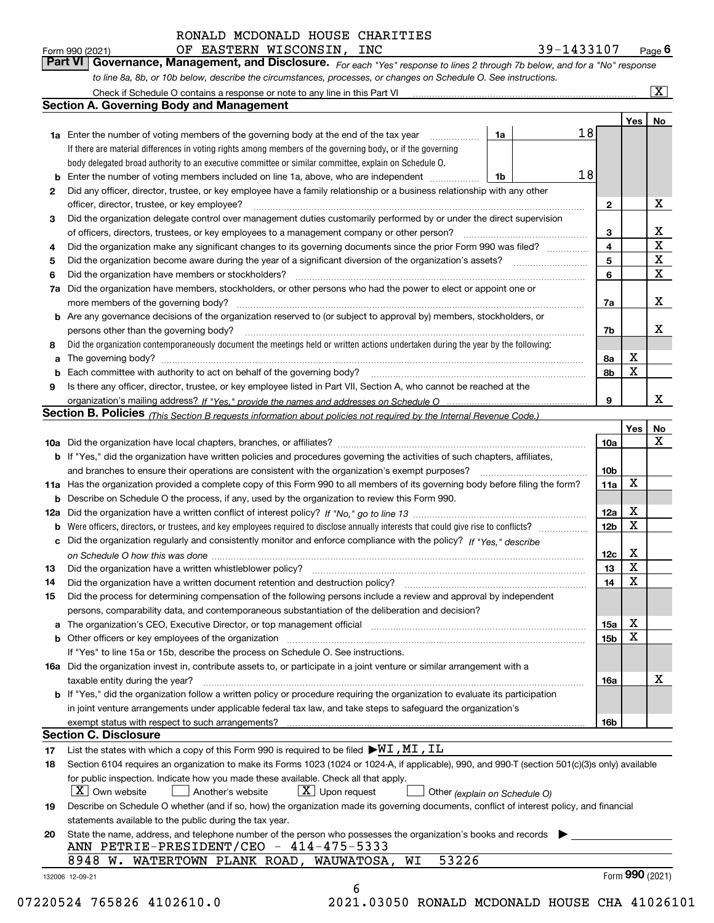## RONALD MCDONALD HOUSE CHARITIES

|        | OF EASTERN WISCONSIN, INC<br>Form 990 (2021)                                                                                                                                                                                  |    | 39-1433107 |                 |     | Page 6            |
|--------|-------------------------------------------------------------------------------------------------------------------------------------------------------------------------------------------------------------------------------|----|------------|-----------------|-----|-------------------|
|        | Part VI<br>Governance, Management, and Disclosure. For each "Yes" response to lines 2 through 7b below, and for a "No" response                                                                                               |    |            |                 |     |                   |
|        | to line 8a, 8b, or 10b below, describe the circumstances, processes, or changes on Schedule O. See instructions.                                                                                                              |    |            |                 |     |                   |
|        | Check if Schedule O contains a response or note to any line in this Part VI [11] [12] [12] [13] Check if Schedule O contains a response or note to any line in this Part VI                                                   |    |            |                 |     | $\vert$ X $\vert$ |
|        | Section A. Governing Body and Management                                                                                                                                                                                      |    |            |                 |     |                   |
|        |                                                                                                                                                                                                                               |    |            |                 | Yes | No                |
|        | <b>1a</b> Enter the number of voting members of the governing body at the end of the tax year                                                                                                                                 | 1a | 18         |                 |     |                   |
|        | If there are material differences in voting rights among members of the governing body, or if the governing                                                                                                                   |    |            |                 |     |                   |
|        | body delegated broad authority to an executive committee or similar committee, explain on Schedule O.                                                                                                                         |    |            |                 |     |                   |
| b      | Enter the number of voting members included on line 1a, above, who are independent                                                                                                                                            | 1b | 18         |                 |     |                   |
| 2      | Did any officer, director, trustee, or key employee have a family relationship or a business relationship with any other                                                                                                      |    |            |                 |     |                   |
|        | officer, director, trustee, or key employee?                                                                                                                                                                                  |    |            | 2               |     | X                 |
| 3      | Did the organization delegate control over management duties customarily performed by or under the direct supervision                                                                                                         |    |            |                 |     |                   |
|        | of officers, directors, trustees, or key employees to a management company or other person?                                                                                                                                   |    |            | 3               |     | Х                 |
| 4      | Did the organization make any significant changes to its governing documents since the prior Form 990 was filed?                                                                                                              |    |            | 4               |     | $\mathbf X$       |
| 5      | Did the organization become aware during the year of a significant diversion of the organization's assets?                                                                                                                    |    |            | 5               |     | X                 |
| 6      | Did the organization have members or stockholders?                                                                                                                                                                            |    |            | 6               |     | X                 |
| 7a     | Did the organization have members, stockholders, or other persons who had the power to elect or appoint one or                                                                                                                |    |            |                 |     | X                 |
|        | more members of the governing body?                                                                                                                                                                                           |    |            | 7a              |     |                   |
|        | <b>b</b> Are any governance decisions of the organization reserved to (or subject to approval by) members, stockholders, or                                                                                                   |    |            |                 |     | x                 |
|        | persons other than the governing body?                                                                                                                                                                                        |    |            | 7b              |     |                   |
| 8      | Did the organization contemporaneously document the meetings held or written actions undertaken during the year by the following:                                                                                             |    |            |                 | х   |                   |
| a      |                                                                                                                                                                                                                               |    |            | 8а              | X   |                   |
| b<br>9 | Each committee with authority to act on behalf of the governing body?                                                                                                                                                         |    |            | 8b              |     |                   |
|        | Is there any officer, director, trustee, or key employee listed in Part VII, Section A, who cannot be reached at the                                                                                                          |    |            | 9               |     | x                 |
|        | <b>Section B. Policies</b> (This Section B requests information about policies not required by the Internal Revenue Code.)                                                                                                    |    |            |                 |     |                   |
|        |                                                                                                                                                                                                                               |    |            |                 | Yes | No                |
|        |                                                                                                                                                                                                                               |    |            | 10a             |     | x                 |
|        | <b>b</b> If "Yes," did the organization have written policies and procedures governing the activities of such chapters, affiliates,                                                                                           |    |            |                 |     |                   |
|        | and branches to ensure their operations are consistent with the organization's exempt purposes?                                                                                                                               |    |            | 10 <sub>b</sub> |     |                   |
|        | 11a Has the organization provided a complete copy of this Form 990 to all members of its governing body before filing the form?                                                                                               |    |            | 11a             | X   |                   |
|        | <b>b</b> Describe on Schedule O the process, if any, used by the organization to review this Form 990.                                                                                                                        |    |            |                 |     |                   |
|        |                                                                                                                                                                                                                               |    |            | 12a             | X   |                   |
|        | <b>b</b> Were officers, directors, or trustees, and key employees required to disclose annually interests that could give rise to conflicts?                                                                                  |    |            | 12 <sub>b</sub> | x   |                   |
|        | c Did the organization regularly and consistently monitor and enforce compliance with the policy? If "Yes," describe                                                                                                          |    |            |                 |     |                   |
|        |                                                                                                                                                                                                                               |    |            | 12c             | х   |                   |
| 13     | Did the organization have a written whistleblower policy?                                                                                                                                                                     |    |            | 13              | X   |                   |
| 14     | Did the organization have a written document retention and destruction policy?                                                                                                                                                |    |            | 14              | х   |                   |
| 15     | Did the process for determining compensation of the following persons include a review and approval by independent                                                                                                            |    |            |                 |     |                   |
|        | persons, comparability data, and contemporaneous substantiation of the deliberation and decision?                                                                                                                             |    |            |                 |     |                   |
| а      | The organization's CEO, Executive Director, or top management official manufactured contains and contained a support of the Director, or top management official manufactured and contain a support of the state of the state |    |            | 15a             | х   |                   |
| b      | Other officers or key employees of the organization                                                                                                                                                                           |    |            | 15 <sub>b</sub> | x   |                   |
|        | If "Yes" to line 15a or 15b, describe the process on Schedule O. See instructions.                                                                                                                                            |    |            |                 |     |                   |
|        | 16a Did the organization invest in, contribute assets to, or participate in a joint venture or similar arrangement with a                                                                                                     |    |            |                 |     |                   |
|        | taxable entity during the year?                                                                                                                                                                                               |    |            | 16a             |     | х                 |
|        | <b>b</b> If "Yes," did the organization follow a written policy or procedure requiring the organization to evaluate its participation                                                                                         |    |            |                 |     |                   |
|        | in joint venture arrangements under applicable federal tax law, and take steps to safeguard the organization's                                                                                                                |    |            |                 |     |                   |
|        | exempt status with respect to such arrangements?                                                                                                                                                                              |    |            | 16b             |     |                   |
|        | Section C. Disclosure                                                                                                                                                                                                         |    |            |                 |     |                   |
| 17     | List the states with which a copy of this Form 990 is required to be filed $\blacktriangleright\!\!W\!I$ , $\mathtt{MI}$ , $\mathtt{IL}$                                                                                      |    |            |                 |     |                   |
| 18     | Section 6104 requires an organization to make its Forms 1023 (1024 or 1024-A, if applicable), 990, and 990-T (section 501(c)(3)s only) available                                                                              |    |            |                 |     |                   |
|        | for public inspection. Indicate how you made these available. Check all that apply.                                                                                                                                           |    |            |                 |     |                   |
|        | $\lfloor x \rfloor$ Own website<br>$X$ Upon request<br>Another's website<br>Other (explain on Schedule O)                                                                                                                     |    |            |                 |     |                   |

| 19 - | Describe on Schedule O whether (and if so, how) the organization made its governing documents, conflict of interest policy, and financial |
|------|-------------------------------------------------------------------------------------------------------------------------------------------|
|      | statements available to the public during the tax year.                                                                                   |

| ANN PETRIE-PRESIDENT/CEO - 414-475-5333                                                                           |  |
|-------------------------------------------------------------------------------------------------------------------|--|
| 20 State the name, address, and telephone number of the person who possesses the organization's books and records |  |

| 8948            | W. | WATERTOWN PLANK ROAD |  | WAUWATOSA, | WΙ | 53226 |
|-----------------|----|----------------------|--|------------|----|-------|
| 132006 12-09-21 |    |                      |  |            |    |       |

6 07220524 765826 4102610.0 2021.03050 RONALD MCDONALD HOUSE CHA 41026101

Form (2021) **990**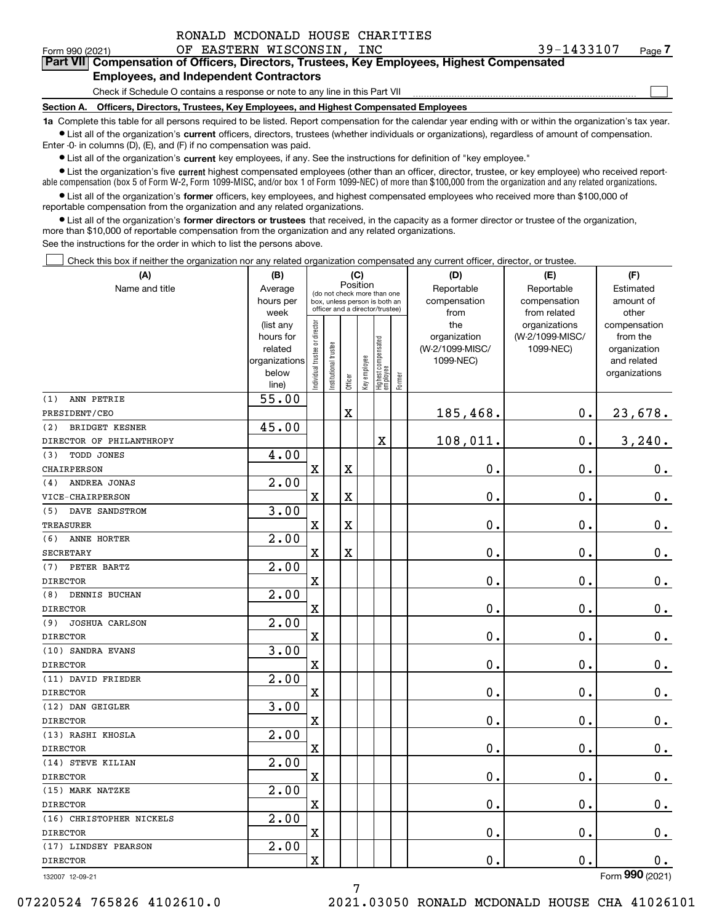$\mathcal{L}^{\text{max}}$ 

## **7Part VII Compensation of Officers, Directors, Trustees, Key Employees, Highest Compensated Employees, and Independent Contractors**

#### Check if Schedule O contains a response or note to any line in this Part VII

**Section A. Officers, Directors, Trustees, Key Employees, and Highest Compensated Employees**

**1a**  Complete this table for all persons required to be listed. Report compensation for the calendar year ending with or within the organization's tax year. **•** List all of the organization's current officers, directors, trustees (whether individuals or organizations), regardless of amount of compensation.

Enter -0- in columns (D), (E), and (F) if no compensation was paid.

 $\bullet$  List all of the organization's  $\sf current$  key employees, if any. See the instructions for definition of "key employee."

**•** List the organization's five current highest compensated employees (other than an officer, director, trustee, or key employee) who received reportable compensation (box 5 of Form W-2, Form 1099-MISC, and/or box 1 of Form 1099-NEC) of more than \$100,000 from the organization and any related organizations.

**•** List all of the organization's former officers, key employees, and highest compensated employees who received more than \$100,000 of reportable compensation from the organization and any related organizations.

**former directors or trustees**  ¥ List all of the organization's that received, in the capacity as a former director or trustee of the organization, more than \$10,000 of reportable compensation from the organization and any related organizations.

See the instructions for the order in which to list the persons above.

Check this box if neither the organization nor any related organization compensated any current officer, director, or trustee.  $\mathcal{L}^{\text{max}}$ 

| Position<br>Name and title<br>Reportable<br>Average<br>Reportable<br>Estimated<br>(do not check more than one<br>compensation<br>hours per<br>compensation<br>amount of<br>box, unless person is both an<br>officer and a director/trustee)<br>from related<br>other<br>week<br>from<br>ndividual trustee or director<br>the<br>(list any<br>organizations<br>compensation<br>(W-2/1099-MISC/<br>hours for<br>organization<br>from the<br>Highest compensated<br> employee<br>Institutional trustee<br>(W-2/1099-MISC/<br>related<br>1099-NEC)<br>organization<br>Key employee<br>1099-NEC)<br>organizations<br>and related<br>below<br>organizations<br>Former<br>Officer<br>line)<br>55.00<br>ANN PETRIE<br>(1)<br>0.<br>X<br>185,468.<br>23,678.<br>PRESIDENT/CEO<br>45.00<br>(2)<br>BRIDGET KESNER<br>$\mathbf 0$ .<br>X<br>108,011.<br>3,240.<br>DIRECTOR OF PHILANTHROPY<br>4.00<br><b>TODD JONES</b><br>(3)<br>$\mathbf X$<br>$\overline{\textbf{X}}$<br>$\mathbf 0$ .<br>$\mathbf 0$ .<br>$\mathbf 0$ .<br>CHAIRPERSON<br>2.00<br>ANDREA JONAS<br>(4)<br>0.<br>$\mathbf 0$ .<br>$\mathbf X$<br>X<br>$\mathbf 0$ .<br>VICE-CHAIRPERSON<br>3.00<br>(5)<br>DAVE SANDSTROM<br>$\mathbf X$<br>$\overline{\textbf{X}}$<br>0.<br>$0_{.}$<br>$\mathbf 0$ .<br>TREASURER<br>2.00<br>(6)<br>ANNE HORTER<br>$\mathbf x$<br>$\overline{\textbf{X}}$<br>$\mathbf 0$ .<br>$\mathbf 0$ .<br>$0_{.}$<br><b>SECRETARY</b><br>2.00<br>PETER BARTZ<br>(7)<br>$\mathbf X$<br>0.<br>$\mathbf 0$ .<br>$\mathbf 0$ .<br><b>DIRECTOR</b><br>2.00<br>DENNIS BUCHAN<br>(8)<br>$\mathbf 0$ .<br>0.<br>$\mathbf 0$ .<br>$\mathbf X$<br><b>DIRECTOR</b><br>2.00<br>(9)<br><b>JOSHUA CARLSON</b><br>$\mathbf 0$ .<br>$\mathbf 0$ .<br>$\mathbf 0$ .<br>$\mathbf X$<br><b>DIRECTOR</b><br>3.00<br>(10) SANDRA EVANS<br>$\mathbf x$<br>$\mathbf 0$ .<br>$\mathbf 0$ .<br>$0$ .<br><b>DIRECTOR</b><br>2.00<br>(11) DAVID FRIEDER<br>$\mathbf X$<br>0.<br>$\mathbf 0$ .<br>$\mathbf 0$ .<br><b>DIRECTOR</b><br>3.00<br>(12) DAN GEIGLER<br>0.<br>$\mathbf 0$ .<br>$0_{\cdot}$<br>$\mathbf X$<br><b>DIRECTOR</b><br>2.00<br>(13) RASHI KHOSLA<br>0.<br>0.<br>$0_{.}$<br>$\mathbf X$<br><b>DIRECTOR</b><br>2.00<br>(14) STEVE KILIAN<br>$\mathbf 0$ .<br>$\mathbf 0$ .<br>$\mathbf x$<br>$\mathbf 0$ .<br><b>DIRECTOR</b><br>$\overline{2.00}$<br>(15) MARK NATZKE<br>0.<br>$\mathbf X$<br>$\mathbf 0$ .<br>$\mathbf 0$ .<br><b>DIRECTOR</b><br>$\overline{2.00}$<br>(16) CHRISTOPHER NICKELS<br>$\mathbf 0$ .<br>$\mathbf X$<br>$\mathbf 0$ .<br>$0_{.}$<br><b>DIRECTOR</b><br>2.00<br>(17) LINDSEY PEARSON<br>$\mathbf X$<br>$\mathbf 0$ .<br>0.<br>0.<br><b>DIRECTOR</b> | (A) | (B) |  | (C) |  | (D) | (E) | (F)            |
|-------------------------------------------------------------------------------------------------------------------------------------------------------------------------------------------------------------------------------------------------------------------------------------------------------------------------------------------------------------------------------------------------------------------------------------------------------------------------------------------------------------------------------------------------------------------------------------------------------------------------------------------------------------------------------------------------------------------------------------------------------------------------------------------------------------------------------------------------------------------------------------------------------------------------------------------------------------------------------------------------------------------------------------------------------------------------------------------------------------------------------------------------------------------------------------------------------------------------------------------------------------------------------------------------------------------------------------------------------------------------------------------------------------------------------------------------------------------------------------------------------------------------------------------------------------------------------------------------------------------------------------------------------------------------------------------------------------------------------------------------------------------------------------------------------------------------------------------------------------------------------------------------------------------------------------------------------------------------------------------------------------------------------------------------------------------------------------------------------------------------------------------------------------------------------------------------------------------------------------------------------------------------------------------------------------------------------------------------------------------------------------------------------------------------------------------------------------------------------------------------------------------------------------------------------------------------------------------------------------------------------------------------|-----|-----|--|-----|--|-----|-----|----------------|
|                                                                                                                                                                                                                                                                                                                                                                                                                                                                                                                                                                                                                                                                                                                                                                                                                                                                                                                                                                                                                                                                                                                                                                                                                                                                                                                                                                                                                                                                                                                                                                                                                                                                                                                                                                                                                                                                                                                                                                                                                                                                                                                                                                                                                                                                                                                                                                                                                                                                                                                                                                                                                                                 |     |     |  |     |  |     |     |                |
|                                                                                                                                                                                                                                                                                                                                                                                                                                                                                                                                                                                                                                                                                                                                                                                                                                                                                                                                                                                                                                                                                                                                                                                                                                                                                                                                                                                                                                                                                                                                                                                                                                                                                                                                                                                                                                                                                                                                                                                                                                                                                                                                                                                                                                                                                                                                                                                                                                                                                                                                                                                                                                                 |     |     |  |     |  |     |     |                |
|                                                                                                                                                                                                                                                                                                                                                                                                                                                                                                                                                                                                                                                                                                                                                                                                                                                                                                                                                                                                                                                                                                                                                                                                                                                                                                                                                                                                                                                                                                                                                                                                                                                                                                                                                                                                                                                                                                                                                                                                                                                                                                                                                                                                                                                                                                                                                                                                                                                                                                                                                                                                                                                 |     |     |  |     |  |     |     |                |
|                                                                                                                                                                                                                                                                                                                                                                                                                                                                                                                                                                                                                                                                                                                                                                                                                                                                                                                                                                                                                                                                                                                                                                                                                                                                                                                                                                                                                                                                                                                                                                                                                                                                                                                                                                                                                                                                                                                                                                                                                                                                                                                                                                                                                                                                                                                                                                                                                                                                                                                                                                                                                                                 |     |     |  |     |  |     |     |                |
|                                                                                                                                                                                                                                                                                                                                                                                                                                                                                                                                                                                                                                                                                                                                                                                                                                                                                                                                                                                                                                                                                                                                                                                                                                                                                                                                                                                                                                                                                                                                                                                                                                                                                                                                                                                                                                                                                                                                                                                                                                                                                                                                                                                                                                                                                                                                                                                                                                                                                                                                                                                                                                                 |     |     |  |     |  |     |     |                |
|                                                                                                                                                                                                                                                                                                                                                                                                                                                                                                                                                                                                                                                                                                                                                                                                                                                                                                                                                                                                                                                                                                                                                                                                                                                                                                                                                                                                                                                                                                                                                                                                                                                                                                                                                                                                                                                                                                                                                                                                                                                                                                                                                                                                                                                                                                                                                                                                                                                                                                                                                                                                                                                 |     |     |  |     |  |     |     |                |
|                                                                                                                                                                                                                                                                                                                                                                                                                                                                                                                                                                                                                                                                                                                                                                                                                                                                                                                                                                                                                                                                                                                                                                                                                                                                                                                                                                                                                                                                                                                                                                                                                                                                                                                                                                                                                                                                                                                                                                                                                                                                                                                                                                                                                                                                                                                                                                                                                                                                                                                                                                                                                                                 |     |     |  |     |  |     |     |                |
|                                                                                                                                                                                                                                                                                                                                                                                                                                                                                                                                                                                                                                                                                                                                                                                                                                                                                                                                                                                                                                                                                                                                                                                                                                                                                                                                                                                                                                                                                                                                                                                                                                                                                                                                                                                                                                                                                                                                                                                                                                                                                                                                                                                                                                                                                                                                                                                                                                                                                                                                                                                                                                                 |     |     |  |     |  |     |     |                |
|                                                                                                                                                                                                                                                                                                                                                                                                                                                                                                                                                                                                                                                                                                                                                                                                                                                                                                                                                                                                                                                                                                                                                                                                                                                                                                                                                                                                                                                                                                                                                                                                                                                                                                                                                                                                                                                                                                                                                                                                                                                                                                                                                                                                                                                                                                                                                                                                                                                                                                                                                                                                                                                 |     |     |  |     |  |     |     |                |
|                                                                                                                                                                                                                                                                                                                                                                                                                                                                                                                                                                                                                                                                                                                                                                                                                                                                                                                                                                                                                                                                                                                                                                                                                                                                                                                                                                                                                                                                                                                                                                                                                                                                                                                                                                                                                                                                                                                                                                                                                                                                                                                                                                                                                                                                                                                                                                                                                                                                                                                                                                                                                                                 |     |     |  |     |  |     |     |                |
|                                                                                                                                                                                                                                                                                                                                                                                                                                                                                                                                                                                                                                                                                                                                                                                                                                                                                                                                                                                                                                                                                                                                                                                                                                                                                                                                                                                                                                                                                                                                                                                                                                                                                                                                                                                                                                                                                                                                                                                                                                                                                                                                                                                                                                                                                                                                                                                                                                                                                                                                                                                                                                                 |     |     |  |     |  |     |     |                |
|                                                                                                                                                                                                                                                                                                                                                                                                                                                                                                                                                                                                                                                                                                                                                                                                                                                                                                                                                                                                                                                                                                                                                                                                                                                                                                                                                                                                                                                                                                                                                                                                                                                                                                                                                                                                                                                                                                                                                                                                                                                                                                                                                                                                                                                                                                                                                                                                                                                                                                                                                                                                                                                 |     |     |  |     |  |     |     |                |
|                                                                                                                                                                                                                                                                                                                                                                                                                                                                                                                                                                                                                                                                                                                                                                                                                                                                                                                                                                                                                                                                                                                                                                                                                                                                                                                                                                                                                                                                                                                                                                                                                                                                                                                                                                                                                                                                                                                                                                                                                                                                                                                                                                                                                                                                                                                                                                                                                                                                                                                                                                                                                                                 |     |     |  |     |  |     |     |                |
|                                                                                                                                                                                                                                                                                                                                                                                                                                                                                                                                                                                                                                                                                                                                                                                                                                                                                                                                                                                                                                                                                                                                                                                                                                                                                                                                                                                                                                                                                                                                                                                                                                                                                                                                                                                                                                                                                                                                                                                                                                                                                                                                                                                                                                                                                                                                                                                                                                                                                                                                                                                                                                                 |     |     |  |     |  |     |     |                |
|                                                                                                                                                                                                                                                                                                                                                                                                                                                                                                                                                                                                                                                                                                                                                                                                                                                                                                                                                                                                                                                                                                                                                                                                                                                                                                                                                                                                                                                                                                                                                                                                                                                                                                                                                                                                                                                                                                                                                                                                                                                                                                                                                                                                                                                                                                                                                                                                                                                                                                                                                                                                                                                 |     |     |  |     |  |     |     |                |
|                                                                                                                                                                                                                                                                                                                                                                                                                                                                                                                                                                                                                                                                                                                                                                                                                                                                                                                                                                                                                                                                                                                                                                                                                                                                                                                                                                                                                                                                                                                                                                                                                                                                                                                                                                                                                                                                                                                                                                                                                                                                                                                                                                                                                                                                                                                                                                                                                                                                                                                                                                                                                                                 |     |     |  |     |  |     |     |                |
|                                                                                                                                                                                                                                                                                                                                                                                                                                                                                                                                                                                                                                                                                                                                                                                                                                                                                                                                                                                                                                                                                                                                                                                                                                                                                                                                                                                                                                                                                                                                                                                                                                                                                                                                                                                                                                                                                                                                                                                                                                                                                                                                                                                                                                                                                                                                                                                                                                                                                                                                                                                                                                                 |     |     |  |     |  |     |     |                |
|                                                                                                                                                                                                                                                                                                                                                                                                                                                                                                                                                                                                                                                                                                                                                                                                                                                                                                                                                                                                                                                                                                                                                                                                                                                                                                                                                                                                                                                                                                                                                                                                                                                                                                                                                                                                                                                                                                                                                                                                                                                                                                                                                                                                                                                                                                                                                                                                                                                                                                                                                                                                                                                 |     |     |  |     |  |     |     |                |
|                                                                                                                                                                                                                                                                                                                                                                                                                                                                                                                                                                                                                                                                                                                                                                                                                                                                                                                                                                                                                                                                                                                                                                                                                                                                                                                                                                                                                                                                                                                                                                                                                                                                                                                                                                                                                                                                                                                                                                                                                                                                                                                                                                                                                                                                                                                                                                                                                                                                                                                                                                                                                                                 |     |     |  |     |  |     |     |                |
|                                                                                                                                                                                                                                                                                                                                                                                                                                                                                                                                                                                                                                                                                                                                                                                                                                                                                                                                                                                                                                                                                                                                                                                                                                                                                                                                                                                                                                                                                                                                                                                                                                                                                                                                                                                                                                                                                                                                                                                                                                                                                                                                                                                                                                                                                                                                                                                                                                                                                                                                                                                                                                                 |     |     |  |     |  |     |     |                |
|                                                                                                                                                                                                                                                                                                                                                                                                                                                                                                                                                                                                                                                                                                                                                                                                                                                                                                                                                                                                                                                                                                                                                                                                                                                                                                                                                                                                                                                                                                                                                                                                                                                                                                                                                                                                                                                                                                                                                                                                                                                                                                                                                                                                                                                                                                                                                                                                                                                                                                                                                                                                                                                 |     |     |  |     |  |     |     |                |
|                                                                                                                                                                                                                                                                                                                                                                                                                                                                                                                                                                                                                                                                                                                                                                                                                                                                                                                                                                                                                                                                                                                                                                                                                                                                                                                                                                                                                                                                                                                                                                                                                                                                                                                                                                                                                                                                                                                                                                                                                                                                                                                                                                                                                                                                                                                                                                                                                                                                                                                                                                                                                                                 |     |     |  |     |  |     |     |                |
|                                                                                                                                                                                                                                                                                                                                                                                                                                                                                                                                                                                                                                                                                                                                                                                                                                                                                                                                                                                                                                                                                                                                                                                                                                                                                                                                                                                                                                                                                                                                                                                                                                                                                                                                                                                                                                                                                                                                                                                                                                                                                                                                                                                                                                                                                                                                                                                                                                                                                                                                                                                                                                                 |     |     |  |     |  |     |     |                |
|                                                                                                                                                                                                                                                                                                                                                                                                                                                                                                                                                                                                                                                                                                                                                                                                                                                                                                                                                                                                                                                                                                                                                                                                                                                                                                                                                                                                                                                                                                                                                                                                                                                                                                                                                                                                                                                                                                                                                                                                                                                                                                                                                                                                                                                                                                                                                                                                                                                                                                                                                                                                                                                 |     |     |  |     |  |     |     |                |
|                                                                                                                                                                                                                                                                                                                                                                                                                                                                                                                                                                                                                                                                                                                                                                                                                                                                                                                                                                                                                                                                                                                                                                                                                                                                                                                                                                                                                                                                                                                                                                                                                                                                                                                                                                                                                                                                                                                                                                                                                                                                                                                                                                                                                                                                                                                                                                                                                                                                                                                                                                                                                                                 |     |     |  |     |  |     |     |                |
|                                                                                                                                                                                                                                                                                                                                                                                                                                                                                                                                                                                                                                                                                                                                                                                                                                                                                                                                                                                                                                                                                                                                                                                                                                                                                                                                                                                                                                                                                                                                                                                                                                                                                                                                                                                                                                                                                                                                                                                                                                                                                                                                                                                                                                                                                                                                                                                                                                                                                                                                                                                                                                                 |     |     |  |     |  |     |     |                |
|                                                                                                                                                                                                                                                                                                                                                                                                                                                                                                                                                                                                                                                                                                                                                                                                                                                                                                                                                                                                                                                                                                                                                                                                                                                                                                                                                                                                                                                                                                                                                                                                                                                                                                                                                                                                                                                                                                                                                                                                                                                                                                                                                                                                                                                                                                                                                                                                                                                                                                                                                                                                                                                 |     |     |  |     |  |     |     |                |
|                                                                                                                                                                                                                                                                                                                                                                                                                                                                                                                                                                                                                                                                                                                                                                                                                                                                                                                                                                                                                                                                                                                                                                                                                                                                                                                                                                                                                                                                                                                                                                                                                                                                                                                                                                                                                                                                                                                                                                                                                                                                                                                                                                                                                                                                                                                                                                                                                                                                                                                                                                                                                                                 |     |     |  |     |  |     |     |                |
|                                                                                                                                                                                                                                                                                                                                                                                                                                                                                                                                                                                                                                                                                                                                                                                                                                                                                                                                                                                                                                                                                                                                                                                                                                                                                                                                                                                                                                                                                                                                                                                                                                                                                                                                                                                                                                                                                                                                                                                                                                                                                                                                                                                                                                                                                                                                                                                                                                                                                                                                                                                                                                                 |     |     |  |     |  |     |     |                |
|                                                                                                                                                                                                                                                                                                                                                                                                                                                                                                                                                                                                                                                                                                                                                                                                                                                                                                                                                                                                                                                                                                                                                                                                                                                                                                                                                                                                                                                                                                                                                                                                                                                                                                                                                                                                                                                                                                                                                                                                                                                                                                                                                                                                                                                                                                                                                                                                                                                                                                                                                                                                                                                 |     |     |  |     |  |     |     |                |
|                                                                                                                                                                                                                                                                                                                                                                                                                                                                                                                                                                                                                                                                                                                                                                                                                                                                                                                                                                                                                                                                                                                                                                                                                                                                                                                                                                                                                                                                                                                                                                                                                                                                                                                                                                                                                                                                                                                                                                                                                                                                                                                                                                                                                                                                                                                                                                                                                                                                                                                                                                                                                                                 |     |     |  |     |  |     |     |                |
|                                                                                                                                                                                                                                                                                                                                                                                                                                                                                                                                                                                                                                                                                                                                                                                                                                                                                                                                                                                                                                                                                                                                                                                                                                                                                                                                                                                                                                                                                                                                                                                                                                                                                                                                                                                                                                                                                                                                                                                                                                                                                                                                                                                                                                                                                                                                                                                                                                                                                                                                                                                                                                                 |     |     |  |     |  |     |     |                |
|                                                                                                                                                                                                                                                                                                                                                                                                                                                                                                                                                                                                                                                                                                                                                                                                                                                                                                                                                                                                                                                                                                                                                                                                                                                                                                                                                                                                                                                                                                                                                                                                                                                                                                                                                                                                                                                                                                                                                                                                                                                                                                                                                                                                                                                                                                                                                                                                                                                                                                                                                                                                                                                 |     |     |  |     |  |     |     |                |
|                                                                                                                                                                                                                                                                                                                                                                                                                                                                                                                                                                                                                                                                                                                                                                                                                                                                                                                                                                                                                                                                                                                                                                                                                                                                                                                                                                                                                                                                                                                                                                                                                                                                                                                                                                                                                                                                                                                                                                                                                                                                                                                                                                                                                                                                                                                                                                                                                                                                                                                                                                                                                                                 |     |     |  |     |  |     |     |                |
|                                                                                                                                                                                                                                                                                                                                                                                                                                                                                                                                                                                                                                                                                                                                                                                                                                                                                                                                                                                                                                                                                                                                                                                                                                                                                                                                                                                                                                                                                                                                                                                                                                                                                                                                                                                                                                                                                                                                                                                                                                                                                                                                                                                                                                                                                                                                                                                                                                                                                                                                                                                                                                                 |     |     |  |     |  |     |     |                |
|                                                                                                                                                                                                                                                                                                                                                                                                                                                                                                                                                                                                                                                                                                                                                                                                                                                                                                                                                                                                                                                                                                                                                                                                                                                                                                                                                                                                                                                                                                                                                                                                                                                                                                                                                                                                                                                                                                                                                                                                                                                                                                                                                                                                                                                                                                                                                                                                                                                                                                                                                                                                                                                 |     |     |  |     |  |     |     |                |
|                                                                                                                                                                                                                                                                                                                                                                                                                                                                                                                                                                                                                                                                                                                                                                                                                                                                                                                                                                                                                                                                                                                                                                                                                                                                                                                                                                                                                                                                                                                                                                                                                                                                                                                                                                                                                                                                                                                                                                                                                                                                                                                                                                                                                                                                                                                                                                                                                                                                                                                                                                                                                                                 |     |     |  |     |  |     |     |                |
|                                                                                                                                                                                                                                                                                                                                                                                                                                                                                                                                                                                                                                                                                                                                                                                                                                                                                                                                                                                                                                                                                                                                                                                                                                                                                                                                                                                                                                                                                                                                                                                                                                                                                                                                                                                                                                                                                                                                                                                                                                                                                                                                                                                                                                                                                                                                                                                                                                                                                                                                                                                                                                                 |     |     |  |     |  |     |     |                |
|                                                                                                                                                                                                                                                                                                                                                                                                                                                                                                                                                                                                                                                                                                                                                                                                                                                                                                                                                                                                                                                                                                                                                                                                                                                                                                                                                                                                                                                                                                                                                                                                                                                                                                                                                                                                                                                                                                                                                                                                                                                                                                                                                                                                                                                                                                                                                                                                                                                                                                                                                                                                                                                 |     |     |  |     |  |     |     |                |
|                                                                                                                                                                                                                                                                                                                                                                                                                                                                                                                                                                                                                                                                                                                                                                                                                                                                                                                                                                                                                                                                                                                                                                                                                                                                                                                                                                                                                                                                                                                                                                                                                                                                                                                                                                                                                                                                                                                                                                                                                                                                                                                                                                                                                                                                                                                                                                                                                                                                                                                                                                                                                                                 |     |     |  |     |  |     |     |                |
|                                                                                                                                                                                                                                                                                                                                                                                                                                                                                                                                                                                                                                                                                                                                                                                                                                                                                                                                                                                                                                                                                                                                                                                                                                                                                                                                                                                                                                                                                                                                                                                                                                                                                                                                                                                                                                                                                                                                                                                                                                                                                                                                                                                                                                                                                                                                                                                                                                                                                                                                                                                                                                                 |     |     |  |     |  |     |     |                |
|                                                                                                                                                                                                                                                                                                                                                                                                                                                                                                                                                                                                                                                                                                                                                                                                                                                                                                                                                                                                                                                                                                                                                                                                                                                                                                                                                                                                                                                                                                                                                                                                                                                                                                                                                                                                                                                                                                                                                                                                                                                                                                                                                                                                                                                                                                                                                                                                                                                                                                                                                                                                                                                 |     |     |  |     |  |     |     | $\overline{2}$ |

132007 12-09-21

7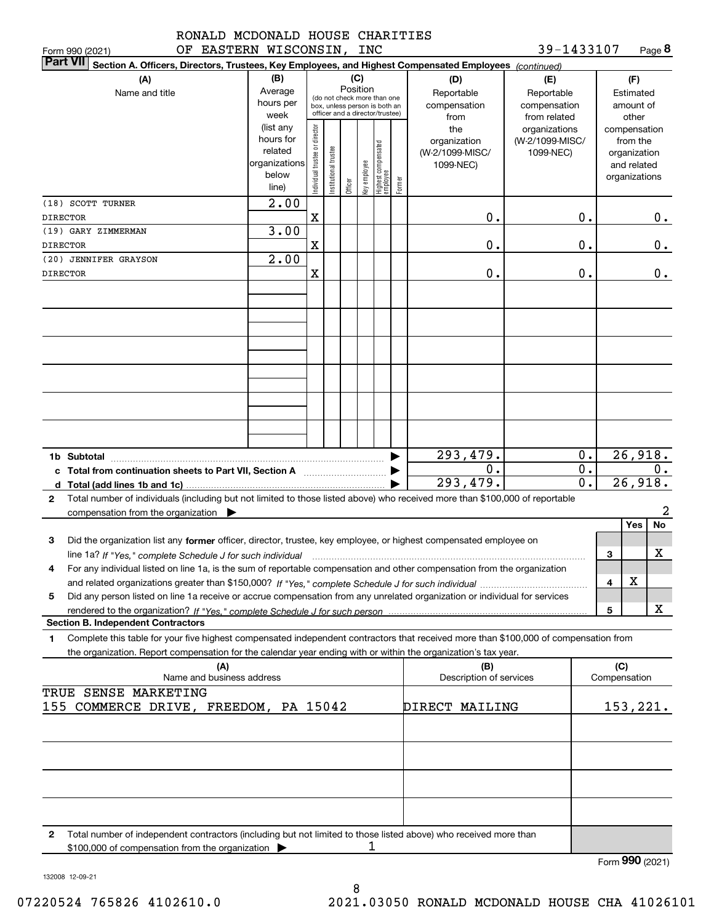|  |  | RONALD MCDONALD HOUSE CHARITIES |
|--|--|---------------------------------|
|  |  |                                 |

**8**39-1433107

| OF EASTERN WISCONSIN,<br>Form 990 (2021)                                                                                                                                                                                                                     |                                                                                                             |                                |                                                                                                                         |                     | INC                  |                                 |        |                                                                                                  | 39-1433107                                                                                         |    |              | Page 8                                                                                                             |
|--------------------------------------------------------------------------------------------------------------------------------------------------------------------------------------------------------------------------------------------------------------|-------------------------------------------------------------------------------------------------------------|--------------------------------|-------------------------------------------------------------------------------------------------------------------------|---------------------|----------------------|---------------------------------|--------|--------------------------------------------------------------------------------------------------|----------------------------------------------------------------------------------------------------|----|--------------|--------------------------------------------------------------------------------------------------------------------|
| <b>Part VII</b><br>Section A. Officers, Directors, Trustees, Key Employees, and Highest Compensated Employees (continued)                                                                                                                                    |                                                                                                             |                                |                                                                                                                         |                     |                      |                                 |        |                                                                                                  |                                                                                                    |    |              |                                                                                                                    |
| (A)<br>Name and title                                                                                                                                                                                                                                        | (B)<br>Average<br>hours per<br>week<br>(list any<br>hours for<br>related<br>organizations<br>below<br>line) | Individual trustee or director | (do not check more than one<br>box, unless person is both an<br>officer and a director/trustee)<br>nstitutional trustee | Position<br>Officer | (C)<br>əə/opdulə Aəy | Highest compensated<br>employee | Former | (D)<br>Reportable<br>compensation<br>from<br>the<br>organization<br>(W-2/1099-MISC/<br>1099-NEC) | (E)<br>Reportable<br>compensation<br>from related<br>organizations<br>(W-2/1099-MISC/<br>1099-NEC) |    |              | (F)<br>Estimated<br>amount of<br>other<br>compensation<br>from the<br>organization<br>and related<br>organizations |
| (18) SCOTT TURNER                                                                                                                                                                                                                                            | $\overline{2.00}$                                                                                           |                                |                                                                                                                         |                     |                      |                                 |        |                                                                                                  |                                                                                                    |    |              |                                                                                                                    |
| <b>DIRECTOR</b>                                                                                                                                                                                                                                              |                                                                                                             | X                              |                                                                                                                         |                     |                      |                                 |        | Ο.                                                                                               |                                                                                                    | 0. |              | 0.                                                                                                                 |
| (19) GARY ZIMMERMAN                                                                                                                                                                                                                                          | 3.00                                                                                                        |                                |                                                                                                                         |                     |                      |                                 |        |                                                                                                  |                                                                                                    |    |              |                                                                                                                    |
| <b>DIRECTOR</b>                                                                                                                                                                                                                                              |                                                                                                             | $\mathbf X$                    |                                                                                                                         |                     |                      |                                 |        | Ο.                                                                                               |                                                                                                    | 0. |              | 0.                                                                                                                 |
| (20) JENNIFER GRAYSON                                                                                                                                                                                                                                        | 2.00                                                                                                        |                                |                                                                                                                         |                     |                      |                                 |        |                                                                                                  |                                                                                                    |    |              |                                                                                                                    |
| <b>DIRECTOR</b>                                                                                                                                                                                                                                              |                                                                                                             | X                              |                                                                                                                         |                     |                      |                                 |        | 0.                                                                                               |                                                                                                    | 0. |              | 0.                                                                                                                 |
|                                                                                                                                                                                                                                                              |                                                                                                             |                                |                                                                                                                         |                     |                      |                                 |        |                                                                                                  |                                                                                                    |    |              |                                                                                                                    |
|                                                                                                                                                                                                                                                              |                                                                                                             |                                |                                                                                                                         |                     |                      |                                 |        |                                                                                                  |                                                                                                    |    |              |                                                                                                                    |
|                                                                                                                                                                                                                                                              |                                                                                                             |                                |                                                                                                                         |                     |                      |                                 |        |                                                                                                  |                                                                                                    |    |              |                                                                                                                    |
|                                                                                                                                                                                                                                                              |                                                                                                             |                                |                                                                                                                         |                     |                      |                                 |        |                                                                                                  |                                                                                                    |    |              |                                                                                                                    |
|                                                                                                                                                                                                                                                              |                                                                                                             |                                |                                                                                                                         |                     |                      |                                 | ▶      | 293,479.                                                                                         |                                                                                                    | 0. |              | 26,918.                                                                                                            |
| c Total from continuation sheets to Part VII, Section A <b>witch the Continuum</b>                                                                                                                                                                           |                                                                                                             |                                |                                                                                                                         |                     |                      |                                 |        | 0.                                                                                               |                                                                                                    | 0. |              | 0.                                                                                                                 |
|                                                                                                                                                                                                                                                              |                                                                                                             |                                |                                                                                                                         |                     |                      |                                 |        | 293,479.                                                                                         |                                                                                                    | 0. |              | 26,918.                                                                                                            |
| Total number of individuals (including but not limited to those listed above) who received more than \$100,000 of reportable<br>$\mathbf{2}$<br>compensation from the organization $\blacktriangleright$                                                     |                                                                                                             |                                |                                                                                                                         |                     |                      |                                 |        |                                                                                                  |                                                                                                    |    |              | 2                                                                                                                  |
|                                                                                                                                                                                                                                                              |                                                                                                             |                                |                                                                                                                         |                     |                      |                                 |        |                                                                                                  |                                                                                                    |    |              | No<br>Yes                                                                                                          |
| 3<br>Did the organization list any former officer, director, trustee, key employee, or highest compensated employee on                                                                                                                                       |                                                                                                             |                                |                                                                                                                         |                     |                      |                                 |        |                                                                                                  |                                                                                                    |    |              |                                                                                                                    |
| line 1a? If "Yes," complete Schedule J for such individual manufactured contained and the 1a? If "Yes," complete Schedule J for such individual                                                                                                              |                                                                                                             |                                |                                                                                                                         |                     |                      |                                 |        |                                                                                                  |                                                                                                    |    | 3            | x                                                                                                                  |
| For any individual listed on line 1a, is the sum of reportable compensation and other compensation from the organization                                                                                                                                     |                                                                                                             |                                |                                                                                                                         |                     |                      |                                 |        |                                                                                                  |                                                                                                    |    |              |                                                                                                                    |
|                                                                                                                                                                                                                                                              |                                                                                                             |                                |                                                                                                                         |                     |                      |                                 |        |                                                                                                  |                                                                                                    |    | 4            | х                                                                                                                  |
| Did any person listed on line 1a receive or accrue compensation from any unrelated organization or individual for services<br>5                                                                                                                              |                                                                                                             |                                |                                                                                                                         |                     |                      |                                 |        |                                                                                                  |                                                                                                    |    |              | X                                                                                                                  |
| <b>Section B. Independent Contractors</b>                                                                                                                                                                                                                    |                                                                                                             |                                |                                                                                                                         |                     |                      |                                 |        |                                                                                                  |                                                                                                    |    | 5            |                                                                                                                    |
| Complete this table for your five highest compensated independent contractors that received more than \$100,000 of compensation from<br>1.<br>the organization. Report compensation for the calendar year ending with or within the organization's tax year. |                                                                                                             |                                |                                                                                                                         |                     |                      |                                 |        |                                                                                                  |                                                                                                    |    |              |                                                                                                                    |
| (A)                                                                                                                                                                                                                                                          |                                                                                                             |                                |                                                                                                                         |                     |                      |                                 |        | (B)                                                                                              |                                                                                                    |    | (C)          |                                                                                                                    |
| Name and business address                                                                                                                                                                                                                                    |                                                                                                             |                                |                                                                                                                         |                     |                      |                                 |        | Description of services                                                                          |                                                                                                    |    | Compensation |                                                                                                                    |
| TRUE SENSE MARKETING                                                                                                                                                                                                                                         |                                                                                                             |                                |                                                                                                                         |                     |                      |                                 |        |                                                                                                  |                                                                                                    |    |              |                                                                                                                    |
| 155 COMMERCE DRIVE, FREEDOM, PA 15042                                                                                                                                                                                                                        |                                                                                                             |                                |                                                                                                                         |                     |                      |                                 |        | DIRECT MAILING                                                                                   |                                                                                                    |    |              | 153,221.                                                                                                           |
|                                                                                                                                                                                                                                                              |                                                                                                             |                                |                                                                                                                         |                     |                      |                                 |        |                                                                                                  |                                                                                                    |    |              |                                                                                                                    |
|                                                                                                                                                                                                                                                              |                                                                                                             |                                |                                                                                                                         |                     |                      |                                 |        |                                                                                                  |                                                                                                    |    |              |                                                                                                                    |
|                                                                                                                                                                                                                                                              |                                                                                                             |                                |                                                                                                                         |                     |                      |                                 |        |                                                                                                  |                                                                                                    |    |              |                                                                                                                    |
|                                                                                                                                                                                                                                                              |                                                                                                             |                                |                                                                                                                         |                     |                      |                                 |        |                                                                                                  |                                                                                                    |    |              |                                                                                                                    |
| Total number of independent contractors (including but not limited to those listed above) who received more than<br>2<br>\$100,000 of compensation from the organization                                                                                     |                                                                                                             |                                |                                                                                                                         |                     |                      |                                 |        |                                                                                                  |                                                                                                    |    |              |                                                                                                                    |
|                                                                                                                                                                                                                                                              |                                                                                                             |                                |                                                                                                                         |                     |                      |                                 |        |                                                                                                  |                                                                                                    |    |              | Form 990 (2021)                                                                                                    |

8

132008 12-09-21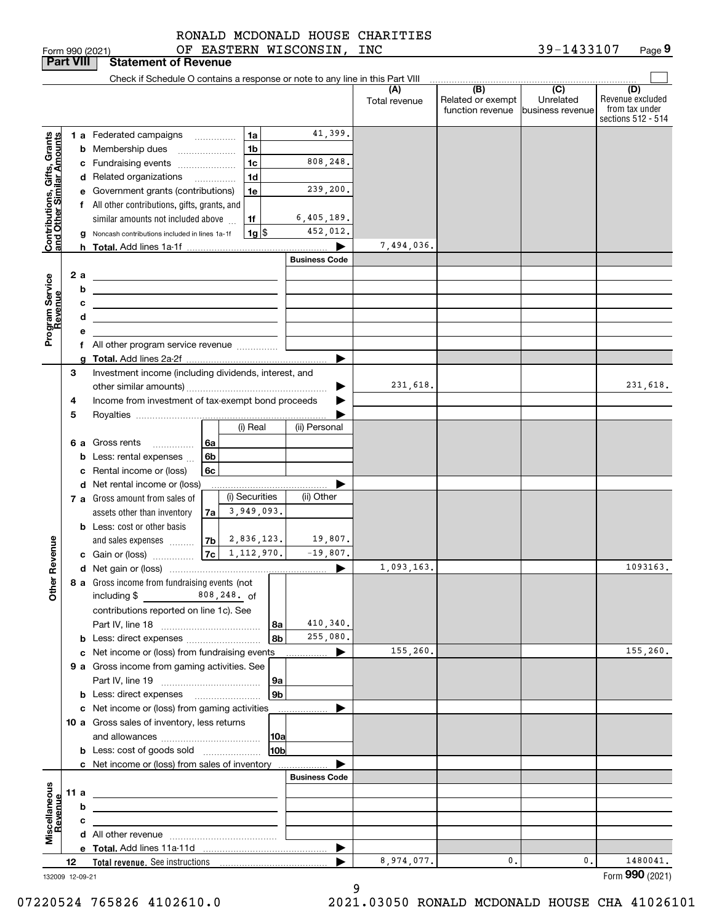|  |  |                           | RONALD MCDONALD HOUSE CHARITIES |
|--|--|---------------------------|---------------------------------|
|  |  | OF EASTERN WISCONSIN, INC |                                 |

| <b>Part VIII</b>                              |      |        | <b>Statement of Revenue</b>                                                                                           |          |                                            |                    |                       |                      |                                                           |                                                    |                                                                 |
|-----------------------------------------------|------|--------|-----------------------------------------------------------------------------------------------------------------------|----------|--------------------------------------------|--------------------|-----------------------|----------------------|-----------------------------------------------------------|----------------------------------------------------|-----------------------------------------------------------------|
|                                               |      |        | Check if Schedule O contains a response or note to any line in this Part VIII                                         |          |                                            |                    |                       |                      |                                                           |                                                    |                                                                 |
|                                               |      |        |                                                                                                                       |          |                                            |                    |                       | (A)<br>Total revenue | $\overline{(B)}$<br>Related or exempt<br>function revenue | $\overline{(C)}$<br>Unrelated<br> business revenue | (D)<br>Revenue excluded<br>from tax under<br>sections 512 - 514 |
|                                               |      |        | 1 a Federated campaigns                                                                                               |          | 1a                                         |                    | 41,399.               |                      |                                                           |                                                    |                                                                 |
| , Grants<br>mounts                            |      |        | <b>b</b> Membership dues<br>$\ldots \ldots \ldots \ldots \ldots$                                                      |          | 1 <sub>b</sub>                             |                    |                       |                      |                                                           |                                                    |                                                                 |
|                                               |      |        | c Fundraising events                                                                                                  |          | 1 <sub>c</sub>                             |                    | 808,248.              |                      |                                                           |                                                    |                                                                 |
|                                               |      |        | d Related organizations                                                                                               |          | 1 <sub>d</sub><br>$\overline{\phantom{a}}$ |                    |                       |                      |                                                           |                                                    |                                                                 |
|                                               |      |        | e Government grants (contributions)                                                                                   |          | 1e                                         |                    | 239,200.              |                      |                                                           |                                                    |                                                                 |
|                                               |      |        | f All other contributions, gifts, grants, and                                                                         |          |                                            |                    |                       |                      |                                                           |                                                    |                                                                 |
|                                               |      |        | similar amounts not included above                                                                                    |          | 1f                                         |                    | 6,405,189.            |                      |                                                           |                                                    |                                                                 |
| Contributions, Gifts,<br>and Other Similar Ar |      |        | Noncash contributions included in lines 1a-1f                                                                         |          |                                            | $1g$ $\frac{1}{3}$ | 452,012.              |                      |                                                           |                                                    |                                                                 |
|                                               |      |        |                                                                                                                       |          |                                            |                    |                       | 7,494,036.           |                                                           |                                                    |                                                                 |
|                                               |      |        |                                                                                                                       |          |                                            |                    | <b>Business Code</b>  |                      |                                                           |                                                    |                                                                 |
|                                               |      | 2a     | <u> 1989 - Johann Stein, mars an de Brasilia (b. 1989)</u>                                                            |          |                                            |                    |                       |                      |                                                           |                                                    |                                                                 |
| Program Service<br>Revenue                    |      | b      | <u> 1989 - Johann Stein, mars an deutscher Stein und der Stein und der Stein und der Stein und der Stein und der</u>  |          |                                            |                    |                       |                      |                                                           |                                                    |                                                                 |
|                                               |      | с<br>d | <u> 1989 - Andrea Stadt Britain, amerikansk politiker (</u>                                                           |          |                                            |                    |                       |                      |                                                           |                                                    |                                                                 |
|                                               |      | е      | <u> 1989 - Johann Stein, marwolaethau a bhann an t-Amhair an t-Amhair an t-Amhair an t-Amhair an t-Amhair an t-A</u>  |          |                                            |                    |                       |                      |                                                           |                                                    |                                                                 |
|                                               |      |        |                                                                                                                       |          |                                            |                    |                       |                      |                                                           |                                                    |                                                                 |
|                                               |      | a      |                                                                                                                       |          |                                            |                    | ▶                     |                      |                                                           |                                                    |                                                                 |
|                                               | З    |        | Investment income (including dividends, interest, and                                                                 |          |                                            |                    |                       |                      |                                                           |                                                    |                                                                 |
|                                               |      |        |                                                                                                                       |          |                                            |                    |                       | 231,618.             |                                                           |                                                    | 231,618.                                                        |
|                                               | 4    |        | Income from investment of tax-exempt bond proceeds                                                                    |          |                                            |                    |                       |                      |                                                           |                                                    |                                                                 |
|                                               | 5    |        |                                                                                                                       |          |                                            |                    |                       |                      |                                                           |                                                    |                                                                 |
|                                               |      |        |                                                                                                                       |          | (i) Real                                   |                    | (ii) Personal         |                      |                                                           |                                                    |                                                                 |
|                                               |      |        | <b>6 a</b> Gross rents<br>.                                                                                           | 6а       |                                            |                    |                       |                      |                                                           |                                                    |                                                                 |
|                                               |      |        | <b>b</b> Less: rental expenses<br>c Rental income or (loss)                                                           | 6b<br>6c |                                            |                    |                       |                      |                                                           |                                                    |                                                                 |
|                                               |      |        | d Net rental income or (loss)                                                                                         |          |                                            |                    |                       |                      |                                                           |                                                    |                                                                 |
|                                               |      |        | 7 a Gross amount from sales of                                                                                        |          | (i) Securities                             |                    | (ii) Other            |                      |                                                           |                                                    |                                                                 |
|                                               |      |        | assets other than inventory                                                                                           | 7a       |                                            | 3,949,093.         |                       |                      |                                                           |                                                    |                                                                 |
|                                               |      |        | <b>b</b> Less: cost or other basis                                                                                    |          |                                            |                    |                       |                      |                                                           |                                                    |                                                                 |
|                                               |      |        | and sales expenses                                                                                                    |          | $ 7b $ 2,836,123.                          |                    | 19,807.               |                      |                                                           |                                                    |                                                                 |
| Revenue                                       |      |        | c Gain or (loss)                                                                                                      |          | $ 7c $ 1, 112, 970.                        |                    | $-19,807.$            |                      |                                                           |                                                    |                                                                 |
|                                               |      |        |                                                                                                                       |          |                                            |                    | $\blacktriangleright$ | 1,093,163.           |                                                           |                                                    | 1093163.                                                        |
| <b>Othe</b>                                   |      |        | 8 a Gross income from fundraising events (not                                                                         |          |                                            |                    |                       |                      |                                                           |                                                    |                                                                 |
|                                               |      |        | $808, 248.$ of<br>including \$                                                                                        |          |                                            |                    |                       |                      |                                                           |                                                    |                                                                 |
|                                               |      |        | contributions reported on line 1c). See                                                                               |          |                                            |                    | 410,340.              |                      |                                                           |                                                    |                                                                 |
|                                               |      |        |                                                                                                                       |          |                                            | 8a<br>8b           | 255,080.              |                      |                                                           |                                                    |                                                                 |
|                                               |      |        | c Net income or (loss) from fundraising events                                                                        |          |                                            |                    | ▶                     | 155,260.             |                                                           |                                                    | 155,260.                                                        |
|                                               |      |        | 9 a Gross income from gaming activities. See                                                                          |          |                                            |                    |                       |                      |                                                           |                                                    |                                                                 |
|                                               |      |        |                                                                                                                       |          |                                            | 9a                 |                       |                      |                                                           |                                                    |                                                                 |
|                                               |      |        | <b>b</b> Less: direct expenses <b>manually</b>                                                                        |          |                                            | 9 <sub>b</sub>     |                       |                      |                                                           |                                                    |                                                                 |
|                                               |      |        | c Net income or (loss) from gaming activities                                                                         |          |                                            |                    | .                     |                      |                                                           |                                                    |                                                                 |
|                                               |      |        | 10 a Gross sales of inventory, less returns                                                                           |          |                                            |                    |                       |                      |                                                           |                                                    |                                                                 |
|                                               |      |        |                                                                                                                       |          |                                            | 10a                |                       |                      |                                                           |                                                    |                                                                 |
|                                               |      |        | <b>b</b> Less: cost of goods sold                                                                                     |          |                                            | 10b                |                       |                      |                                                           |                                                    |                                                                 |
|                                               |      |        | c Net income or (loss) from sales of inventory                                                                        |          |                                            |                    | <b>Business Code</b>  |                      |                                                           |                                                    |                                                                 |
|                                               | 11 a |        |                                                                                                                       |          |                                            |                    |                       |                      |                                                           |                                                    |                                                                 |
|                                               |      | b      | <u> 1989 - Johann Barbara, martin amerikan basar dan berasal dalam basar dalam basar dalam basar dalam basar dala</u> |          |                                            |                    |                       |                      |                                                           |                                                    |                                                                 |
|                                               |      | c      | the control of the control of the control of the control of the control of                                            |          |                                            |                    |                       |                      |                                                           |                                                    |                                                                 |
| Miscellaneous<br>Revenue                      |      |        |                                                                                                                       |          |                                            |                    |                       |                      |                                                           |                                                    |                                                                 |
|                                               |      |        |                                                                                                                       |          |                                            |                    | ▶                     |                      |                                                           |                                                    |                                                                 |
|                                               | 12   |        |                                                                                                                       |          |                                            |                    |                       | 8,974,077.           | 0.                                                        | 0.                                                 | 1480041.                                                        |
| 132009 12-09-21                               |      |        |                                                                                                                       |          |                                            |                    |                       |                      |                                                           |                                                    | Form 990 (2021)                                                 |

132009 12-09-21

9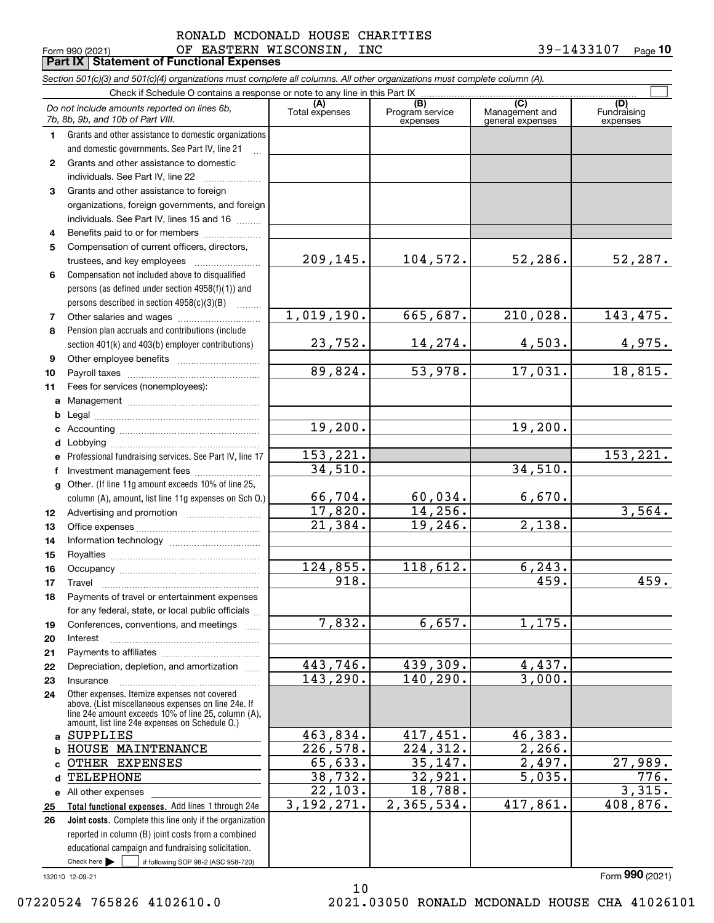## Form 990 (2021) OF EASTERN WISCONSIN, INC 39-1433107  $_{\sf Page}$ RONALD MCDONALD HOUSE CHARITIES

**Part IX Statement of Functional Expenses**

**10**

|              | Section 501(c)(3) and 501(c)(4) organizations must complete all columns. All other organizations must complete column (A).                                                                                   |                        |                                    |                                           |                                       |
|--------------|--------------------------------------------------------------------------------------------------------------------------------------------------------------------------------------------------------------|------------------------|------------------------------------|-------------------------------------------|---------------------------------------|
|              | Check if Schedule O contains a response or note to any line in this Part IX                                                                                                                                  |                        |                                    |                                           |                                       |
|              | Do not include amounts reported on lines 6b,<br>7b, 8b, 9b, and 10b of Part VIII.                                                                                                                            | (A)<br>Total expenses  | (B)<br>Program service<br>expenses | (C)<br>Management and<br>general expenses | (D)<br><b>Fundraising</b><br>expenses |
| $\mathbf{1}$ | Grants and other assistance to domestic organizations                                                                                                                                                        |                        |                                    |                                           |                                       |
|              | and domestic governments. See Part IV, line 21                                                                                                                                                               |                        |                                    |                                           |                                       |
| $\mathbf{2}$ | Grants and other assistance to domestic                                                                                                                                                                      |                        |                                    |                                           |                                       |
|              | individuals. See Part IV, line 22                                                                                                                                                                            |                        |                                    |                                           |                                       |
| 3            | Grants and other assistance to foreign                                                                                                                                                                       |                        |                                    |                                           |                                       |
|              | organizations, foreign governments, and foreign                                                                                                                                                              |                        |                                    |                                           |                                       |
|              | individuals. See Part IV, lines 15 and 16                                                                                                                                                                    |                        |                                    |                                           |                                       |
| 4            | Benefits paid to or for members                                                                                                                                                                              |                        |                                    |                                           |                                       |
| 5            | Compensation of current officers, directors,                                                                                                                                                                 |                        |                                    |                                           |                                       |
|              | trustees, and key employees                                                                                                                                                                                  | 209,145.               | 104,572.                           | 52, 286.                                  | 52,287.                               |
| 6            | Compensation not included above to disqualified                                                                                                                                                              |                        |                                    |                                           |                                       |
|              | persons (as defined under section 4958(f)(1)) and                                                                                                                                                            |                        |                                    |                                           |                                       |
|              | persons described in section $4958(c)(3)(B)$                                                                                                                                                                 |                        |                                    |                                           |                                       |
| 7            | Other salaries and wages                                                                                                                                                                                     | 1,019,190.             | 665,687.                           | 210,028.                                  | 143,475.                              |
| 8            | Pension plan accruals and contributions (include                                                                                                                                                             |                        |                                    |                                           |                                       |
|              | section 401(k) and 403(b) employer contributions)                                                                                                                                                            | 23,752.                | 14,274.                            | 4,503.                                    | 4,975.                                |
| 9            | Other employee benefits                                                                                                                                                                                      |                        |                                    |                                           |                                       |
| 10           |                                                                                                                                                                                                              | 89,824.                | 53,978.                            | 17,031.                                   | 18,815.                               |
| 11           | Fees for services (nonemployees):                                                                                                                                                                            |                        |                                    |                                           |                                       |
| a            |                                                                                                                                                                                                              |                        |                                    |                                           |                                       |
| b            |                                                                                                                                                                                                              | 19,200.                |                                    | 19,200.                                   |                                       |
| c            |                                                                                                                                                                                                              |                        |                                    |                                           |                                       |
| d            |                                                                                                                                                                                                              | 153,221.               |                                    |                                           | 153,221.                              |
| е            | Professional fundraising services. See Part IV, line 17                                                                                                                                                      | 34,510.                |                                    | 34,510.                                   |                                       |
| f            |                                                                                                                                                                                                              |                        |                                    |                                           |                                       |
| g            | Other. (If line 11g amount exceeds 10% of line 25,                                                                                                                                                           | 66,704.                | 60,034.                            | 6,670.                                    |                                       |
|              | column (A), amount, list line 11g expenses on Sch O.)                                                                                                                                                        | 17,820.                | 14,256.                            |                                           | 3,564.                                |
| 12           |                                                                                                                                                                                                              | 21,384.                | 19,246.                            | 2,138.                                    |                                       |
| 13<br>14     |                                                                                                                                                                                                              |                        |                                    |                                           |                                       |
| 15           |                                                                                                                                                                                                              |                        |                                    |                                           |                                       |
| 16           |                                                                                                                                                                                                              | 124, 855.              | 118,612.                           | 6, 243.                                   |                                       |
| 17           |                                                                                                                                                                                                              | 918.                   |                                    | 459.                                      | 459.                                  |
| 18           | Payments of travel or entertainment expenses                                                                                                                                                                 |                        |                                    |                                           |                                       |
|              | for any federal, state, or local public officials                                                                                                                                                            |                        |                                    |                                           |                                       |
| 19           | Conferences, conventions, and meetings                                                                                                                                                                       | 7,832.                 | 6,657.                             | 1,175.                                    |                                       |
| 20           | Interest                                                                                                                                                                                                     |                        |                                    |                                           |                                       |
| 21           |                                                                                                                                                                                                              |                        |                                    |                                           |                                       |
| 22           | Depreciation, depletion, and amortization                                                                                                                                                                    | 443,746.               | 439,309.                           | 4,437.                                    |                                       |
| 23           | Insurance                                                                                                                                                                                                    | 143,290.               | 140,290.                           | 3,000.                                    |                                       |
| 24           | Other expenses. Itemize expenses not covered<br>above. (List miscellaneous expenses on line 24e. If<br>line 24e amount exceeds 10% of line 25, column (A),<br>amount, list line 24e expenses on Schedule O.) |                        |                                    |                                           |                                       |
| a            | SUPPLIES                                                                                                                                                                                                     | 463,834.               | 417,451.                           | 46,383.                                   |                                       |
| b            | HOUSE MAINTENANCE                                                                                                                                                                                            | $\overline{226,578}$ . | 224,312.                           | 2,266.                                    |                                       |
| C            | OTHER EXPENSES                                                                                                                                                                                               | 65,633.                | 35,147.                            | 2,497.                                    | 27,989.                               |
| d            | <b>TELEPHONE</b>                                                                                                                                                                                             | 38,732.                | 32,921.                            | 5,035.                                    | 776.                                  |
| е            | All other expenses                                                                                                                                                                                           | 22,103.                | 18,788.                            |                                           | 3,315.                                |
| 25           | Total functional expenses. Add lines 1 through 24e                                                                                                                                                           | 3, 192, 271.           | 2,365,534.                         | 417,861.                                  | 408,876.                              |
| 26           | Joint costs. Complete this line only if the organization                                                                                                                                                     |                        |                                    |                                           |                                       |
|              | reported in column (B) joint costs from a combined                                                                                                                                                           |                        |                                    |                                           |                                       |
|              | educational campaign and fundraising solicitation.                                                                                                                                                           |                        |                                    |                                           |                                       |
|              | Check here $\blacktriangleright$<br>if following SOP 98-2 (ASC 958-720)                                                                                                                                      |                        |                                    |                                           |                                       |
|              | 132010 12-09-21                                                                                                                                                                                              |                        |                                    |                                           | Form 990 (2021)                       |

10

132010 12-09-21

07220524 765826 4102610.0 2021.03050 RONALD MCDONALD HOUSE CHA 41026101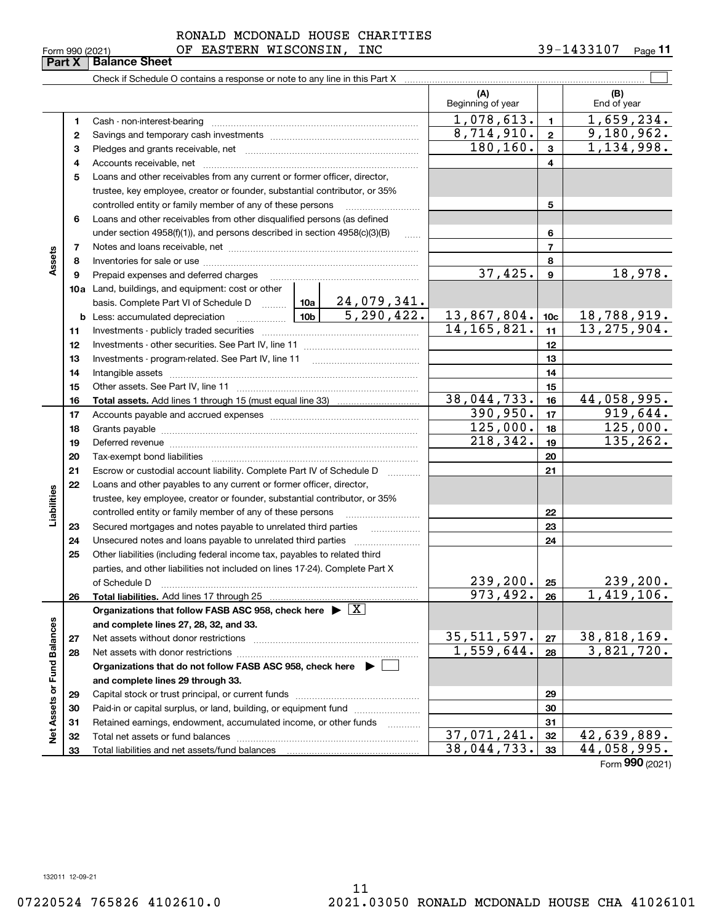# RONALD MCDONALD HOUSE CHARITIES

|                             | Form 990 (2021) | OF EASTERN WISCONSIN, INC                                                                                                                                  |                         |                     |                          |                 | 39-1433107<br>$_{\rm Page}$ 11 |
|-----------------------------|-----------------|------------------------------------------------------------------------------------------------------------------------------------------------------------|-------------------------|---------------------|--------------------------|-----------------|--------------------------------|
|                             | Part X          | <b>Balance Sheet</b>                                                                                                                                       |                         |                     |                          |                 |                                |
|                             |                 |                                                                                                                                                            |                         |                     |                          |                 |                                |
|                             |                 |                                                                                                                                                            |                         |                     | (A)<br>Beginning of year |                 | (B)<br>End of year             |
|                             | 1               | Cash - non-interest-bearing                                                                                                                                |                         |                     | 1,078,613.               | $\mathbf{1}$    | 1,659,234.                     |
|                             | 2               |                                                                                                                                                            |                         |                     | 8,714,910.               | $\mathbf{2}$    | 9,180,962.                     |
|                             | з               |                                                                                                                                                            |                         |                     | 180, 160.                | 3               | 1,134,998.                     |
|                             | 4               |                                                                                                                                                            |                         |                     |                          | 4               |                                |
|                             | 5               | Loans and other receivables from any current or former officer, director,                                                                                  |                         |                     |                          |                 |                                |
|                             |                 | trustee, key employee, creator or founder, substantial contributor, or 35%                                                                                 |                         |                     |                          |                 |                                |
|                             |                 | controlled entity or family member of any of these persons                                                                                                 |                         |                     |                          | 5               |                                |
|                             | 6               | Loans and other receivables from other disqualified persons (as defined                                                                                    |                         |                     |                          |                 |                                |
|                             |                 | under section 4958(f)(1)), and persons described in section 4958(c)(3)(B)                                                                                  |                         | $\ldots$            |                          | 6               |                                |
|                             | 7               |                                                                                                                                                            |                         | 7                   |                          |                 |                                |
| Assets                      | 8               |                                                                                                                                                            |                         | 8                   |                          |                 |                                |
|                             | 9               | Prepaid expenses and deferred charges                                                                                                                      |                         | 37,425.             | 9                        | 18,978.         |                                |
|                             |                 | <b>10a</b> Land, buildings, and equipment: cost or other                                                                                                   |                         |                     |                          |                 |                                |
|                             |                 | basis. Complete Part VI of Schedule D    10a   24,079,341.                                                                                                 |                         |                     |                          |                 |                                |
|                             |                 | <b>b</b> Less: accumulated depreciation                                                                                                                    |                         | 5,290,422.          | 13,867,804.              | 10 <sub>c</sub> | 18,788,919.                    |
|                             | 11              |                                                                                                                                                            |                         |                     | 14, 165, 821.            | 11              | 13, 275, 904.                  |
|                             | 12              |                                                                                                                                                            |                         |                     |                          | 12              |                                |
|                             | 13              |                                                                                                                                                            |                         | 13                  |                          |                 |                                |
|                             | 14              |                                                                                                                                                            |                         | 14                  |                          |                 |                                |
|                             | 15              |                                                                                                                                                            |                         |                     |                          | 15              |                                |
|                             | 16              |                                                                                                                                                            |                         |                     | 38,044,733.              | 16              | 44,058,995.                    |
|                             | 17              |                                                                                                                                                            | 390, 950.               | 17                  | 919,644.                 |                 |                                |
|                             | 18              |                                                                                                                                                            | $\overline{125}$ , 000. | 18                  | 125,000.                 |                 |                                |
|                             | 19              | Deferred revenue imminimum contracts and the contracts of the contracts and the contracts of the contracts of                                              |                         |                     | 218,342.                 | 19              | 135,262.                       |
|                             | 20              |                                                                                                                                                            |                         |                     |                          | 20              |                                |
|                             | 21              | Escrow or custodial account liability. Complete Part IV of Schedule D                                                                                      |                         | 1.1.1.1.1.1.1.1.1.1 |                          | 21              |                                |
|                             | 22              | Loans and other payables to any current or former officer, director,                                                                                       |                         |                     |                          |                 |                                |
| Liabilities                 |                 | trustee, key employee, creator or founder, substantial contributor, or 35%                                                                                 |                         |                     |                          |                 |                                |
|                             |                 | controlled entity or family member of any of these persons                                                                                                 |                         |                     |                          | 22              |                                |
|                             | 23              | Secured mortgages and notes payable to unrelated third parties                                                                                             |                         | .                   |                          | 23              |                                |
|                             | 24<br>25        |                                                                                                                                                            |                         |                     |                          | 24              |                                |
|                             |                 | Other liabilities (including federal income tax, payables to related third<br>parties, and other liabilities not included on lines 17-24). Complete Part X |                         |                     |                          |                 |                                |
|                             |                 | of Schedule D                                                                                                                                              |                         |                     | 239,200.                 | 25              | 239,200.                       |
|                             | 26              | Total liabilities. Add lines 17 through 25                                                                                                                 |                         |                     | 973,492.                 | 26              | $\overline{1,419},106.$        |
|                             |                 | Organizations that follow FASB ASC 958, check here $\blacktriangleright \boxed{X}$                                                                         |                         |                     |                          |                 |                                |
|                             |                 | and complete lines 27, 28, 32, and 33.                                                                                                                     |                         |                     |                          |                 |                                |
|                             | 27              | Net assets without donor restrictions                                                                                                                      |                         |                     | 35, 511, 597.            | 27              | 38,818,169.                    |
|                             | 28              |                                                                                                                                                            |                         |                     | 1,559,644.               | 28              | 3,821,720.                     |
|                             |                 | Organizations that do not follow FASB ASC 958, check here $\blacktriangleright$                                                                            |                         |                     |                          |                 |                                |
|                             |                 | and complete lines 29 through 33.                                                                                                                          |                         |                     |                          |                 |                                |
| Net Assets or Fund Balances | 29              |                                                                                                                                                            |                         |                     |                          | 29              |                                |
|                             | 30              | Paid-in or capital surplus, or land, building, or equipment fund                                                                                           |                         |                     |                          | 30              |                                |
|                             | 31              | Retained earnings, endowment, accumulated income, or other funds                                                                                           |                         | .                   |                          | 31              |                                |
|                             | 32              |                                                                                                                                                            |                         |                     | 37,071,241.              | 32              | 42,639,889.                    |
|                             | 33              |                                                                                                                                                            |                         |                     | 38,044,733.              | 33              | 44,058,995.<br>$000 \times 22$ |

Form (2021) **990**

132011 12-09-21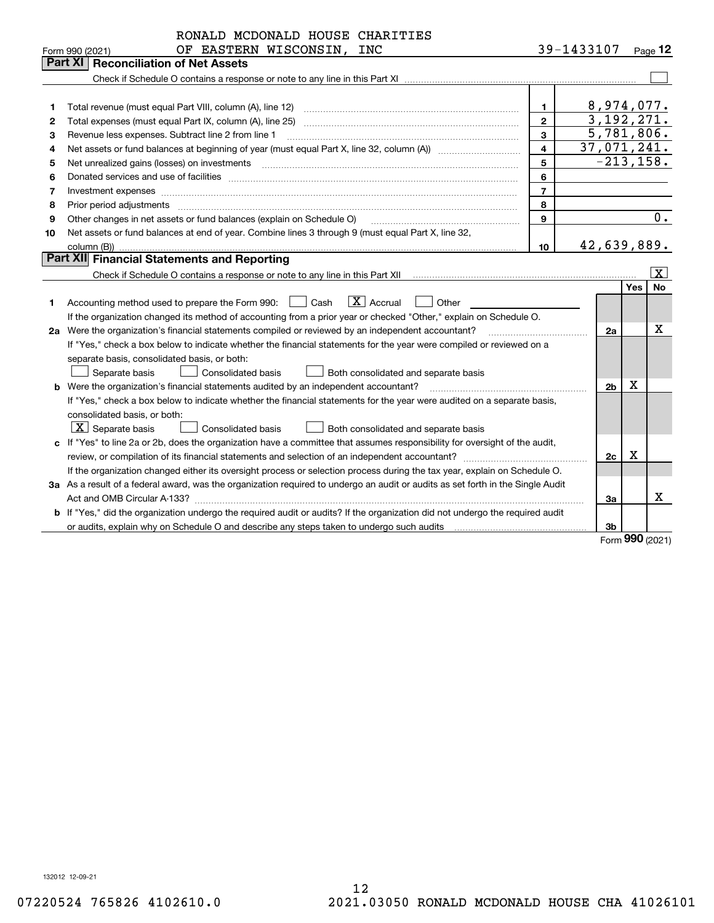|    | RONALD MCDONALD HOUSE CHARITIES                                                                                                                                                                                                                                                                                                                                                                                                                                                                             |                         |             |                |     |                             |
|----|-------------------------------------------------------------------------------------------------------------------------------------------------------------------------------------------------------------------------------------------------------------------------------------------------------------------------------------------------------------------------------------------------------------------------------------------------------------------------------------------------------------|-------------------------|-------------|----------------|-----|-----------------------------|
|    | OF EASTERN WISCONSIN, INC<br>Form 990 (2021)                                                                                                                                                                                                                                                                                                                                                                                                                                                                |                         | 39-1433107  |                |     | Page 12                     |
|    | Part XI   Reconciliation of Net Assets                                                                                                                                                                                                                                                                                                                                                                                                                                                                      |                         |             |                |     |                             |
|    |                                                                                                                                                                                                                                                                                                                                                                                                                                                                                                             |                         |             |                |     |                             |
|    |                                                                                                                                                                                                                                                                                                                                                                                                                                                                                                             |                         |             |                |     |                             |
| 1  |                                                                                                                                                                                                                                                                                                                                                                                                                                                                                                             | 1                       |             |                |     | 8,974,077.                  |
| 2  | Total expenses (must equal Part IX, column (A), line 25)                                                                                                                                                                                                                                                                                                                                                                                                                                                    | $\overline{2}$          |             |                |     | 3,192,271.                  |
| з  | Revenue less expenses. Subtract line 2 from line 1                                                                                                                                                                                                                                                                                                                                                                                                                                                          | 3                       |             |                |     | 5,781,806.                  |
| 4  |                                                                                                                                                                                                                                                                                                                                                                                                                                                                                                             | $\overline{\mathbf{4}}$ |             |                |     | 37,071,241.                 |
| 5  | Net unrealized gains (losses) on investments<br>$\begin{minipage}{0.5\textwidth} \begin{tabular}{ l l l } \hline & \multicolumn{1}{ l l } \hline & \multicolumn{1}{ l } \hline \multicolumn{1}{ l } \hline \multicolumn{1}{ l } \hline \multicolumn{1}{ l } \hline \multicolumn{1}{ l } \hline \multicolumn{1}{ l } \hline \multicolumn{1}{ l } \hline \multicolumn{1}{ l } \hline \multicolumn{1}{ l } \hline \multicolumn{1}{ l } \hline \multicolumn{1}{ l } \hline \multicolumn{1}{ l } \hline \multic$ | 5                       |             |                |     | $-213, 158.$                |
| 6  |                                                                                                                                                                                                                                                                                                                                                                                                                                                                                                             | 6                       |             |                |     |                             |
| 7  | Investment expenses www.communication.com/www.communication.com/www.communication.com/www.communication.com                                                                                                                                                                                                                                                                                                                                                                                                 | $\overline{7}$          |             |                |     |                             |
| 8  | Prior period adjustments                                                                                                                                                                                                                                                                                                                                                                                                                                                                                    | 8                       |             |                |     |                             |
| 9  | Other changes in net assets or fund balances (explain on Schedule O)                                                                                                                                                                                                                                                                                                                                                                                                                                        | 9                       |             |                |     | 0.                          |
| 10 | Net assets or fund balances at end of year. Combine lines 3 through 9 (must equal Part X, line 32,                                                                                                                                                                                                                                                                                                                                                                                                          |                         |             |                |     |                             |
|    | column (B))                                                                                                                                                                                                                                                                                                                                                                                                                                                                                                 | 10                      | 42,639,889. |                |     |                             |
|    | Part XII Financial Statements and Reporting                                                                                                                                                                                                                                                                                                                                                                                                                                                                 |                         |             |                |     |                             |
|    |                                                                                                                                                                                                                                                                                                                                                                                                                                                                                                             |                         |             |                |     | $\overline{\mathbf{X}}$     |
|    |                                                                                                                                                                                                                                                                                                                                                                                                                                                                                                             |                         |             |                | Yes | <b>No</b>                   |
| 1  | $ X $ Accrual<br>Accounting method used to prepare the Form 990: <u>[16</u> ] Cash<br>Other                                                                                                                                                                                                                                                                                                                                                                                                                 |                         |             |                |     |                             |
|    | If the organization changed its method of accounting from a prior year or checked "Other," explain on Schedule O.                                                                                                                                                                                                                                                                                                                                                                                           |                         |             |                |     |                             |
|    | 2a Were the organization's financial statements compiled or reviewed by an independent accountant?                                                                                                                                                                                                                                                                                                                                                                                                          |                         |             | 2a             |     | x                           |
|    | If "Yes," check a box below to indicate whether the financial statements for the year were compiled or reviewed on a                                                                                                                                                                                                                                                                                                                                                                                        |                         |             |                |     |                             |
|    | separate basis, consolidated basis, or both:                                                                                                                                                                                                                                                                                                                                                                                                                                                                |                         |             |                |     |                             |
|    | Separate basis<br>Both consolidated and separate basis<br>Consolidated basis                                                                                                                                                                                                                                                                                                                                                                                                                                |                         |             |                |     |                             |
|    | b Were the organization's financial statements audited by an independent accountant?                                                                                                                                                                                                                                                                                                                                                                                                                        |                         |             | 2 <sub>b</sub> | X   |                             |
|    | If "Yes," check a box below to indicate whether the financial statements for the year were audited on a separate basis,                                                                                                                                                                                                                                                                                                                                                                                     |                         |             |                |     |                             |
|    | consolidated basis, or both:                                                                                                                                                                                                                                                                                                                                                                                                                                                                                |                         |             |                |     |                             |
|    | $X$ Separate basis<br><b>Consolidated basis</b><br>Both consolidated and separate basis                                                                                                                                                                                                                                                                                                                                                                                                                     |                         |             |                |     |                             |
|    | c If "Yes" to line 2a or 2b, does the organization have a committee that assumes responsibility for oversight of the audit,                                                                                                                                                                                                                                                                                                                                                                                 |                         |             |                |     |                             |
|    |                                                                                                                                                                                                                                                                                                                                                                                                                                                                                                             |                         |             | 2c             | Χ   |                             |
|    | If the organization changed either its oversight process or selection process during the tax year, explain on Schedule O.                                                                                                                                                                                                                                                                                                                                                                                   |                         |             |                |     |                             |
|    | 3a As a result of a federal award, was the organization required to undergo an audit or audits as set forth in the Single Audit                                                                                                                                                                                                                                                                                                                                                                             |                         |             |                |     |                             |
|    |                                                                                                                                                                                                                                                                                                                                                                                                                                                                                                             |                         |             | 3a             |     | x                           |
|    | <b>b</b> If "Yes," did the organization undergo the required audit or audits? If the organization did not undergo the required audit                                                                                                                                                                                                                                                                                                                                                                        |                         |             |                |     |                             |
|    | or audits, explain why on Schedule O and describe any steps taken to undergo such audits matures and successive matures.                                                                                                                                                                                                                                                                                                                                                                                    |                         |             | 3b             |     | $F_{\text{orm}}$ 990 (2021) |
|    |                                                                                                                                                                                                                                                                                                                                                                                                                                                                                                             |                         |             |                |     |                             |

Form (2021) **990**

132012 12-09-21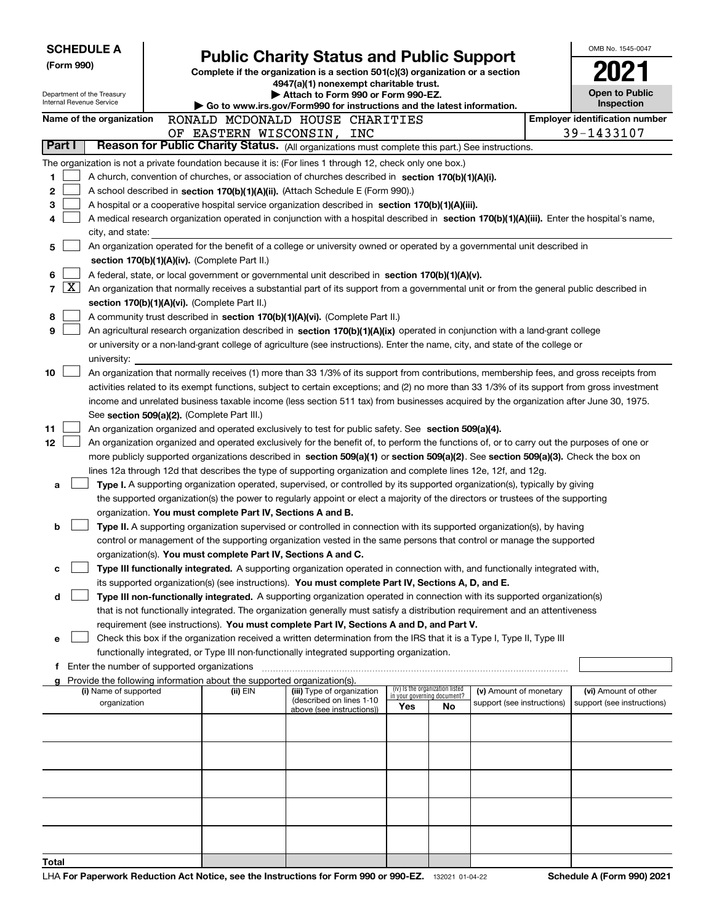| (Form 990)<br>Internal Revenue Service | <b>SCHEDULE A</b><br>Department of the Treasury | <b>Public Charity Status and Public Support</b><br>Complete if the organization is a section 501(c)(3) organization or a section<br>4947(a)(1) nonexempt charitable trust.<br>Attach to Form 990 or Form 990-EZ.<br>Go to www.irs.gov/Form990 for instructions and the latest information. | OMB No. 1545-0047<br><b>Open to Public</b><br>Inspection |     |                                                                |    |                            |  |                                                                                                                                              |
|----------------------------------------|-------------------------------------------------|--------------------------------------------------------------------------------------------------------------------------------------------------------------------------------------------------------------------------------------------------------------------------------------------|----------------------------------------------------------|-----|----------------------------------------------------------------|----|----------------------------|--|----------------------------------------------------------------------------------------------------------------------------------------------|
|                                        | Name of the organization                        | RONALD MCDONALD HOUSE CHARITIES                                                                                                                                                                                                                                                            |                                                          |     |                                                                |    |                            |  | <b>Employer identification number</b>                                                                                                        |
|                                        |                                                 | OF EASTERN WISCONSIN,                                                                                                                                                                                                                                                                      |                                                          | INC |                                                                |    |                            |  | 39-1433107                                                                                                                                   |
| Part I                                 |                                                 | Reason for Public Charity Status. (All organizations must complete this part.) See instructions.                                                                                                                                                                                           |                                                          |     |                                                                |    |                            |  |                                                                                                                                              |
|                                        |                                                 | The organization is not a private foundation because it is: (For lines 1 through 12, check only one box.)                                                                                                                                                                                  |                                                          |     |                                                                |    |                            |  |                                                                                                                                              |
| 1                                      |                                                 | A church, convention of churches, or association of churches described in section 170(b)(1)(A)(i).                                                                                                                                                                                         |                                                          |     |                                                                |    |                            |  |                                                                                                                                              |
| 2                                      |                                                 | A school described in section 170(b)(1)(A)(ii). (Attach Schedule E (Form 990).)                                                                                                                                                                                                            |                                                          |     |                                                                |    |                            |  |                                                                                                                                              |
| 3                                      |                                                 | A hospital or a cooperative hospital service organization described in section 170(b)(1)(A)(iii).                                                                                                                                                                                          |                                                          |     |                                                                |    |                            |  |                                                                                                                                              |
| 4                                      |                                                 | A medical research organization operated in conjunction with a hospital described in section 170(b)(1)(A)(iii). Enter the hospital's name,                                                                                                                                                 |                                                          |     |                                                                |    |                            |  |                                                                                                                                              |
|                                        | city, and state:                                |                                                                                                                                                                                                                                                                                            |                                                          |     |                                                                |    |                            |  |                                                                                                                                              |
| 5                                      |                                                 | An organization operated for the benefit of a college or university owned or operated by a governmental unit described in                                                                                                                                                                  |                                                          |     |                                                                |    |                            |  |                                                                                                                                              |
|                                        |                                                 | section 170(b)(1)(A)(iv). (Complete Part II.)                                                                                                                                                                                                                                              |                                                          |     |                                                                |    |                            |  |                                                                                                                                              |
| 6                                      |                                                 | A federal, state, or local government or governmental unit described in section 170(b)(1)(A)(v).                                                                                                                                                                                           |                                                          |     |                                                                |    |                            |  |                                                                                                                                              |
| $\lfloor x \rfloor$<br>7               |                                                 | An organization that normally receives a substantial part of its support from a governmental unit or from the general public described in                                                                                                                                                  |                                                          |     |                                                                |    |                            |  |                                                                                                                                              |
|                                        |                                                 | section 170(b)(1)(A)(vi). (Complete Part II.)                                                                                                                                                                                                                                              |                                                          |     |                                                                |    |                            |  |                                                                                                                                              |
| 8                                      |                                                 | A community trust described in section 170(b)(1)(A)(vi). (Complete Part II.)                                                                                                                                                                                                               |                                                          |     |                                                                |    |                            |  |                                                                                                                                              |
| 9                                      |                                                 | An agricultural research organization described in section 170(b)(1)(A)(ix) operated in conjunction with a land-grant college                                                                                                                                                              |                                                          |     |                                                                |    |                            |  |                                                                                                                                              |
|                                        |                                                 | or university or a non-land-grant college of agriculture (see instructions). Enter the name, city, and state of the college or                                                                                                                                                             |                                                          |     |                                                                |    |                            |  |                                                                                                                                              |
|                                        | university:                                     |                                                                                                                                                                                                                                                                                            |                                                          |     |                                                                |    |                            |  |                                                                                                                                              |
| 10                                     |                                                 |                                                                                                                                                                                                                                                                                            |                                                          |     |                                                                |    |                            |  | An organization that normally receives (1) more than 33 1/3% of its support from contributions, membership fees, and gross receipts from     |
|                                        |                                                 |                                                                                                                                                                                                                                                                                            |                                                          |     |                                                                |    |                            |  | activities related to its exempt functions, subject to certain exceptions; and (2) no more than 33 1/3% of its support from gross investment |
|                                        |                                                 | income and unrelated business taxable income (less section 511 tax) from businesses acquired by the organization after June 30, 1975.                                                                                                                                                      |                                                          |     |                                                                |    |                            |  |                                                                                                                                              |
|                                        |                                                 | See section 509(a)(2). (Complete Part III.)                                                                                                                                                                                                                                                |                                                          |     |                                                                |    |                            |  |                                                                                                                                              |
| 11                                     |                                                 | An organization organized and operated exclusively to test for public safety. See section 509(a)(4).                                                                                                                                                                                       |                                                          |     |                                                                |    |                            |  |                                                                                                                                              |
| 12                                     |                                                 | An organization organized and operated exclusively for the benefit of, to perform the functions of, or to carry out the purposes of one or                                                                                                                                                 |                                                          |     |                                                                |    |                            |  |                                                                                                                                              |
|                                        |                                                 | more publicly supported organizations described in section 509(a)(1) or section 509(a)(2). See section 509(a)(3). Check the box on                                                                                                                                                         |                                                          |     |                                                                |    |                            |  |                                                                                                                                              |
|                                        |                                                 | lines 12a through 12d that describes the type of supporting organization and complete lines 12e, 12f, and 12g.                                                                                                                                                                             |                                                          |     |                                                                |    |                            |  |                                                                                                                                              |
| a                                      |                                                 | Type I. A supporting organization operated, supervised, or controlled by its supported organization(s), typically by giving                                                                                                                                                                |                                                          |     |                                                                |    |                            |  |                                                                                                                                              |
|                                        |                                                 | the supported organization(s) the power to regularly appoint or elect a majority of the directors or trustees of the supporting                                                                                                                                                            |                                                          |     |                                                                |    |                            |  |                                                                                                                                              |
|                                        |                                                 | organization. You must complete Part IV, Sections A and B.                                                                                                                                                                                                                                 |                                                          |     |                                                                |    |                            |  |                                                                                                                                              |
| b                                      |                                                 | Type II. A supporting organization supervised or controlled in connection with its supported organization(s), by having                                                                                                                                                                    |                                                          |     |                                                                |    |                            |  |                                                                                                                                              |
|                                        |                                                 | control or management of the supporting organization vested in the same persons that control or manage the supported                                                                                                                                                                       |                                                          |     |                                                                |    |                            |  |                                                                                                                                              |
|                                        |                                                 | organization(s). You must complete Part IV, Sections A and C.                                                                                                                                                                                                                              |                                                          |     |                                                                |    |                            |  |                                                                                                                                              |
|                                        |                                                 | Type III functionally integrated. A supporting organization operated in connection with, and functionally integrated with,                                                                                                                                                                 |                                                          |     |                                                                |    |                            |  |                                                                                                                                              |
|                                        |                                                 | its supported organization(s) (see instructions). You must complete Part IV, Sections A, D, and E.                                                                                                                                                                                         |                                                          |     |                                                                |    |                            |  |                                                                                                                                              |
| d                                      |                                                 | Type III non-functionally integrated. A supporting organization operated in connection with its supported organization(s)                                                                                                                                                                  |                                                          |     |                                                                |    |                            |  |                                                                                                                                              |
|                                        |                                                 | that is not functionally integrated. The organization generally must satisfy a distribution requirement and an attentiveness                                                                                                                                                               |                                                          |     |                                                                |    |                            |  |                                                                                                                                              |
|                                        |                                                 | requirement (see instructions). You must complete Part IV, Sections A and D, and Part V.<br>Check this box if the organization received a written determination from the IRS that it is a Type I, Type II, Type III                                                                        |                                                          |     |                                                                |    |                            |  |                                                                                                                                              |
| е                                      |                                                 | functionally integrated, or Type III non-functionally integrated supporting organization.                                                                                                                                                                                                  |                                                          |     |                                                                |    |                            |  |                                                                                                                                              |
|                                        | Enter the number of supported organizations     |                                                                                                                                                                                                                                                                                            |                                                          |     |                                                                |    |                            |  |                                                                                                                                              |
|                                        |                                                 | g Provide the following information about the supported organization(s).                                                                                                                                                                                                                   |                                                          |     |                                                                |    |                            |  |                                                                                                                                              |
|                                        | (i) Name of supported                           | (ii) EIN                                                                                                                                                                                                                                                                                   | (iii) Type of organization                               |     | (iv) Is the organization listed<br>in your governing document? |    | (v) Amount of monetary     |  | (vi) Amount of other                                                                                                                         |
|                                        | organization                                    |                                                                                                                                                                                                                                                                                            | (described on lines 1-10<br>above (see instructions))    |     | Yes                                                            | No | support (see instructions) |  | support (see instructions)                                                                                                                   |
|                                        |                                                 |                                                                                                                                                                                                                                                                                            |                                                          |     |                                                                |    |                            |  |                                                                                                                                              |
|                                        |                                                 |                                                                                                                                                                                                                                                                                            |                                                          |     |                                                                |    |                            |  |                                                                                                                                              |
|                                        |                                                 |                                                                                                                                                                                                                                                                                            |                                                          |     |                                                                |    |                            |  |                                                                                                                                              |
|                                        |                                                 |                                                                                                                                                                                                                                                                                            |                                                          |     |                                                                |    |                            |  |                                                                                                                                              |
|                                        |                                                 |                                                                                                                                                                                                                                                                                            |                                                          |     |                                                                |    |                            |  |                                                                                                                                              |
|                                        |                                                 |                                                                                                                                                                                                                                                                                            |                                                          |     |                                                                |    |                            |  |                                                                                                                                              |
|                                        |                                                 |                                                                                                                                                                                                                                                                                            |                                                          |     |                                                                |    |                            |  |                                                                                                                                              |
|                                        |                                                 |                                                                                                                                                                                                                                                                                            |                                                          |     |                                                                |    |                            |  |                                                                                                                                              |
|                                        |                                                 |                                                                                                                                                                                                                                                                                            |                                                          |     |                                                                |    |                            |  |                                                                                                                                              |
|                                        |                                                 |                                                                                                                                                                                                                                                                                            |                                                          |     |                                                                |    |                            |  |                                                                                                                                              |
| Total                                  |                                                 |                                                                                                                                                                                                                                                                                            |                                                          |     |                                                                |    |                            |  |                                                                                                                                              |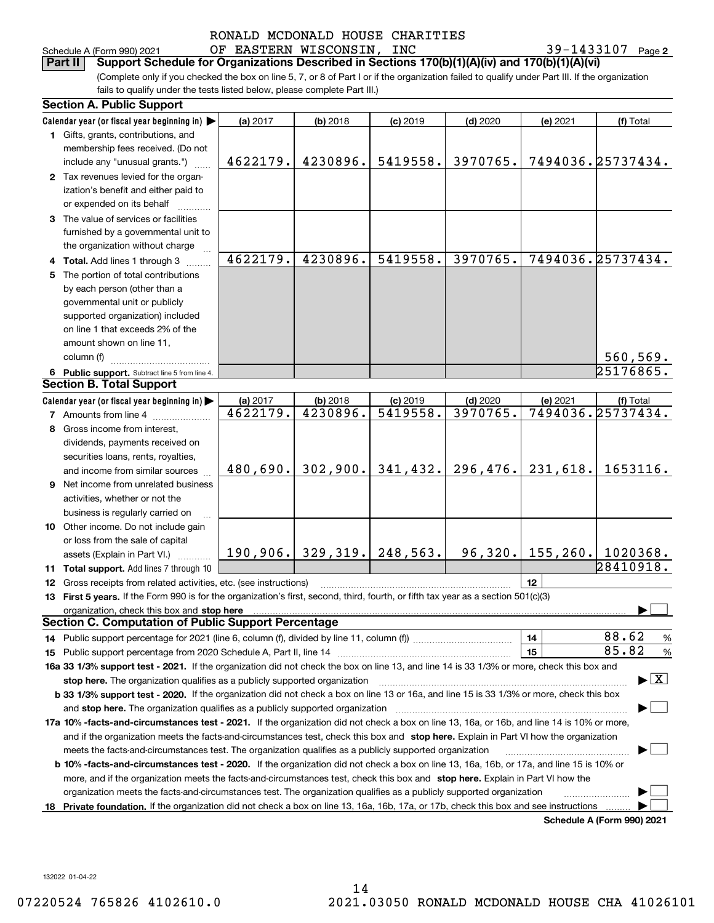## Schedule A (Form 990) 2021 OF EASTERN WISCONSIN,INC 39-1433107  $\,$  Page RONALD MCDONALD HOUSE CHARITIES

39-1433107 Page 2

(Complete only if you checked the box on line 5, 7, or 8 of Part I or if the organization failed to qualify under Part III. If the organization **Part II Support Schedule for Organizations Described in Sections 170(b)(1)(A)(iv) and 170(b)(1)(A)(vi)**

fails to qualify under the tests listed below, please complete Part III.)

|     | <b>Section A. Public Support</b>                                                                                                                                                                                                                                                    |          |                                 |                       |            |                      |                                |  |  |  |  |  |  |
|-----|-------------------------------------------------------------------------------------------------------------------------------------------------------------------------------------------------------------------------------------------------------------------------------------|----------|---------------------------------|-----------------------|------------|----------------------|--------------------------------|--|--|--|--|--|--|
|     | Calendar year (or fiscal year beginning in)                                                                                                                                                                                                                                         | (a) 2017 | (b) 2018                        | $(c)$ 2019            | $(d)$ 2020 | (e) 2021             | (f) Total                      |  |  |  |  |  |  |
|     | 1 Gifts, grants, contributions, and                                                                                                                                                                                                                                                 |          |                                 |                       |            |                      |                                |  |  |  |  |  |  |
|     | membership fees received. (Do not                                                                                                                                                                                                                                                   |          |                                 |                       |            |                      |                                |  |  |  |  |  |  |
|     | include any "unusual grants.")                                                                                                                                                                                                                                                      | 4622179. | 4230896.                        | 5419558.              | 3970765.   |                      | 7494036.25737434.              |  |  |  |  |  |  |
|     | 2 Tax revenues levied for the organ-                                                                                                                                                                                                                                                |          |                                 |                       |            |                      |                                |  |  |  |  |  |  |
|     | ization's benefit and either paid to                                                                                                                                                                                                                                                |          |                                 |                       |            |                      |                                |  |  |  |  |  |  |
|     | or expended on its behalf                                                                                                                                                                                                                                                           |          |                                 |                       |            |                      |                                |  |  |  |  |  |  |
|     | 3 The value of services or facilities                                                                                                                                                                                                                                               |          |                                 |                       |            |                      |                                |  |  |  |  |  |  |
|     | furnished by a governmental unit to                                                                                                                                                                                                                                                 |          |                                 |                       |            |                      |                                |  |  |  |  |  |  |
|     | the organization without charge                                                                                                                                                                                                                                                     |          |                                 |                       |            |                      |                                |  |  |  |  |  |  |
|     | Total. Add lines 1 through 3                                                                                                                                                                                                                                                        | 4622179. | 4230896.                        | 5419558.              | 3970765.   |                      | 7494036.25737434.              |  |  |  |  |  |  |
| 5.  | The portion of total contributions                                                                                                                                                                                                                                                  |          |                                 |                       |            |                      |                                |  |  |  |  |  |  |
|     | by each person (other than a                                                                                                                                                                                                                                                        |          |                                 |                       |            |                      |                                |  |  |  |  |  |  |
|     | governmental unit or publicly                                                                                                                                                                                                                                                       |          |                                 |                       |            |                      |                                |  |  |  |  |  |  |
|     | supported organization) included                                                                                                                                                                                                                                                    |          |                                 |                       |            |                      |                                |  |  |  |  |  |  |
|     | on line 1 that exceeds 2% of the                                                                                                                                                                                                                                                    |          |                                 |                       |            |                      |                                |  |  |  |  |  |  |
|     | amount shown on line 11,                                                                                                                                                                                                                                                            |          |                                 |                       |            |                      |                                |  |  |  |  |  |  |
|     | column (f)                                                                                                                                                                                                                                                                          |          |                                 |                       |            |                      | 560,569.                       |  |  |  |  |  |  |
|     | 6 Public support. Subtract line 5 from line 4.                                                                                                                                                                                                                                      |          |                                 |                       |            |                      | 25176865.                      |  |  |  |  |  |  |
|     | <b>Section B. Total Support</b>                                                                                                                                                                                                                                                     |          |                                 |                       |            |                      |                                |  |  |  |  |  |  |
|     | Calendar year (or fiscal year beginning in)                                                                                                                                                                                                                                         | (a) 2017 | $(b)$ 2018                      | $(c)$ 2019            | $(d)$ 2020 | (e) 2021             | (f) Total                      |  |  |  |  |  |  |
|     | 7 Amounts from line 4                                                                                                                                                                                                                                                               | 4622179. | 4230896.                        | 5419558.              | 3970765.   |                      | 7494036.25737434.              |  |  |  |  |  |  |
|     | 8 Gross income from interest,                                                                                                                                                                                                                                                       |          |                                 |                       |            |                      |                                |  |  |  |  |  |  |
|     | dividends, payments received on                                                                                                                                                                                                                                                     |          |                                 |                       |            |                      |                                |  |  |  |  |  |  |
|     | securities loans, rents, royalties,                                                                                                                                                                                                                                                 |          |                                 |                       |            |                      |                                |  |  |  |  |  |  |
|     | and income from similar sources                                                                                                                                                                                                                                                     | 480,690. |                                 | $302, 900.$ 341, 432. | 296,476.   | 231,618.             | 1653116.                       |  |  |  |  |  |  |
|     | <b>9</b> Net income from unrelated business                                                                                                                                                                                                                                         |          |                                 |                       |            |                      |                                |  |  |  |  |  |  |
|     | activities, whether or not the                                                                                                                                                                                                                                                      |          |                                 |                       |            |                      |                                |  |  |  |  |  |  |
|     | business is regularly carried on                                                                                                                                                                                                                                                    |          |                                 |                       |            |                      |                                |  |  |  |  |  |  |
|     | 10 Other income. Do not include gain                                                                                                                                                                                                                                                |          |                                 |                       |            |                      |                                |  |  |  |  |  |  |
|     | or loss from the sale of capital                                                                                                                                                                                                                                                    |          |                                 |                       |            |                      |                                |  |  |  |  |  |  |
|     | assets (Explain in Part VI.)                                                                                                                                                                                                                                                        |          | $190, 906.$ 329, 319. 248, 563. |                       |            | $96, 320.$ 155, 260. | 1020368.                       |  |  |  |  |  |  |
| 11. | Total support. Add lines 7 through 10                                                                                                                                                                                                                                               |          |                                 |                       |            |                      | 28410918.                      |  |  |  |  |  |  |
| 12  | Gross receipts from related activities, etc. (see instructions)                                                                                                                                                                                                                     |          |                                 |                       |            | 12                   |                                |  |  |  |  |  |  |
|     | 13 First 5 years. If the Form 990 is for the organization's first, second, third, fourth, or fifth tax year as a section 501(c)(3)                                                                                                                                                  |          |                                 |                       |            |                      |                                |  |  |  |  |  |  |
|     | organization, check this box and stop here                                                                                                                                                                                                                                          |          |                                 |                       |            |                      |                                |  |  |  |  |  |  |
|     | <b>Section C. Computation of Public Support Percentage</b>                                                                                                                                                                                                                          |          |                                 |                       |            |                      |                                |  |  |  |  |  |  |
|     |                                                                                                                                                                                                                                                                                     |          |                                 |                       |            | 14                   | 88.62<br>%                     |  |  |  |  |  |  |
|     |                                                                                                                                                                                                                                                                                     |          |                                 |                       |            | 15                   | 85.82<br>%                     |  |  |  |  |  |  |
|     | 16a 33 1/3% support test - 2021. If the organization did not check the box on line 13, and line 14 is 33 1/3% or more, check this box and                                                                                                                                           |          |                                 |                       |            |                      |                                |  |  |  |  |  |  |
|     | stop here. The organization qualifies as a publicly supported organization                                                                                                                                                                                                          |          |                                 |                       |            |                      | $\blacktriangleright$ $\mid$ X |  |  |  |  |  |  |
|     | b 33 1/3% support test - 2020. If the organization did not check a box on line 13 or 16a, and line 15 is 33 1/3% or more, check this box                                                                                                                                            |          |                                 |                       |            |                      |                                |  |  |  |  |  |  |
|     | and stop here. The organization qualifies as a publicly supported organization                                                                                                                                                                                                      |          |                                 |                       |            |                      |                                |  |  |  |  |  |  |
|     |                                                                                                                                                                                                                                                                                     |          |                                 |                       |            |                      |                                |  |  |  |  |  |  |
|     | 17a 10% -facts-and-circumstances test - 2021. If the organization did not check a box on line 13, 16a, or 16b, and line 14 is 10% or more,<br>and if the organization meets the facts-and-circumstances test, check this box and stop here. Explain in Part VI how the organization |          |                                 |                       |            |                      |                                |  |  |  |  |  |  |
|     | meets the facts-and-circumstances test. The organization qualifies as a publicly supported organization                                                                                                                                                                             |          |                                 |                       |            |                      |                                |  |  |  |  |  |  |
|     | b 10% -facts-and-circumstances test - 2020. If the organization did not check a box on line 13, 16a, 16b, or 17a, and line 15 is 10% or                                                                                                                                             |          |                                 |                       |            |                      |                                |  |  |  |  |  |  |
|     |                                                                                                                                                                                                                                                                                     |          |                                 |                       |            |                      |                                |  |  |  |  |  |  |
|     | more, and if the organization meets the facts-and-circumstances test, check this box and stop here. Explain in Part VI how the<br>organization meets the facts-and-circumstances test. The organization qualifies as a publicly supported organization                              |          |                                 |                       |            |                      |                                |  |  |  |  |  |  |
| 18  | Private foundation. If the organization did not check a box on line 13, 16a, 16b, 17a, or 17b, check this box and see instructions                                                                                                                                                  |          |                                 |                       |            |                      |                                |  |  |  |  |  |  |
|     |                                                                                                                                                                                                                                                                                     |          |                                 |                       |            |                      | Schadula A (Form 990) 2021     |  |  |  |  |  |  |

132022 01-04-22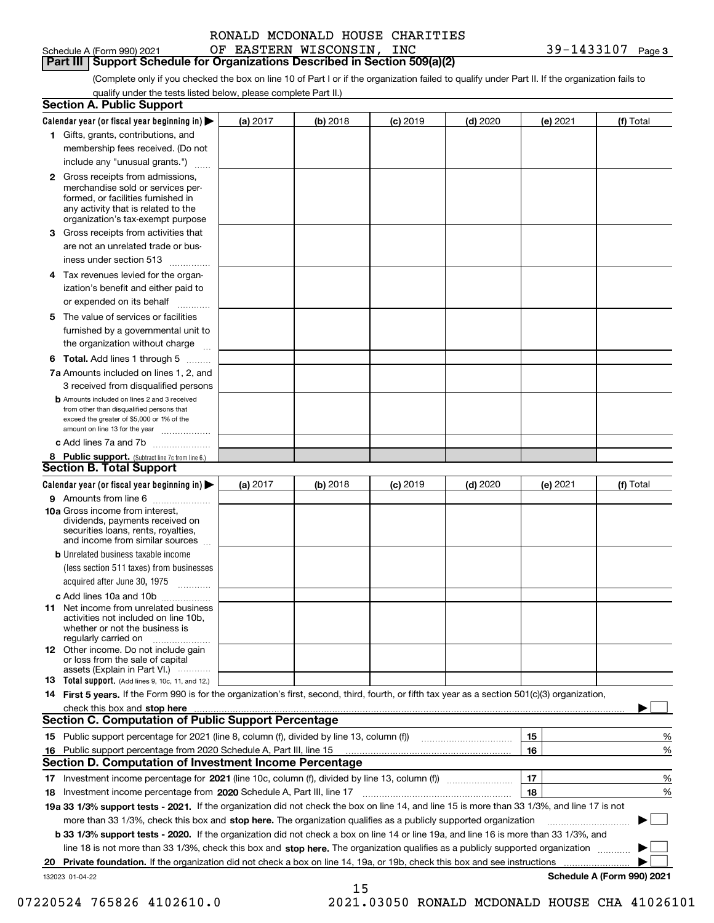|  |  |                             | RONALD MCDONALD HOUSE CHARITIES |
|--|--|-----------------------------|---------------------------------|
|  |  | מזוד דודמומממדים והתחמות בת |                                 |

## **Part III Support Schedule for Organizations Described in Section 509(a)(2)**

(Complete only if you checked the box on line 10 of Part I or if the organization failed to qualify under Part II. If the organization fails to qualify under the tests listed below, please complete Part II.)

|    | <b>Section A. Public Support</b>                                                                                                                                                                |          |          |                 |            |          |                            |
|----|-------------------------------------------------------------------------------------------------------------------------------------------------------------------------------------------------|----------|----------|-----------------|------------|----------|----------------------------|
|    | Calendar year (or fiscal year beginning in) $\blacktriangleright$                                                                                                                               | (a) 2017 | (b) 2018 | <b>(c)</b> 2019 | $(d)$ 2020 | (e) 2021 | (f) Total                  |
|    | 1 Gifts, grants, contributions, and                                                                                                                                                             |          |          |                 |            |          |                            |
|    | membership fees received. (Do not                                                                                                                                                               |          |          |                 |            |          |                            |
|    | include any "unusual grants.")                                                                                                                                                                  |          |          |                 |            |          |                            |
|    | <b>2</b> Gross receipts from admissions,<br>merchandise sold or services per-<br>formed, or facilities furnished in<br>any activity that is related to the<br>organization's tax-exempt purpose |          |          |                 |            |          |                            |
|    | 3 Gross receipts from activities that<br>are not an unrelated trade or bus-<br>iness under section 513                                                                                          |          |          |                 |            |          |                            |
|    | 4 Tax revenues levied for the organ-                                                                                                                                                            |          |          |                 |            |          |                            |
|    | ization's benefit and either paid to<br>or expended on its behalf                                                                                                                               |          |          |                 |            |          |                            |
|    | .<br>5 The value of services or facilities                                                                                                                                                      |          |          |                 |            |          |                            |
|    | furnished by a governmental unit to<br>the organization without charge                                                                                                                          |          |          |                 |            |          |                            |
|    | <b>6 Total.</b> Add lines 1 through 5 $\dots$                                                                                                                                                   |          |          |                 |            |          |                            |
|    | 7a Amounts included on lines 1, 2, and                                                                                                                                                          |          |          |                 |            |          |                            |
|    | 3 received from disqualified persons                                                                                                                                                            |          |          |                 |            |          |                            |
|    | <b>b</b> Amounts included on lines 2 and 3 received<br>from other than disqualified persons that<br>exceed the greater of \$5,000 or 1% of the<br>amount on line 13 for the year                |          |          |                 |            |          |                            |
|    | c Add lines 7a and 7b                                                                                                                                                                           |          |          |                 |            |          |                            |
|    | 8 Public support. (Subtract line 7c from line 6.)                                                                                                                                               |          |          |                 |            |          |                            |
|    | <b>Section B. Total Support</b>                                                                                                                                                                 |          |          |                 |            |          |                            |
|    | Calendar year (or fiscal year beginning in)                                                                                                                                                     | (a) 2017 | (b) 2018 | <b>(c)</b> 2019 | $(d)$ 2020 | (e) 2021 | (f) Total                  |
|    | 9 Amounts from line 6                                                                                                                                                                           |          |          |                 |            |          |                            |
|    | 10a Gross income from interest,<br>dividends, payments received on<br>securities loans, rents, royalties,<br>and income from similar sources                                                    |          |          |                 |            |          |                            |
|    | <b>b</b> Unrelated business taxable income                                                                                                                                                      |          |          |                 |            |          |                            |
|    | (less section 511 taxes) from businesses                                                                                                                                                        |          |          |                 |            |          |                            |
|    | acquired after June 30, 1975 [10001]                                                                                                                                                            |          |          |                 |            |          |                            |
|    | c Add lines 10a and 10b                                                                                                                                                                         |          |          |                 |            |          |                            |
|    | 11 Net income from unrelated business<br>activities not included on line 10b,<br>whether or not the business is<br>regularly carried on                                                         |          |          |                 |            |          |                            |
|    | <b>12</b> Other income. Do not include gain<br>or loss from the sale of capital<br>assets (Explain in Part VI.)                                                                                 |          |          |                 |            |          |                            |
|    | 13 Total support. (Add lines 9, 10c, 11, and 12.)                                                                                                                                               |          |          |                 |            |          |                            |
|    | 14 First 5 years. If the Form 990 is for the organization's first, second, third, fourth, or fifth tax year as a section 501(c)(3) organization,                                                |          |          |                 |            |          |                            |
|    | check this box and stop here <i>macuum macuum macuum macuum macuum macuum macuum macuum macuum</i>                                                                                              |          |          |                 |            |          |                            |
|    | <b>Section C. Computation of Public Support Percentage</b>                                                                                                                                      |          |          |                 |            |          |                            |
|    | 15 Public support percentage for 2021 (line 8, column (f), divided by line 13, column (f))                                                                                                      |          |          |                 |            | 15       | %                          |
| 16 | Public support percentage from 2020 Schedule A, Part III, line 15                                                                                                                               |          |          |                 |            | 16       | %                          |
|    | <b>Section D. Computation of Investment Income Percentage</b>                                                                                                                                   |          |          |                 |            |          |                            |
|    | 17 Investment income percentage for 2021 (line 10c, column (f), divided by line 13, column (f))                                                                                                 |          |          |                 |            | 17       | %                          |
|    | 18 Investment income percentage from 2020 Schedule A, Part III, line 17                                                                                                                         |          |          |                 |            | 18       | %                          |
|    | 19a 33 1/3% support tests - 2021. If the organization did not check the box on line 14, and line 15 is more than 33 1/3%, and line 17 is not                                                    |          |          |                 |            |          |                            |
|    | more than 33 1/3%, check this box and stop here. The organization qualifies as a publicly supported organization                                                                                |          |          |                 |            |          |                            |
|    | b 33 1/3% support tests - 2020. If the organization did not check a box on line 14 or line 19a, and line 16 is more than 33 1/3%, and                                                           |          |          |                 |            |          |                            |
|    | line 18 is not more than 33 1/3%, check this box and stop here. The organization qualifies as a publicly supported organization                                                                 |          |          |                 |            |          |                            |
| 20 | Private foundation. If the organization did not check a box on line 14, 19a, or 19b, check this box and see instructions                                                                        |          |          |                 |            |          |                            |
|    | 132023 01-04-22                                                                                                                                                                                 |          |          |                 |            |          | Schedule A (Form 990) 2021 |

15

 <sup>07220524 765826 4102610.0 2021.03050</sup> RONALD MCDONALD HOUSE CHA 41026101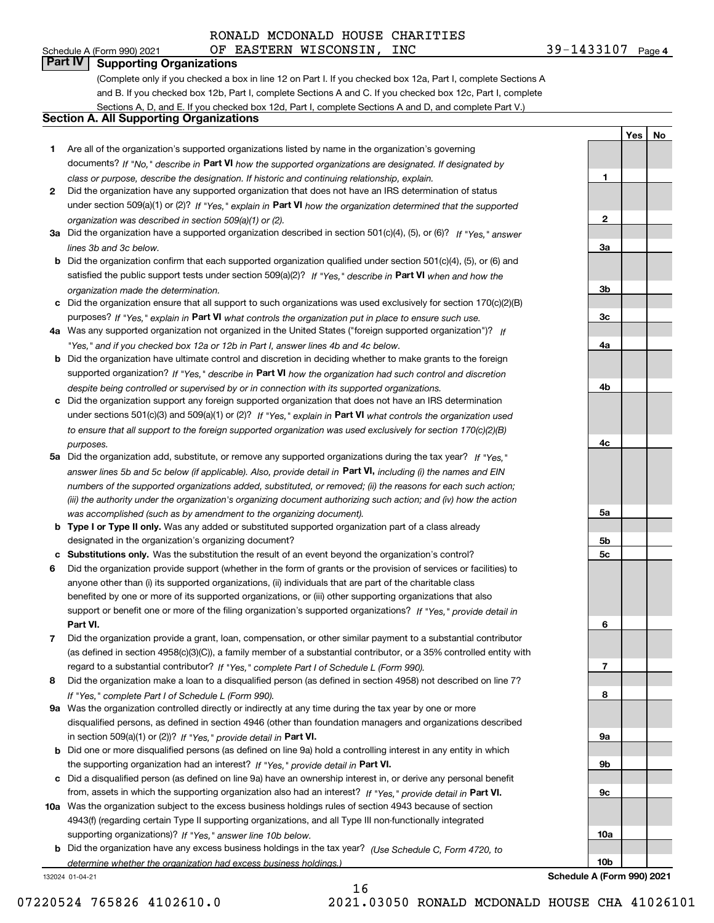## RONALD MCDONALD HOUSE CHARITIES

**1**

**2**

**3a**

**3b**

**3c**

**4a**

**4b**

**4c**

**5a**

**5b5c**

**6**

**7**

**8**

**9a**

**9b**

**9c**

**10a**

**YesNo**

## **Part IV Supporting Organizations**

(Complete only if you checked a box in line 12 on Part I. If you checked box 12a, Part I, complete Sections A and B. If you checked box 12b, Part I, complete Sections A and C. If you checked box 12c, Part I, complete Sections A, D, and E. If you checked box 12d, Part I, complete Sections A and D, and complete Part V.)

## **Section A. All Supporting Organizations**

- **1** Are all of the organization's supported organizations listed by name in the organization's governing documents? If "No," describe in **Part VI** how the supported organizations are designated. If designated by *class or purpose, describe the designation. If historic and continuing relationship, explain.*
- **2** Did the organization have any supported organization that does not have an IRS determination of status under section 509(a)(1) or (2)? If "Yes," explain in Part VI how the organization determined that the supported *organization was described in section 509(a)(1) or (2).*
- **3a** Did the organization have a supported organization described in section 501(c)(4), (5), or (6)? If "Yes," answer *lines 3b and 3c below.*
- **b** Did the organization confirm that each supported organization qualified under section 501(c)(4), (5), or (6) and satisfied the public support tests under section 509(a)(2)? If "Yes," describe in **Part VI** when and how the *organization made the determination.*
- **c**Did the organization ensure that all support to such organizations was used exclusively for section 170(c)(2)(B) purposes? If "Yes," explain in **Part VI** what controls the organization put in place to ensure such use.
- **4a***If* Was any supported organization not organized in the United States ("foreign supported organization")? *"Yes," and if you checked box 12a or 12b in Part I, answer lines 4b and 4c below.*
- **b** Did the organization have ultimate control and discretion in deciding whether to make grants to the foreign supported organization? If "Yes," describe in **Part VI** how the organization had such control and discretion *despite being controlled or supervised by or in connection with its supported organizations.*
- **c** Did the organization support any foreign supported organization that does not have an IRS determination under sections 501(c)(3) and 509(a)(1) or (2)? If "Yes," explain in **Part VI** what controls the organization used *to ensure that all support to the foreign supported organization was used exclusively for section 170(c)(2)(B) purposes.*
- **5a** Did the organization add, substitute, or remove any supported organizations during the tax year? If "Yes," answer lines 5b and 5c below (if applicable). Also, provide detail in **Part VI,** including (i) the names and EIN *numbers of the supported organizations added, substituted, or removed; (ii) the reasons for each such action; (iii) the authority under the organization's organizing document authorizing such action; and (iv) how the action was accomplished (such as by amendment to the organizing document).*
- **b** Type I or Type II only. Was any added or substituted supported organization part of a class already designated in the organization's organizing document?
- **cSubstitutions only.**  Was the substitution the result of an event beyond the organization's control?
- **6** Did the organization provide support (whether in the form of grants or the provision of services or facilities) to **Part VI.** *If "Yes," provide detail in* support or benefit one or more of the filing organization's supported organizations? anyone other than (i) its supported organizations, (ii) individuals that are part of the charitable class benefited by one or more of its supported organizations, or (iii) other supporting organizations that also
- **7**Did the organization provide a grant, loan, compensation, or other similar payment to a substantial contributor *If "Yes," complete Part I of Schedule L (Form 990).* regard to a substantial contributor? (as defined in section 4958(c)(3)(C)), a family member of a substantial contributor, or a 35% controlled entity with
- **8** Did the organization make a loan to a disqualified person (as defined in section 4958) not described on line 7? *If "Yes," complete Part I of Schedule L (Form 990).*
- **9a** Was the organization controlled directly or indirectly at any time during the tax year by one or more in section 509(a)(1) or (2))? If "Yes," *provide detail in* <code>Part VI.</code> disqualified persons, as defined in section 4946 (other than foundation managers and organizations described
- **b**the supporting organization had an interest? If "Yes," provide detail in P**art VI**. Did one or more disqualified persons (as defined on line 9a) hold a controlling interest in any entity in which
- **c**Did a disqualified person (as defined on line 9a) have an ownership interest in, or derive any personal benefit from, assets in which the supporting organization also had an interest? If "Yes," provide detail in P**art VI.**
- **10a** Was the organization subject to the excess business holdings rules of section 4943 because of section supporting organizations)? If "Yes," answer line 10b below. 4943(f) (regarding certain Type II supporting organizations, and all Type III non-functionally integrated
- **b** Did the organization have any excess business holdings in the tax year? (Use Schedule C, Form 4720, to *determine whether the organization had excess business holdings.)*

16

132024 01-04-21

**10bSchedule A (Form 990) 2021**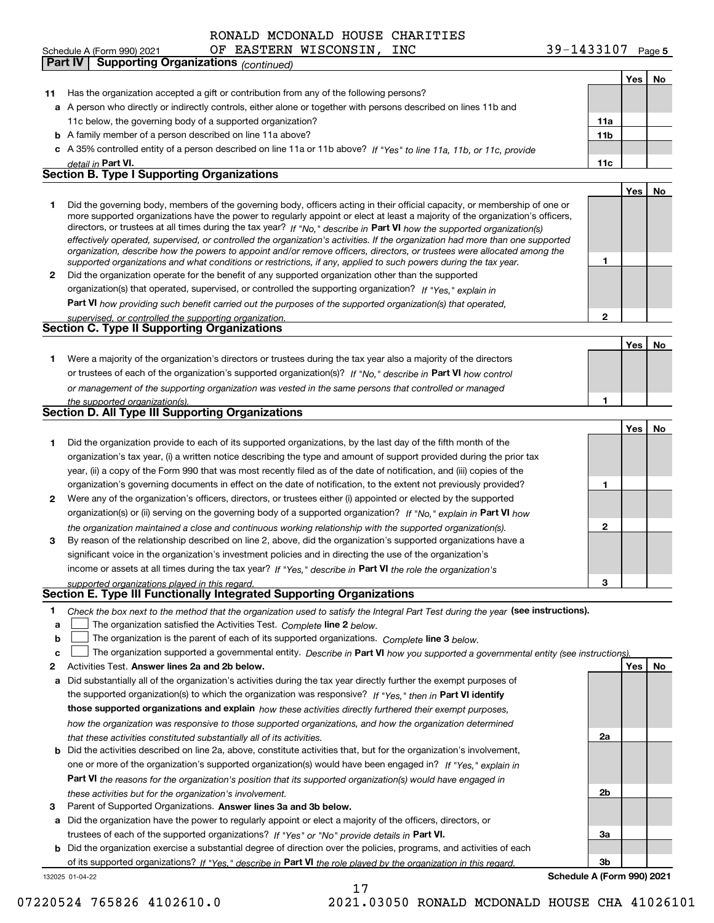#### OF EASTERN WISCONSIN, INC 39-1433107 RONALD MCDONALD HOUSE CHARITIES

|    | Schedule A (Form 990) 2021<br>OF EASTERN WISCONSIN,<br>TMC                                                                                                                                                                                                 | 39-1433107      |     | Page 5 |
|----|------------------------------------------------------------------------------------------------------------------------------------------------------------------------------------------------------------------------------------------------------------|-----------------|-----|--------|
|    | <b>Supporting Organizations</b> (continued)<br>Part IV                                                                                                                                                                                                     |                 |     |        |
|    |                                                                                                                                                                                                                                                            |                 | Yes | No     |
| 11 | Has the organization accepted a gift or contribution from any of the following persons?                                                                                                                                                                    |                 |     |        |
|    | a A person who directly or indirectly controls, either alone or together with persons described on lines 11b and                                                                                                                                           |                 |     |        |
|    | 11c below, the governing body of a supported organization?                                                                                                                                                                                                 | 11a             |     |        |
|    | <b>b</b> A family member of a person described on line 11a above?                                                                                                                                                                                          | 11 <sub>b</sub> |     |        |
|    | c A 35% controlled entity of a person described on line 11a or 11b above? If "Yes" to line 11a, 11b, or 11c, provide                                                                                                                                       |                 |     |        |
|    | detail in Part VI.                                                                                                                                                                                                                                         | 11c             |     |        |
|    | <b>Section B. Type I Supporting Organizations</b>                                                                                                                                                                                                          |                 |     |        |
|    |                                                                                                                                                                                                                                                            |                 | Yes | No     |
| 1  | Did the governing body, members of the governing body, officers acting in their official capacity, or membership of one or                                                                                                                                 |                 |     |        |
|    | more supported organizations have the power to regularly appoint or elect at least a majority of the organization's officers,                                                                                                                              |                 |     |        |
|    | directors, or trustees at all times during the tax year? If "No," describe in Part VI how the supported organization(s)                                                                                                                                    |                 |     |        |
|    | effectively operated, supervised, or controlled the organization's activities. If the organization had more than one supported<br>organization, describe how the powers to appoint and/or remove officers, directors, or trustees were allocated among the |                 |     |        |
|    | supported organizations and what conditions or restrictions, if any, applied to such powers during the tax year.                                                                                                                                           | 1               |     |        |
| 2  | Did the organization operate for the benefit of any supported organization other than the supported                                                                                                                                                        |                 |     |        |
|    | organization(s) that operated, supervised, or controlled the supporting organization? If "Yes," explain in                                                                                                                                                 |                 |     |        |
|    | Part VI how providing such benefit carried out the purposes of the supported organization(s) that operated,                                                                                                                                                |                 |     |        |
|    | supervised, or controlled the supporting organization.                                                                                                                                                                                                     | 2               |     |        |
|    | <b>Section C. Type II Supporting Organizations</b>                                                                                                                                                                                                         |                 |     |        |
|    |                                                                                                                                                                                                                                                            |                 | Yes | No     |
| 1. | Were a majority of the organization's directors or trustees during the tax year also a majority of the directors                                                                                                                                           |                 |     |        |
|    | or trustees of each of the organization's supported organization(s)? If "No," describe in Part VI how control                                                                                                                                              |                 |     |        |
|    | or management of the supporting organization was vested in the same persons that controlled or managed                                                                                                                                                     |                 |     |        |
|    | the supported organization(s).                                                                                                                                                                                                                             | 1               |     |        |
|    | Section D. All Type III Supporting Organizations                                                                                                                                                                                                           |                 |     |        |
|    |                                                                                                                                                                                                                                                            |                 | Yes | No.    |
| 1  | Did the organization provide to each of its supported organizations, by the last day of the fifth month of the                                                                                                                                             |                 |     |        |
|    | organization's tax year, (i) a written notice describing the type and amount of support provided during the prior tax                                                                                                                                      |                 |     |        |
|    | year, (ii) a copy of the Form 990 that was most recently filed as of the date of notification, and (iii) copies of the                                                                                                                                     |                 |     |        |
|    | organization's governing documents in effect on the date of notification, to the extent not previously provided?                                                                                                                                           | 1               |     |        |
| 2  | Were any of the organization's officers, directors, or trustees either (i) appointed or elected by the supported                                                                                                                                           |                 |     |        |
|    | organization(s) or (ii) serving on the governing body of a supported organization? If "No," explain in Part VI how                                                                                                                                         |                 |     |        |
|    | the organization maintained a close and continuous working relationship with the supported organization(s).                                                                                                                                                | 2               |     |        |
| 3  | By reason of the relationship described on line 2, above, did the organization's supported organizations have a                                                                                                                                            |                 |     |        |
|    | significant voice in the organization's investment policies and in directing the use of the organization's                                                                                                                                                 |                 |     |        |
|    | income or assets at all times during the tax year? If "Yes," describe in Part VI the role the organization's                                                                                                                                               |                 |     |        |
|    | supported organizations played in this regard.                                                                                                                                                                                                             | з               |     |        |
|    | Section E. Type III Functionally Integrated Supporting Organizations                                                                                                                                                                                       |                 |     |        |
| 1  | Check the box next to the method that the organization used to satisfy the Integral Part Test during the year (see instructions).                                                                                                                          |                 |     |        |
| a  | The organization satisfied the Activities Test. Complete line 2 below.                                                                                                                                                                                     |                 |     |        |
| b  | The organization is the parent of each of its supported organizations. Complete line 3 below.                                                                                                                                                              |                 |     |        |
| c  | The organization supported a governmental entity. Describe in Part VI how you supported a governmental entity (see instructions).                                                                                                                          |                 |     |        |
| 2  | Activities Test. Answer lines 2a and 2b below.                                                                                                                                                                                                             |                 | Yes | No     |
| а  | Did substantially all of the organization's activities during the tax year directly further the exempt purposes of                                                                                                                                         |                 |     |        |
|    | the supported organization(s) to which the organization was responsive? If "Yes," then in Part VI identify                                                                                                                                                 |                 |     |        |
|    |                                                                                                                                                                                                                                                            |                 |     |        |
|    | those supported organizations and explain how these activities directly furthered their exempt purposes,                                                                                                                                                   |                 |     |        |
|    | how the organization was responsive to those supported organizations, and how the organization determined                                                                                                                                                  |                 |     |        |
|    | that these activities constituted substantially all of its activities.                                                                                                                                                                                     | 2a              |     |        |
| b  | Did the activities described on line 2a, above, constitute activities that, but for the organization's involvement,                                                                                                                                        |                 |     |        |
|    | one or more of the organization's supported organization(s) would have been engaged in? If "Yes," explain in                                                                                                                                               |                 |     |        |
|    | <b>Part VI</b> the reasons for the organization's position that its supported organization(s) would have engaged in                                                                                                                                        |                 |     |        |
|    | these activities but for the organization's involvement.<br>at of Supported Organizations <b>Anguiar lines 30 and 3b below</b>                                                                                                                             | 2b              |     |        |

**3** Parent of Supported Organizations. Answer lines 3a and 3b below.

**a** Did the organization have the power to regularly appoint or elect a majority of the officers, directors, or trustees of each of the supported organizations? If "Yes" or "No" provide details in P**art VI.** 

132025 01-04-22 **b** Did the organization exercise a substantial degree of direction over the policies, programs, and activities of each of its supported organizations? If "Yes," describe in Part VI the role played by the organization in this regard.

**3bSchedule A (Form 990) 2021**

**3a**

17 07220524 765826 4102610.0 2021.03050 RONALD MCDONALD HOUSE CHA 41026101

| supervised, or controlled the supporting organization. |
|--------------------------------------------------------|
| <b>Section C. Type II Supporting Organizations</b>     |
|                                                        |

|              |                                                                                                                        |   | Yes | l No |
|--------------|------------------------------------------------------------------------------------------------------------------------|---|-----|------|
|              | Did the organization provide to each of its supported organizations, by the last day of the fifth month of the         |   |     |      |
|              | organization's tax year, (i) a written notice describing the type and amount of support provided during the prior tax  |   |     |      |
|              | year, (ii) a copy of the Form 990 that was most recently filed as of the date of notification, and (iii) copies of the |   |     |      |
|              | organization's governing documents in effect on the date of notification, to the extent not previously provided?       |   |     |      |
| $\mathbf{2}$ | Were any of the organization's officers, directors, or trustees either (i) appointed or elected by the supported       |   |     |      |
|              | organization(s) or (ii) serving on the governing body of a supported organization? If "No," explain in Part VI how     |   |     |      |
|              | the organization maintained a close and continuous working relationship with the supported organization(s).            | 2 |     |      |
| 3            | By reason of the relationship described on line 2, above, did the organization's supported organizations have a        |   |     |      |
|              | significant voice in the organization's investment policies and in directing the use of the organization's             |   |     |      |
|              | income or assets at all times during the tax year? If "Yes," describe in Part VI the role the organization's           |   |     |      |
|              | supported organizations played in this regard.<br>$\sim$ $\sim$<br>$-$<br>$\rightarrow$<br>.                           | з |     |      |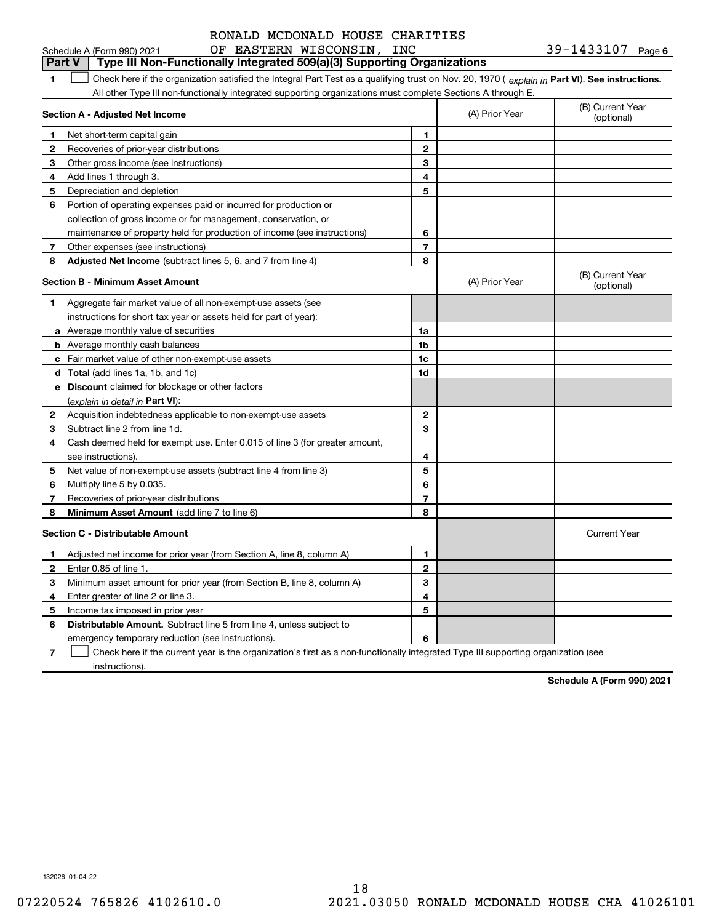|                            | RONALD MCDONALD HOUSE CHARITIES |                      |
|----------------------------|---------------------------------|----------------------|
| Schedule A (Form 990) 2021 | OF EASTERN WISCONSIN, INC       | 39-1433107<br>Page 6 |

|              | Type III Non-Functionally Integrated 509(a)(3) Supporting Organizations<br><b>Part V</b>                                                       |                         |                |                                |  |  |
|--------------|------------------------------------------------------------------------------------------------------------------------------------------------|-------------------------|----------------|--------------------------------|--|--|
| 1            | Check here if the organization satisfied the Integral Part Test as a qualifying trust on Nov. 20, 1970 (explain in Part VI). See instructions. |                         |                |                                |  |  |
|              | All other Type III non-functionally integrated supporting organizations must complete Sections A through E.                                    |                         |                |                                |  |  |
|              | (B) Current Year<br>Section A - Adjusted Net Income<br>(A) Prior Year<br>(optional)                                                            |                         |                |                                |  |  |
| 1            | Net short-term capital gain                                                                                                                    | 1                       |                |                                |  |  |
| $\mathbf{2}$ | Recoveries of prior-year distributions                                                                                                         | 2                       |                |                                |  |  |
| 3            | Other gross income (see instructions)                                                                                                          | 3                       |                |                                |  |  |
| 4            | Add lines 1 through 3.                                                                                                                         | 4                       |                |                                |  |  |
| 5            | Depreciation and depletion                                                                                                                     | 5                       |                |                                |  |  |
| 6            | Portion of operating expenses paid or incurred for production or                                                                               |                         |                |                                |  |  |
|              | collection of gross income or for management, conservation, or                                                                                 |                         |                |                                |  |  |
|              | maintenance of property held for production of income (see instructions)                                                                       | 6                       |                |                                |  |  |
| 7            | Other expenses (see instructions)                                                                                                              | $\overline{\mathbf{7}}$ |                |                                |  |  |
| 8            | <b>Adjusted Net Income</b> (subtract lines 5, 6, and 7 from line 4)                                                                            | 8                       |                |                                |  |  |
|              | Section B - Minimum Asset Amount                                                                                                               |                         | (A) Prior Year | (B) Current Year<br>(optional) |  |  |
| 1            | Aggregate fair market value of all non-exempt-use assets (see                                                                                  |                         |                |                                |  |  |
|              | instructions for short tax year or assets held for part of year):                                                                              |                         |                |                                |  |  |
|              | <b>a</b> Average monthly value of securities                                                                                                   | 1a                      |                |                                |  |  |
|              | <b>b</b> Average monthly cash balances                                                                                                         | 1 <sub>b</sub>          |                |                                |  |  |
|              | <b>c</b> Fair market value of other non-exempt-use assets                                                                                      | 1 <sub>c</sub>          |                |                                |  |  |
|              | <b>d</b> Total (add lines 1a, 1b, and 1c)                                                                                                      | 1d                      |                |                                |  |  |
|              | e Discount claimed for blockage or other factors                                                                                               |                         |                |                                |  |  |
|              | (explain in detail in Part VI):                                                                                                                |                         |                |                                |  |  |
| $\mathbf{2}$ | Acquisition indebtedness applicable to non-exempt-use assets                                                                                   | $\mathbf{2}$            |                |                                |  |  |
| 3            | Subtract line 2 from line 1d.                                                                                                                  | 3                       |                |                                |  |  |
| 4            | Cash deemed held for exempt use. Enter 0.015 of line 3 (for greater amount,                                                                    |                         |                |                                |  |  |
|              | see instructions)                                                                                                                              | 4                       |                |                                |  |  |
| 5            | Net value of non-exempt-use assets (subtract line 4 from line 3)                                                                               | 5                       |                |                                |  |  |
| 6            | Multiply line 5 by 0.035.                                                                                                                      | 6                       |                |                                |  |  |
| 7            | Recoveries of prior-year distributions                                                                                                         | $\overline{7}$          |                |                                |  |  |
| 8            | Minimum Asset Amount (add line 7 to line 6)                                                                                                    | 8                       |                |                                |  |  |
|              | <b>Section C - Distributable Amount</b>                                                                                                        |                         |                | <b>Current Year</b>            |  |  |
| 1            | Adjusted net income for prior year (from Section A, line 8, column A)                                                                          | 1                       |                |                                |  |  |
| $\mathbf{2}$ | Enter 0.85 of line 1.                                                                                                                          | $\mathbf{2}$            |                |                                |  |  |
| 3            | Minimum asset amount for prior year (from Section B, line 8, column A)                                                                         | 3                       |                |                                |  |  |
| 4            | Enter greater of line 2 or line 3.                                                                                                             | 4                       |                |                                |  |  |
| 5            | Income tax imposed in prior year                                                                                                               | 5                       |                |                                |  |  |
| 6            | <b>Distributable Amount.</b> Subtract line 5 from line 4, unless subject to                                                                    |                         |                |                                |  |  |
|              | emergency temporary reduction (see instructions).                                                                                              | 6                       |                |                                |  |  |
| 7            | Check here if the current year is the organization's first as a non-functionally integrated Type III supporting organization (see              |                         |                |                                |  |  |

instructions).

**Schedule A (Form 990) 2021**

132026 01-04-22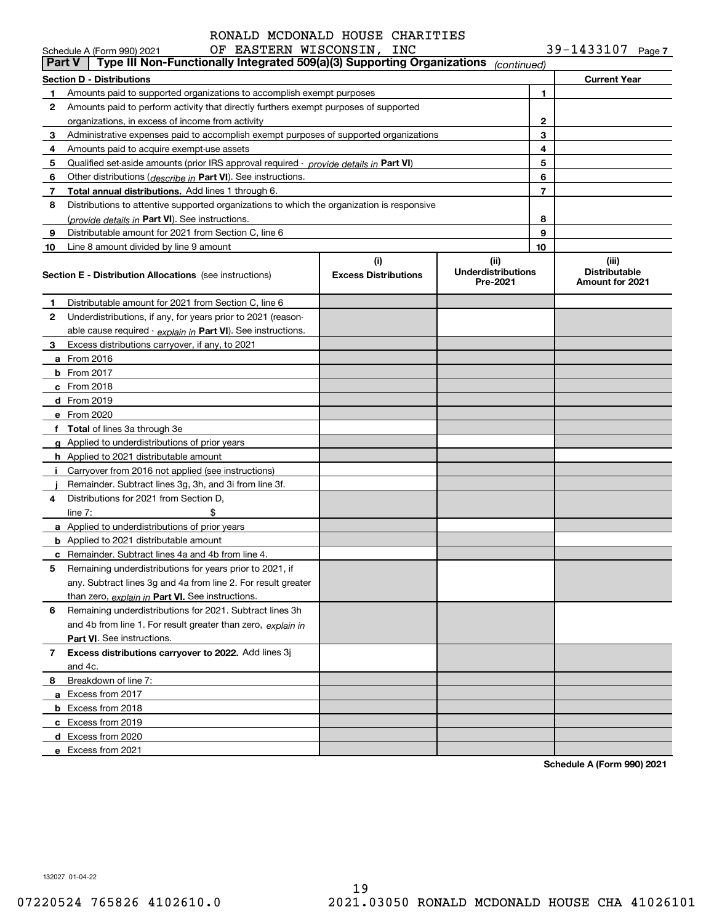# RONALD MCDONALD HOUSE CHARITIES

| <b>Part V</b> | OF EASTERN WISCONSIN,<br>Schedule A (Form 990) 2021<br>Type III Non-Functionally Integrated 509(a)(3) Supporting Organizations | INC                                | (continued)                                   |                | 39-1433107 Page 7                                |
|---------------|--------------------------------------------------------------------------------------------------------------------------------|------------------------------------|-----------------------------------------------|----------------|--------------------------------------------------|
|               | <b>Section D - Distributions</b>                                                                                               |                                    |                                               |                | <b>Current Year</b>                              |
| 1             | Amounts paid to supported organizations to accomplish exempt purposes                                                          |                                    |                                               | 1              |                                                  |
| 2             | Amounts paid to perform activity that directly furthers exempt purposes of supported                                           |                                    |                                               |                |                                                  |
|               | organizations, in excess of income from activity                                                                               | 2                                  |                                               |                |                                                  |
| 3             | Administrative expenses paid to accomplish exempt purposes of supported organizations                                          |                                    |                                               | 3              |                                                  |
| 4             | Amounts paid to acquire exempt-use assets                                                                                      |                                    |                                               | 4              |                                                  |
| 5             | Qualified set-aside amounts (prior IRS approval required - <i>provide details in</i> Part VI)                                  |                                    |                                               | 5              |                                                  |
| 6             | Other distributions ( <i>describe in</i> Part VI). See instructions.                                                           |                                    |                                               | 6              |                                                  |
| 7             | Total annual distributions. Add lines 1 through 6.                                                                             |                                    |                                               | $\overline{7}$ |                                                  |
| 8             | Distributions to attentive supported organizations to which the organization is responsive                                     |                                    |                                               |                |                                                  |
|               | (provide details in Part VI). See instructions.                                                                                |                                    |                                               | 8              |                                                  |
| 9             | Distributable amount for 2021 from Section C, line 6                                                                           |                                    |                                               | 9              |                                                  |
| 10            | Line 8 amount divided by line 9 amount                                                                                         |                                    |                                               | 10             |                                                  |
|               | <b>Section E - Distribution Allocations</b> (see instructions)                                                                 | (i)<br><b>Excess Distributions</b> | (ii)<br><b>Underdistributions</b><br>Pre-2021 |                | (iii)<br><b>Distributable</b><br>Amount for 2021 |
| 1             | Distributable amount for 2021 from Section C, line 6                                                                           |                                    |                                               |                |                                                  |
| 2             | Underdistributions, if any, for years prior to 2021 (reason-                                                                   |                                    |                                               |                |                                                  |
|               | able cause required - explain in Part VI). See instructions.                                                                   |                                    |                                               |                |                                                  |
| 3             | Excess distributions carryover, if any, to 2021                                                                                |                                    |                                               |                |                                                  |
|               | <b>a</b> From 2016                                                                                                             |                                    |                                               |                |                                                  |
|               | $b$ From 2017                                                                                                                  |                                    |                                               |                |                                                  |
|               | $c$ From 2018                                                                                                                  |                                    |                                               |                |                                                  |
|               | d From 2019                                                                                                                    |                                    |                                               |                |                                                  |
|               | e From 2020                                                                                                                    |                                    |                                               |                |                                                  |
|               | f Total of lines 3a through 3e                                                                                                 |                                    |                                               |                |                                                  |
|               | g Applied to underdistributions of prior years                                                                                 |                                    |                                               |                |                                                  |
|               | <b>h</b> Applied to 2021 distributable amount                                                                                  |                                    |                                               |                |                                                  |
|               | Carryover from 2016 not applied (see instructions)                                                                             |                                    |                                               |                |                                                  |
|               | Remainder. Subtract lines 3g, 3h, and 3i from line 3f.                                                                         |                                    |                                               |                |                                                  |
| 4             | Distributions for 2021 from Section D,                                                                                         |                                    |                                               |                |                                                  |
|               | line $7:$<br>\$                                                                                                                |                                    |                                               |                |                                                  |
|               | a Applied to underdistributions of prior years                                                                                 |                                    |                                               |                |                                                  |
|               | <b>b</b> Applied to 2021 distributable amount                                                                                  |                                    |                                               |                |                                                  |
|               | <b>c</b> Remainder. Subtract lines 4a and 4b from line 4.                                                                      |                                    |                                               |                |                                                  |
|               | Remaining underdistributions for years prior to 2021, if                                                                       |                                    |                                               |                |                                                  |
|               | any. Subtract lines 3g and 4a from line 2. For result greater                                                                  |                                    |                                               |                |                                                  |
|               | than zero, explain in Part VI. See instructions.                                                                               |                                    |                                               |                |                                                  |
| 6             | Remaining underdistributions for 2021. Subtract lines 3h                                                                       |                                    |                                               |                |                                                  |
|               | and 4b from line 1. For result greater than zero, explain in                                                                   |                                    |                                               |                |                                                  |
|               | <b>Part VI.</b> See instructions.                                                                                              |                                    |                                               |                |                                                  |
| 7             | Excess distributions carryover to 2022. Add lines 3j<br>and 4c.                                                                |                                    |                                               |                |                                                  |
| 8             | Breakdown of line 7:                                                                                                           |                                    |                                               |                |                                                  |
|               | a Excess from 2017                                                                                                             |                                    |                                               |                |                                                  |
|               | <b>b</b> Excess from 2018                                                                                                      |                                    |                                               |                |                                                  |
|               | c Excess from 2019                                                                                                             |                                    |                                               |                |                                                  |
|               | d Excess from 2020                                                                                                             |                                    |                                               |                |                                                  |
|               | e Excess from 2021                                                                                                             |                                    |                                               |                |                                                  |
|               |                                                                                                                                |                                    |                                               |                |                                                  |

**Schedule A (Form 990) 2021**

132027 01-04-22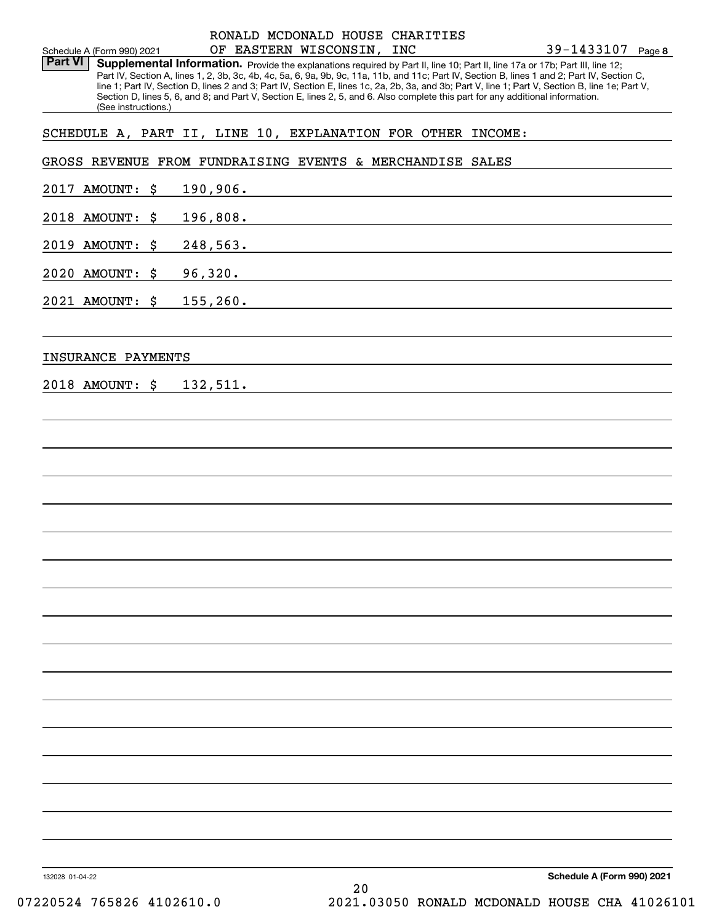| RONALD MCDONALD HOUSE CHARITIES                                                                                                                                                                                                                                                                                                                                                                                                                                                                                                                                                             |                            |
|---------------------------------------------------------------------------------------------------------------------------------------------------------------------------------------------------------------------------------------------------------------------------------------------------------------------------------------------------------------------------------------------------------------------------------------------------------------------------------------------------------------------------------------------------------------------------------------------|----------------------------|
| OF EASTERN WISCONSIN, INC<br>Schedule A (Form 990) 2021<br><b>Part VI</b>                                                                                                                                                                                                                                                                                                                                                                                                                                                                                                                   | 39-1433107 Page 8          |
| Supplemental Information. Provide the explanations required by Part II, line 10; Part II, line 17a or 17b; Part III, line 12;<br>Part IV, Section A, lines 1, 2, 3b, 3c, 4b, 4c, 5a, 6, 9a, 9b, 9c, 11a, 11b, and 11c; Part IV, Section B, lines 1 and 2; Part IV, Section C,<br>line 1; Part IV, Section D, lines 2 and 3; Part IV, Section E, lines 1c, 2a, 2b, 3a, and 3b; Part V, line 1; Part V, Section B, line 1e; Part V,<br>Section D, lines 5, 6, and 8; and Part V, Section E, lines 2, 5, and 6. Also complete this part for any additional information.<br>(See instructions.) |                            |
| SCHEDULE A, PART II, LINE 10, EXPLANATION FOR OTHER INCOME:                                                                                                                                                                                                                                                                                                                                                                                                                                                                                                                                 |                            |
| GROSS REVENUE FROM FUNDRAISING EVENTS & MERCHANDISE SALES                                                                                                                                                                                                                                                                                                                                                                                                                                                                                                                                   |                            |
| 190,906.<br>2017 AMOUNT: \$                                                                                                                                                                                                                                                                                                                                                                                                                                                                                                                                                                 |                            |
| 196,808.<br>2018 AMOUNT: \$                                                                                                                                                                                                                                                                                                                                                                                                                                                                                                                                                                 |                            |
| 248,563.<br>2019 AMOUNT: \$                                                                                                                                                                                                                                                                                                                                                                                                                                                                                                                                                                 |                            |
| 96,320.<br>2020 AMOUNT: $\sharp$                                                                                                                                                                                                                                                                                                                                                                                                                                                                                                                                                            |                            |
| 155, 260.<br>$2021$ AMOUNT: $\sharp$                                                                                                                                                                                                                                                                                                                                                                                                                                                                                                                                                        |                            |
| INSURANCE PAYMENTS                                                                                                                                                                                                                                                                                                                                                                                                                                                                                                                                                                          |                            |
| 2018 AMOUNT: \$<br>132,511.                                                                                                                                                                                                                                                                                                                                                                                                                                                                                                                                                                 |                            |
|                                                                                                                                                                                                                                                                                                                                                                                                                                                                                                                                                                                             |                            |
|                                                                                                                                                                                                                                                                                                                                                                                                                                                                                                                                                                                             |                            |
|                                                                                                                                                                                                                                                                                                                                                                                                                                                                                                                                                                                             |                            |
|                                                                                                                                                                                                                                                                                                                                                                                                                                                                                                                                                                                             |                            |
|                                                                                                                                                                                                                                                                                                                                                                                                                                                                                                                                                                                             |                            |
|                                                                                                                                                                                                                                                                                                                                                                                                                                                                                                                                                                                             |                            |
|                                                                                                                                                                                                                                                                                                                                                                                                                                                                                                                                                                                             |                            |
|                                                                                                                                                                                                                                                                                                                                                                                                                                                                                                                                                                                             |                            |
|                                                                                                                                                                                                                                                                                                                                                                                                                                                                                                                                                                                             |                            |
|                                                                                                                                                                                                                                                                                                                                                                                                                                                                                                                                                                                             |                            |
|                                                                                                                                                                                                                                                                                                                                                                                                                                                                                                                                                                                             |                            |
|                                                                                                                                                                                                                                                                                                                                                                                                                                                                                                                                                                                             |                            |
|                                                                                                                                                                                                                                                                                                                                                                                                                                                                                                                                                                                             |                            |
|                                                                                                                                                                                                                                                                                                                                                                                                                                                                                                                                                                                             |                            |
|                                                                                                                                                                                                                                                                                                                                                                                                                                                                                                                                                                                             |                            |
|                                                                                                                                                                                                                                                                                                                                                                                                                                                                                                                                                                                             |                            |
|                                                                                                                                                                                                                                                                                                                                                                                                                                                                                                                                                                                             |                            |
| 132028 01-04-22                                                                                                                                                                                                                                                                                                                                                                                                                                                                                                                                                                             | Schedule A (Form 990) 2021 |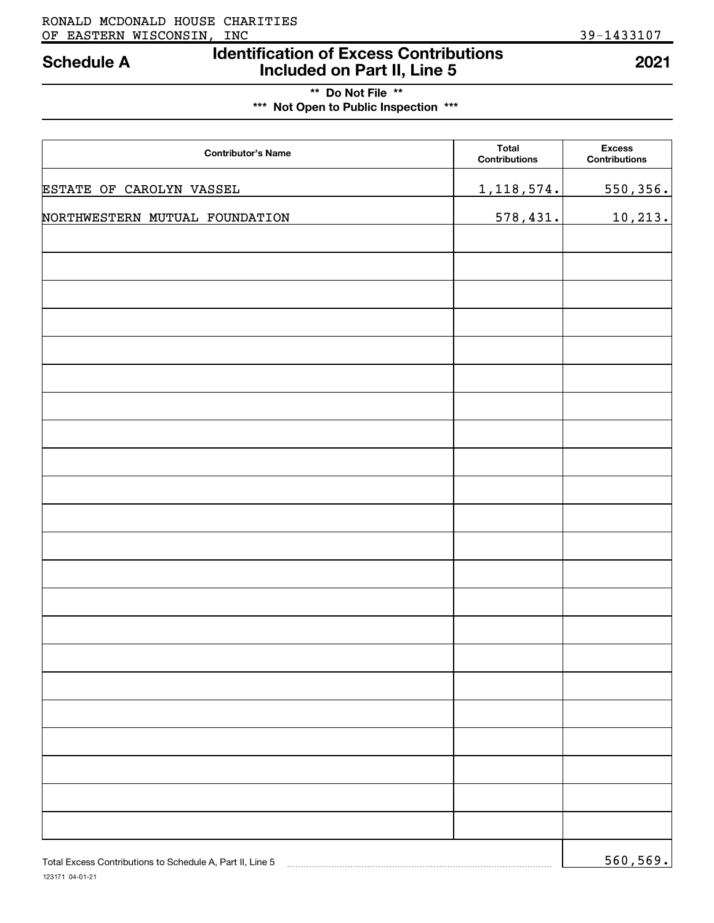## **Identification of Excess Contributions Included on Part II, Line 5 Schedule A 2021**

## **\*\* Do Not File \*\* \*\*\* Not Open to Public Inspection \*\*\***

| <b>Contributor's Name</b>      | <b>Total</b><br>Contributions | <b>Excess</b><br><b>Contributions</b> |
|--------------------------------|-------------------------------|---------------------------------------|
| ESTATE OF CAROLYN VASSEL       | 1, 118, 574.                  | 550, 356.                             |
| NORTHWESTERN MUTUAL FOUNDATION | 578,431.                      | 10,213.                               |
|                                |                               |                                       |
|                                |                               |                                       |
|                                |                               |                                       |
|                                |                               |                                       |
|                                |                               |                                       |
|                                |                               |                                       |
|                                |                               |                                       |
|                                |                               |                                       |
|                                |                               |                                       |
|                                |                               |                                       |
|                                |                               |                                       |
|                                |                               |                                       |
|                                |                               |                                       |
|                                |                               |                                       |
|                                |                               |                                       |
|                                |                               |                                       |
|                                |                               |                                       |
|                                |                               |                                       |
|                                |                               |                                       |
|                                |                               |                                       |
|                                |                               |                                       |
|                                |                               |                                       |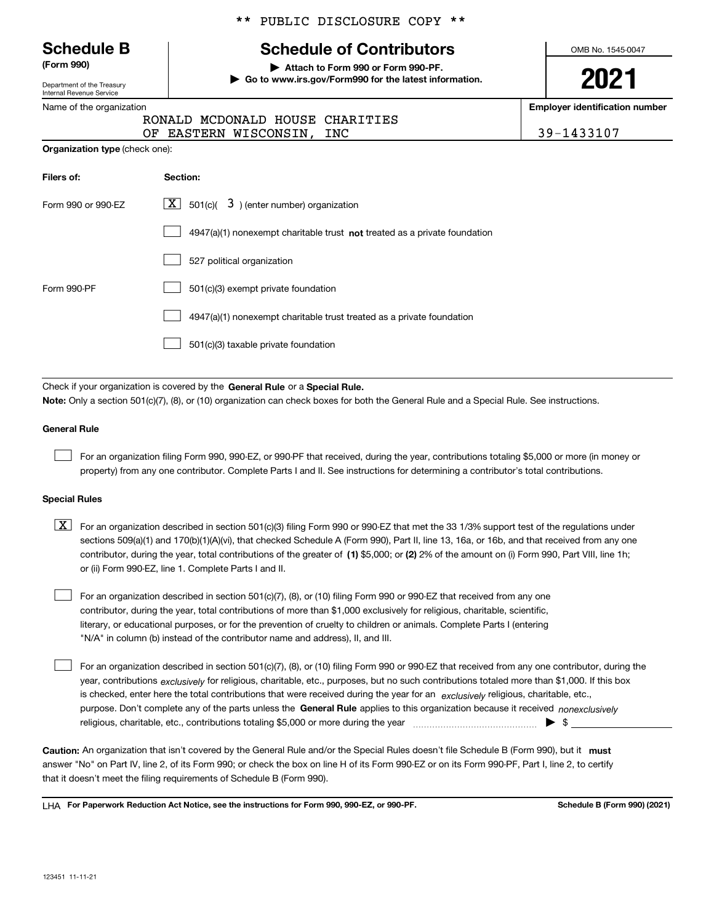Department of the Treasury Internal Revenue Service

## Name of the organization

## \*\* PUBLIC DISCLOSURE COPY \*\*

# **Schedule B Schedule of Contributors**

**(Form 990) | Attach to Form 990 or Form 990-PF. | Go to www.irs.gov/Form990 for the latest information.** OMB No. 1545-0047

**2021**

**Employer identification number**

| RONALD MCDONALD HOUSE CHARITIES |  |            |
|---------------------------------|--|------------|
| OF EASTERN WISCONSIN, INC       |  | 39-1433107 |

| <b>Organization type (check one):</b> |           |  |  |  |  |  |
|---------------------------------------|-----------|--|--|--|--|--|
|                                       |           |  |  |  |  |  |
| Filere of:                            | Section . |  |  |  |  |  |

| .                  | <b>0000000</b>                                                                     |
|--------------------|------------------------------------------------------------------------------------|
| Form 990 or 990-EZ | $\boxed{\mathbf{X}}$ 501(c)( 3) (enter number) organization                        |
|                    | $4947(a)(1)$ nonexempt charitable trust <b>not</b> treated as a private foundation |
|                    | 527 political organization                                                         |
| Form 990-PF        | 501(c)(3) exempt private foundation                                                |
|                    | 4947(a)(1) nonexempt charitable trust treated as a private foundation              |
|                    | 501(c)(3) taxable private foundation                                               |

Check if your organization is covered by the **General Rule** or a **Special Rule. Note:**  Only a section 501(c)(7), (8), or (10) organization can check boxes for both the General Rule and a Special Rule. See instructions.

### **General Rule**

 $\mathcal{L}^{\text{max}}$ 

For an organization filing Form 990, 990-EZ, or 990-PF that received, during the year, contributions totaling \$5,000 or more (in money or property) from any one contributor. Complete Parts I and II. See instructions for determining a contributor's total contributions.

#### **Special Rules**

contributor, during the year, total contributions of the greater of (1**)** \$5,000; or (2) 2% of the amount on (i) Form 990, Part VIII, line 1h;  $\boxed{\textbf{X}}$  For an organization described in section 501(c)(3) filing Form 990 or 990-EZ that met the 33 1/3% support test of the regulations under sections 509(a)(1) and 170(b)(1)(A)(vi), that checked Schedule A (Form 990), Part II, line 13, 16a, or 16b, and that received from any one or (ii) Form 990-EZ, line 1. Complete Parts I and II.

For an organization described in section 501(c)(7), (8), or (10) filing Form 990 or 990-EZ that received from any one contributor, during the year, total contributions of more than \$1,000 exclusively for religious, charitable, scientific, literary, or educational purposes, or for the prevention of cruelty to children or animals. Complete Parts I (entering "N/A" in column (b) instead of the contributor name and address), II, and III.  $\mathcal{L}^{\text{max}}$ 

purpose. Don't complete any of the parts unless the **General Rule** applies to this organization because it received *nonexclusively* year, contributions <sub>exclusively</sub> for religious, charitable, etc., purposes, but no such contributions totaled more than \$1,000. If this box is checked, enter here the total contributions that were received during the year for an  $\;$ exclusively religious, charitable, etc., For an organization described in section 501(c)(7), (8), or (10) filing Form 990 or 990-EZ that received from any one contributor, during the religious, charitable, etc., contributions totaling \$5,000 or more during the year  $\Box$ — $\Box$   $\Box$  $\mathcal{L}^{\text{max}}$ 

Caution: An organization that isn't covered by the General Rule and/or the Special Rules doesn't file Schedule B (Form 990), but it **must** answer "No" on Part IV, line 2, of its Form 990; or check the box on line H of its Form 990-EZ or on its Form 990-PF, Part I, line 2, to certify that it doesn't meet the filing requirements of Schedule B (Form 990).

LHA For Paperwork Reduction Act Notice, see the instructions for Form 990, 990-EZ, or 990-PF. **In the act and Schedule B** (Form 990) (2021)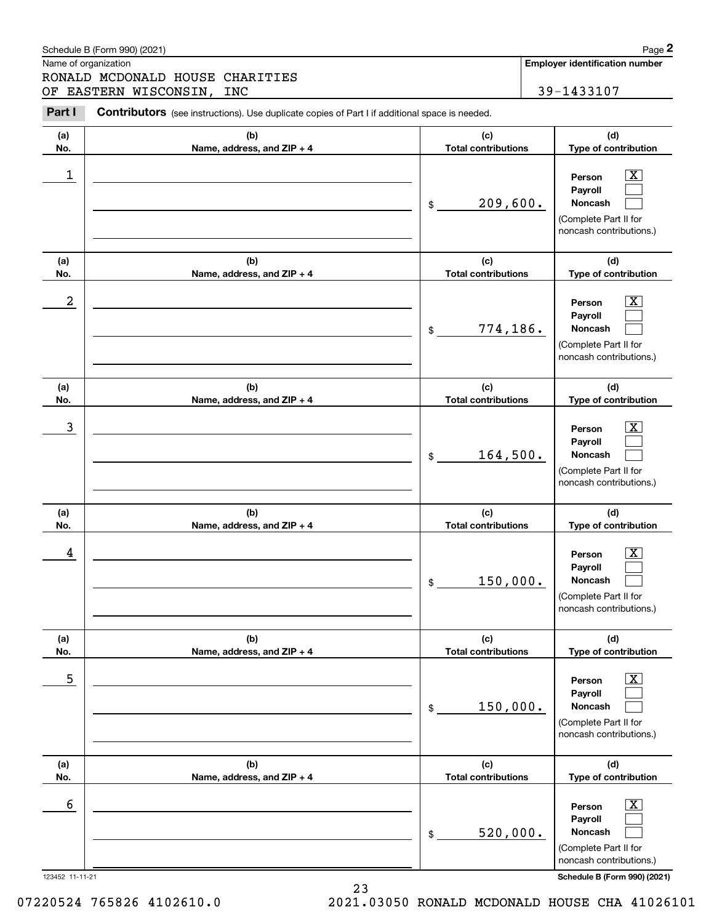## Schedule B (Form 990) (2021) Page 2

|                  | Schedule B (Form 990) (2021)                                                                   |                                   | Page 2                                                                                                      |
|------------------|------------------------------------------------------------------------------------------------|-----------------------------------|-------------------------------------------------------------------------------------------------------------|
|                  | Name of organization<br>RONALD MCDONALD HOUSE CHARITIES                                        |                                   | <b>Employer identification number</b>                                                                       |
|                  | OF EASTERN WISCONSIN,<br><b>INC</b>                                                            |                                   | 39-1433107                                                                                                  |
| Part I           | Contributors (see instructions). Use duplicate copies of Part I if additional space is needed. |                                   |                                                                                                             |
| (a)<br>No.       | (b)<br>Name, address, and ZIP + 4                                                              | (c)<br><b>Total contributions</b> | (d)<br>Type of contribution                                                                                 |
| 1                |                                                                                                | 209,600.<br>\$                    | $\overline{\mathbf{X}}$<br>Person<br>Payroll<br>Noncash<br>(Complete Part II for<br>noncash contributions.) |
| (a)<br>No.       | (b)<br>Name, address, and ZIP + 4                                                              | (c)<br><b>Total contributions</b> | (d)<br>Type of contribution                                                                                 |
| $\boldsymbol{2}$ |                                                                                                | 774,186.<br>\$                    | $\overline{\mathbf{X}}$<br>Person<br>Payroll<br>Noncash<br>(Complete Part II for<br>noncash contributions.) |
| (a)<br>No.       | (b)<br>Name, address, and ZIP + 4                                                              | (c)<br><b>Total contributions</b> | (d)<br>Type of contribution                                                                                 |
| 3                |                                                                                                | 164,500.<br>\$                    | $\overline{\text{X}}$<br>Person<br>Payroll<br>Noncash<br>(Complete Part II for<br>noncash contributions.)   |
| (a)<br>No.       | (b)<br>Name, address, and ZIP + 4                                                              | (c)<br><b>Total contributions</b> | (d)<br>Type of contribution                                                                                 |
| 4                |                                                                                                | 150,000.<br>\$                    | $\mathbf{X}$<br>Person<br>Payroll<br>Noncash<br>(Complete Part II for<br>noncash contributions.)            |
| (a)<br>No.       | (b)<br>Name, address, and ZIP + 4                                                              | (c)<br><b>Total contributions</b> | (d)<br>Type of contribution                                                                                 |
| 5                |                                                                                                | 150,000.<br>\$                    | $\boxed{\text{X}}$<br>Person<br>Payroll<br>Noncash<br>(Complete Part II for<br>noncash contributions.)      |
| (a)<br>No.       | (b)<br>Name, address, and ZIP + 4                                                              | (c)<br><b>Total contributions</b> | (d)<br>Type of contribution                                                                                 |
| 6                |                                                                                                | 520,000.<br>\$                    | $\boxed{\text{X}}$<br>Person<br>Payroll<br>Noncash<br>(Complete Part II for<br>noncash contributions.)      |

123452 11-11-21 **Schedule B (Form 990) (2021)**

07220524 765826 4102610.0 2021.03050 RONALD MCDONALD HOUSE CHA 41026101

23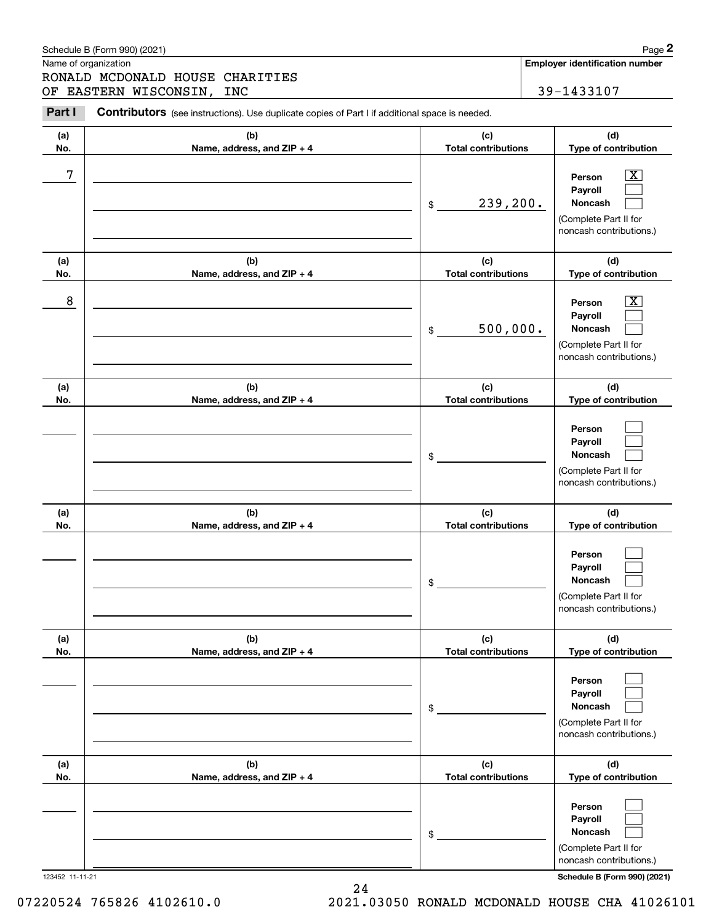| 1990) (2021 <sup>)</sup><br>Schedule<br>. B (Form ' | Page                           |
|-----------------------------------------------------|--------------------------------|
| Name of organization                                | Emplover identification number |

|            | Schedule B (Form 990) (2021)                                                                          |                                   | Page 2                                                                                                      |
|------------|-------------------------------------------------------------------------------------------------------|-----------------------------------|-------------------------------------------------------------------------------------------------------------|
|            | Name of organization                                                                                  |                                   | <b>Employer identification number</b>                                                                       |
|            | RONALD MCDONALD HOUSE CHARITIES<br>OF EASTERN WISCONSIN,<br><b>INC</b>                                |                                   | 39-1433107                                                                                                  |
| Part I     | <b>Contributors</b> (see instructions). Use duplicate copies of Part I if additional space is needed. |                                   |                                                                                                             |
| (a)<br>No. | (b)<br>Name, address, and ZIP + 4                                                                     | (c)<br><b>Total contributions</b> | (d)<br>Type of contribution                                                                                 |
| 7          |                                                                                                       | 239,200.<br>\$                    | $\overline{\texttt{X}}$<br>Person<br>Payroll<br>Noncash<br>(Complete Part II for<br>noncash contributions.) |
| (a)<br>No. | (b)<br>Name, address, and ZIP + 4                                                                     | (c)<br><b>Total contributions</b> | (d)<br>Type of contribution                                                                                 |
| 8          |                                                                                                       | 500,000.<br>\$                    | $\overline{\text{X}}$<br>Person<br>Payroll<br>Noncash<br>(Complete Part II for<br>noncash contributions.)   |
| (a)<br>No. | (b)<br>Name, address, and ZIP + 4                                                                     | (c)<br><b>Total contributions</b> | (d)<br>Type of contribution                                                                                 |
|            |                                                                                                       | \$                                | Person<br>Payroll<br>Noncash<br>(Complete Part II for<br>noncash contributions.)                            |
| (a)<br>No. | (b)<br>Name, address, and ZIP + 4                                                                     | (c)<br><b>Total contributions</b> | (d)<br>Type of contribution                                                                                 |
|            |                                                                                                       | \$                                | Person<br>Payroll<br>Noncash<br>(Complete Part II for<br>noncash contributions.)                            |
| (a)<br>No. | (b)<br>Name, address, and ZIP + 4                                                                     | (c)<br><b>Total contributions</b> | (d)<br>Type of contribution                                                                                 |
|            |                                                                                                       | \$                                | Person<br>Payroll<br>Noncash<br>(Complete Part II for<br>noncash contributions.)                            |
| (a)<br>No. | (b)<br>Name, address, and ZIP + 4                                                                     | (c)<br><b>Total contributions</b> | (d)<br>Type of contribution                                                                                 |
|            |                                                                                                       | \$                                | Person<br>Payroll<br>Noncash<br>(Complete Part II for<br>noncash contributions.)                            |

123452 11-11-21 **Schedule B (Form 990) (2021)**

24 07220524 765826 4102610.0 2021.03050 RONALD MCDONALD HOUSE CHA 41026101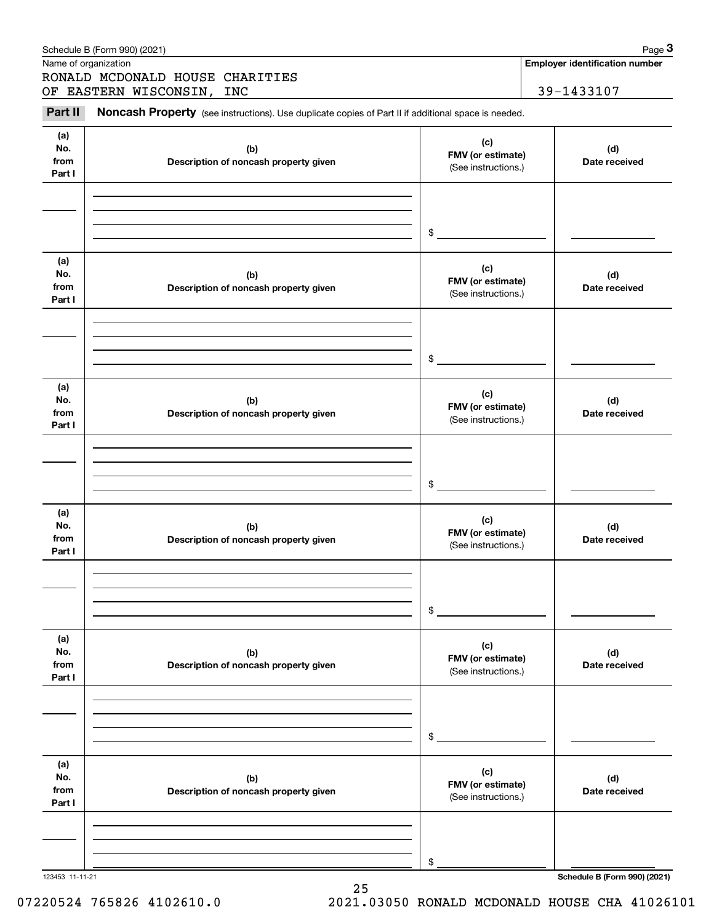|                              | Schedule B (Form 990) (2021)                                                                        |                                                 | Page 3                                |
|------------------------------|-----------------------------------------------------------------------------------------------------|-------------------------------------------------|---------------------------------------|
| Name of organization         | RONALD MCDONALD HOUSE CHARITIES                                                                     |                                                 | <b>Employer identification number</b> |
|                              | OF EASTERN WISCONSIN, INC                                                                           |                                                 | 39-1433107                            |
| Part II                      | Noncash Property (see instructions). Use duplicate copies of Part II if additional space is needed. |                                                 |                                       |
| (a)<br>No.<br>from<br>Part I | (b)<br>Description of noncash property given                                                        | (c)<br>FMV (or estimate)<br>(See instructions.) | (d)<br>Date received                  |
|                              |                                                                                                     | $\frac{1}{2}$                                   |                                       |
| (a)<br>No.<br>from<br>Part I | (b)<br>Description of noncash property given                                                        | (c)<br>FMV (or estimate)<br>(See instructions.) | (d)<br>Date received                  |
|                              |                                                                                                     | $$ -$                                           |                                       |
| (a)<br>No.<br>from<br>Part I | (b)<br>Description of noncash property given                                                        | (c)<br>FMV (or estimate)<br>(See instructions.) | (d)<br>Date received                  |
|                              |                                                                                                     | $\frac{1}{2}$                                   |                                       |
| (a)<br>No.<br>from<br>Part I | (b)<br>Description of noncash property given                                                        | (c)<br>FMV (or estimate)<br>(See instructions.) | (d)<br>Date received                  |
|                              |                                                                                                     | \$                                              |                                       |
| (a)<br>No.<br>from<br>Part I | (b)<br>Description of noncash property given                                                        | (c)<br>FMV (or estimate)<br>(See instructions.) | (d)<br>Date received                  |
|                              |                                                                                                     | \$                                              |                                       |
| (a)<br>No.<br>from<br>Part I | (b)<br>Description of noncash property given                                                        | (c)<br>FMV (or estimate)<br>(See instructions.) | (d)<br>Date received                  |
|                              |                                                                                                     | \$                                              |                                       |
| 123453 11-11-21              |                                                                                                     |                                                 | Schedule B (Form 990) (2021)          |

25

07220524 765826 4102610.0 2021.03050 RONALD MCDONALD HOUSE CHA 41026101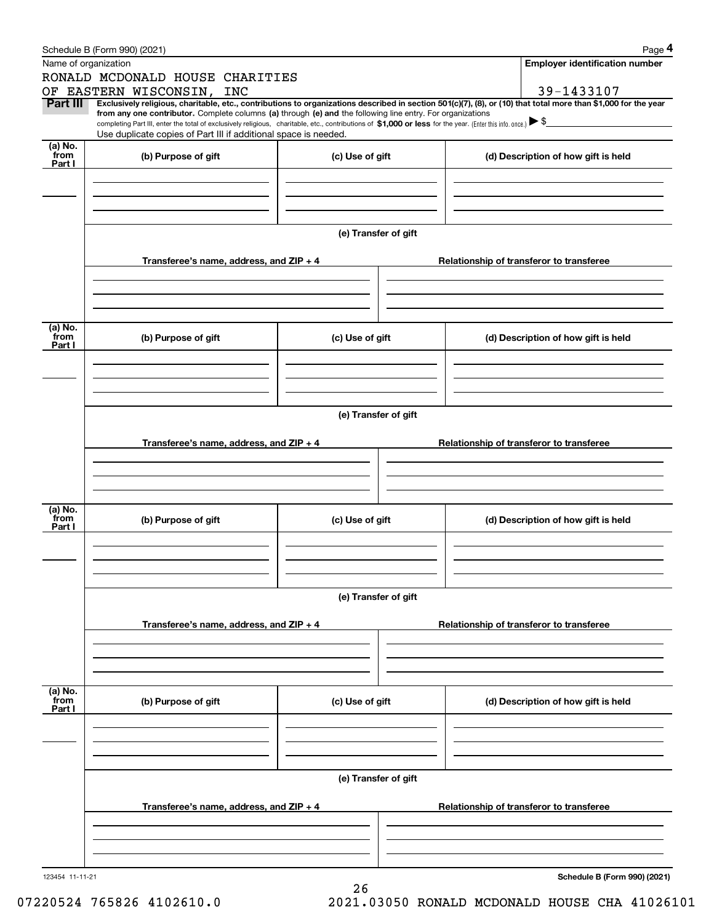|                 | Schedule B (Form 990) (2021)                                                                                                                                                      |                      |  | Page 4                                                                                                                                                         |  |  |  |  |
|-----------------|-----------------------------------------------------------------------------------------------------------------------------------------------------------------------------------|----------------------|--|----------------------------------------------------------------------------------------------------------------------------------------------------------------|--|--|--|--|
|                 | Name of organization                                                                                                                                                              |                      |  | <b>Employer identification number</b>                                                                                                                          |  |  |  |  |
|                 | RONALD MCDONALD HOUSE CHARITIES                                                                                                                                                   |                      |  |                                                                                                                                                                |  |  |  |  |
|                 | OF EASTERN WISCONSIN, INC                                                                                                                                                         |                      |  | 39-1433107                                                                                                                                                     |  |  |  |  |
| Part III        | from any one contributor. Complete columns (a) through (e) and the following line entry. For organizations                                                                        |                      |  | Exclusively religious, charitable, etc., contributions to organizations described in section 501(c)(7), (8), or (10) that total more than \$1,000 for the year |  |  |  |  |
|                 | completing Part III, enter the total of exclusively religious, charitable, etc., contributions of \$1,000 or less for the year. (Enter this info. once.) $\blacktriangleright$ \$ |                      |  |                                                                                                                                                                |  |  |  |  |
|                 | Use duplicate copies of Part III if additional space is needed.                                                                                                                   |                      |  |                                                                                                                                                                |  |  |  |  |
| (a) No.<br>from | (b) Purpose of gift                                                                                                                                                               | (c) Use of gift      |  | (d) Description of how gift is held                                                                                                                            |  |  |  |  |
| Part I          |                                                                                                                                                                                   |                      |  |                                                                                                                                                                |  |  |  |  |
|                 |                                                                                                                                                                                   |                      |  |                                                                                                                                                                |  |  |  |  |
|                 |                                                                                                                                                                                   |                      |  |                                                                                                                                                                |  |  |  |  |
|                 |                                                                                                                                                                                   |                      |  |                                                                                                                                                                |  |  |  |  |
|                 |                                                                                                                                                                                   | (e) Transfer of gift |  |                                                                                                                                                                |  |  |  |  |
|                 |                                                                                                                                                                                   |                      |  |                                                                                                                                                                |  |  |  |  |
|                 | Transferee's name, address, and ZIP + 4                                                                                                                                           |                      |  | Relationship of transferor to transferee                                                                                                                       |  |  |  |  |
|                 |                                                                                                                                                                                   |                      |  |                                                                                                                                                                |  |  |  |  |
|                 |                                                                                                                                                                                   |                      |  |                                                                                                                                                                |  |  |  |  |
|                 |                                                                                                                                                                                   |                      |  |                                                                                                                                                                |  |  |  |  |
| (a) No.         |                                                                                                                                                                                   |                      |  |                                                                                                                                                                |  |  |  |  |
| from<br>Part I  | (b) Purpose of gift                                                                                                                                                               | (c) Use of gift      |  | (d) Description of how gift is held                                                                                                                            |  |  |  |  |
|                 |                                                                                                                                                                                   |                      |  |                                                                                                                                                                |  |  |  |  |
|                 |                                                                                                                                                                                   |                      |  |                                                                                                                                                                |  |  |  |  |
|                 |                                                                                                                                                                                   |                      |  |                                                                                                                                                                |  |  |  |  |
|                 |                                                                                                                                                                                   |                      |  |                                                                                                                                                                |  |  |  |  |
|                 | (e) Transfer of gift                                                                                                                                                              |                      |  |                                                                                                                                                                |  |  |  |  |
|                 |                                                                                                                                                                                   |                      |  |                                                                                                                                                                |  |  |  |  |
|                 | Transferee's name, address, and $ZIP + 4$                                                                                                                                         |                      |  | Relationship of transferor to transferee                                                                                                                       |  |  |  |  |
|                 |                                                                                                                                                                                   |                      |  |                                                                                                                                                                |  |  |  |  |
|                 |                                                                                                                                                                                   |                      |  |                                                                                                                                                                |  |  |  |  |
|                 |                                                                                                                                                                                   |                      |  |                                                                                                                                                                |  |  |  |  |
| (a) No.<br>from |                                                                                                                                                                                   |                      |  |                                                                                                                                                                |  |  |  |  |
| Part I          | (b) Purpose of gift                                                                                                                                                               | (c) Use of gift      |  | (d) Description of how gift is held                                                                                                                            |  |  |  |  |
|                 |                                                                                                                                                                                   |                      |  |                                                                                                                                                                |  |  |  |  |
|                 |                                                                                                                                                                                   |                      |  |                                                                                                                                                                |  |  |  |  |
|                 |                                                                                                                                                                                   |                      |  |                                                                                                                                                                |  |  |  |  |
|                 |                                                                                                                                                                                   | (e) Transfer of gift |  |                                                                                                                                                                |  |  |  |  |
|                 |                                                                                                                                                                                   |                      |  |                                                                                                                                                                |  |  |  |  |
|                 | Transferee's name, address, and ZIP + 4                                                                                                                                           |                      |  | Relationship of transferor to transferee                                                                                                                       |  |  |  |  |
|                 |                                                                                                                                                                                   |                      |  |                                                                                                                                                                |  |  |  |  |
|                 |                                                                                                                                                                                   |                      |  |                                                                                                                                                                |  |  |  |  |
|                 |                                                                                                                                                                                   |                      |  |                                                                                                                                                                |  |  |  |  |
|                 |                                                                                                                                                                                   |                      |  |                                                                                                                                                                |  |  |  |  |
| (a) No.<br>from | (b) Purpose of gift                                                                                                                                                               | (c) Use of gift      |  | (d) Description of how gift is held                                                                                                                            |  |  |  |  |
| Part I          |                                                                                                                                                                                   |                      |  |                                                                                                                                                                |  |  |  |  |
|                 |                                                                                                                                                                                   |                      |  |                                                                                                                                                                |  |  |  |  |
|                 |                                                                                                                                                                                   |                      |  |                                                                                                                                                                |  |  |  |  |
|                 |                                                                                                                                                                                   |                      |  |                                                                                                                                                                |  |  |  |  |
|                 |                                                                                                                                                                                   | (e) Transfer of gift |  |                                                                                                                                                                |  |  |  |  |
|                 |                                                                                                                                                                                   |                      |  |                                                                                                                                                                |  |  |  |  |
|                 | Transferee's name, address, and $ZIP + 4$                                                                                                                                         |                      |  | Relationship of transferor to transferee                                                                                                                       |  |  |  |  |
|                 |                                                                                                                                                                                   |                      |  |                                                                                                                                                                |  |  |  |  |
|                 |                                                                                                                                                                                   |                      |  |                                                                                                                                                                |  |  |  |  |
|                 |                                                                                                                                                                                   |                      |  |                                                                                                                                                                |  |  |  |  |
| 123454 11-11-21 |                                                                                                                                                                                   |                      |  | Schedule B (Form 990) (2021)                                                                                                                                   |  |  |  |  |
|                 |                                                                                                                                                                                   |                      |  |                                                                                                                                                                |  |  |  |  |

26 07220524 765826 4102610.0 2021.03050 RONALD MCDONALD HOUSE CHA 41026101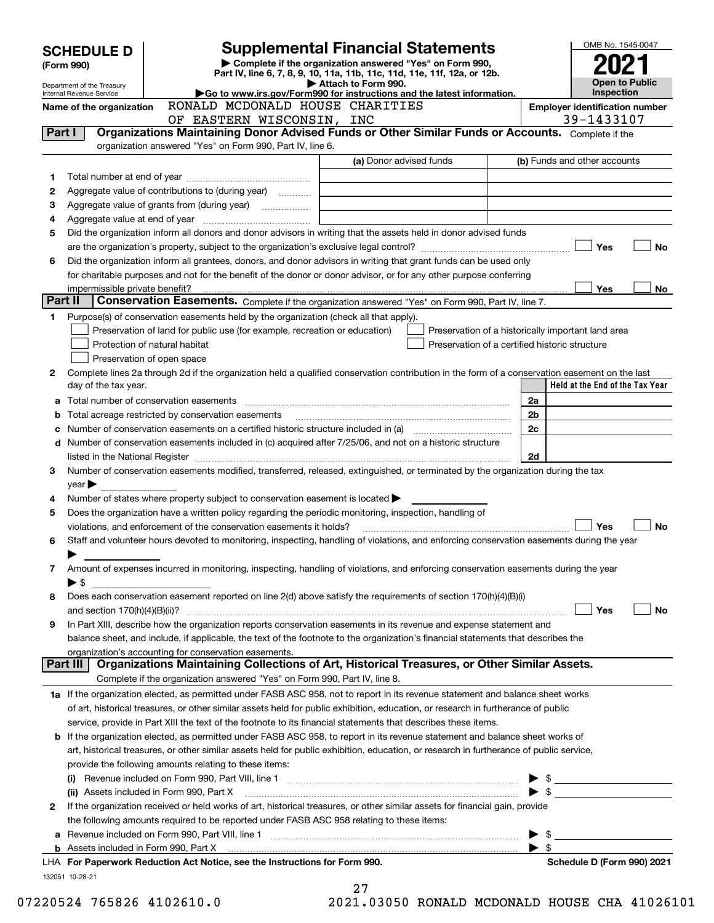|         | <b>SCHEDULE D</b>                                    |                                                                                                        | <b>Supplemental Financial Statements</b>                                                                                                       |                                                            | OMB No. 1545-0047               |
|---------|------------------------------------------------------|--------------------------------------------------------------------------------------------------------|------------------------------------------------------------------------------------------------------------------------------------------------|------------------------------------------------------------|---------------------------------|
|         | (Form 990)                                           |                                                                                                        | Complete if the organization answered "Yes" on Form 990,<br>Part IV, line 6, 7, 8, 9, 10, 11a, 11b, 11c, 11d, 11e, 11f, 12a, or 12b.           |                                                            |                                 |
|         | Department of the Treasury                           |                                                                                                        | Attach to Form 990.<br>Go to www.irs.gov/Form990 for instructions and the latest information.                                                  |                                                            | Open to Public                  |
|         | Internal Revenue Service<br>Name of the organization | RONALD MCDONALD HOUSE CHARITIES                                                                        |                                                                                                                                                | <b>Inspection</b><br><b>Employer identification number</b> |                                 |
|         |                                                      | OF EASTERN WISCONSIN, INC                                                                              |                                                                                                                                                |                                                            | 39-1433107                      |
| Part I  |                                                      |                                                                                                        | Organizations Maintaining Donor Advised Funds or Other Similar Funds or Accounts. Complete if the                                              |                                                            |                                 |
|         |                                                      | organization answered "Yes" on Form 990, Part IV, line 6.                                              |                                                                                                                                                |                                                            |                                 |
|         |                                                      |                                                                                                        | (a) Donor advised funds                                                                                                                        |                                                            | (b) Funds and other accounts    |
| 1       |                                                      |                                                                                                        |                                                                                                                                                |                                                            |                                 |
| 2       |                                                      | Aggregate value of contributions to (during year)                                                      |                                                                                                                                                |                                                            |                                 |
| З       |                                                      |                                                                                                        |                                                                                                                                                |                                                            |                                 |
| 4       |                                                      |                                                                                                        |                                                                                                                                                |                                                            |                                 |
| 5       |                                                      |                                                                                                        | Did the organization inform all donors and donor advisors in writing that the assets held in donor advised funds                               |                                                            |                                 |
|         |                                                      |                                                                                                        |                                                                                                                                                |                                                            | Yes<br><b>No</b>                |
| 6       |                                                      |                                                                                                        | Did the organization inform all grantees, donors, and donor advisors in writing that grant funds can be used only                              |                                                            |                                 |
|         |                                                      |                                                                                                        | for charitable purposes and not for the benefit of the donor or donor advisor, or for any other purpose conferring                             |                                                            |                                 |
| Part II |                                                      |                                                                                                        | Conservation Easements. Complete if the organization answered "Yes" on Form 990, Part IV, line 7.                                              |                                                            | Yes<br>No                       |
| 1       |                                                      | Purpose(s) of conservation easements held by the organization (check all that apply).                  |                                                                                                                                                |                                                            |                                 |
|         |                                                      | Preservation of land for public use (for example, recreation or education)                             | Preservation of a historically important land area                                                                                             |                                                            |                                 |
|         |                                                      | Protection of natural habitat                                                                          | Preservation of a certified historic structure                                                                                                 |                                                            |                                 |
|         |                                                      | Preservation of open space                                                                             |                                                                                                                                                |                                                            |                                 |
| 2       |                                                      |                                                                                                        | Complete lines 2a through 2d if the organization held a qualified conservation contribution in the form of a conservation easement on the last |                                                            |                                 |
|         | day of the tax year.                                 |                                                                                                        |                                                                                                                                                |                                                            | Held at the End of the Tax Year |
| а       |                                                      |                                                                                                        |                                                                                                                                                | 2a                                                         |                                 |
| b       |                                                      | Total acreage restricted by conservation easements                                                     |                                                                                                                                                | 2 <sub>b</sub>                                             |                                 |
| c       |                                                      |                                                                                                        |                                                                                                                                                | 2c                                                         |                                 |
| d       |                                                      |                                                                                                        | Number of conservation easements included in (c) acquired after 7/25/06, and not on a historic structure                                       |                                                            |                                 |
|         |                                                      |                                                                                                        |                                                                                                                                                | 2d                                                         |                                 |
| 3       |                                                      |                                                                                                        | Number of conservation easements modified, transferred, released, extinguished, or terminated by the organization during the tax               |                                                            |                                 |
|         | $year \blacktriangleright$                           |                                                                                                        |                                                                                                                                                |                                                            |                                 |
| 4       |                                                      | Number of states where property subject to conservation easement is located >                          |                                                                                                                                                |                                                            |                                 |
| 5       |                                                      | Does the organization have a written policy regarding the periodic monitoring, inspection, handling of |                                                                                                                                                |                                                            |                                 |
|         |                                                      | violations, and enforcement of the conservation easements it holds?                                    |                                                                                                                                                |                                                            | Yes<br>No                       |
| 6       |                                                      |                                                                                                        | Staff and volunteer hours devoted to monitoring, inspecting, handling of violations, and enforcing conservation easements during the year      |                                                            |                                 |
|         |                                                      |                                                                                                        |                                                                                                                                                |                                                            |                                 |
| 7       |                                                      |                                                                                                        | Amount of expenses incurred in monitoring, inspecting, handling of violations, and enforcing conservation easements during the year            |                                                            |                                 |
|         | $\blacktriangleright$ \$                             |                                                                                                        |                                                                                                                                                |                                                            |                                 |
| 8       |                                                      |                                                                                                        | Does each conservation easement reported on line 2(d) above satisfy the requirements of section 170(h)(4)(B)(i)                                |                                                            |                                 |
|         |                                                      |                                                                                                        | In Part XIII, describe how the organization reports conservation easements in its revenue and expense statement and                            |                                                            | Yes<br>No                       |
| 9       |                                                      |                                                                                                        | balance sheet, and include, if applicable, the text of the footnote to the organization's financial statements that describes the              |                                                            |                                 |
|         |                                                      | organization's accounting for conservation easements.                                                  |                                                                                                                                                |                                                            |                                 |
|         | Part III l                                           |                                                                                                        | Organizations Maintaining Collections of Art, Historical Treasures, or Other Similar Assets.                                                   |                                                            |                                 |
|         |                                                      | Complete if the organization answered "Yes" on Form 990, Part IV, line 8.                              |                                                                                                                                                |                                                            |                                 |
|         |                                                      |                                                                                                        | 1a If the organization elected, as permitted under FASB ASC 958, not to report in its revenue statement and balance sheet works                |                                                            |                                 |
|         |                                                      |                                                                                                        | of art, historical treasures, or other similar assets held for public exhibition, education, or research in furtherance of public              |                                                            |                                 |
|         |                                                      |                                                                                                        | service, provide in Part XIII the text of the footnote to its financial statements that describes these items.                                 |                                                            |                                 |
| b       |                                                      |                                                                                                        | If the organization elected, as permitted under FASB ASC 958, to report in its revenue statement and balance sheet works of                    |                                                            |                                 |
|         |                                                      |                                                                                                        | art, historical treasures, or other similar assets held for public exhibition, education, or research in furtherance of public service,        |                                                            |                                 |
|         |                                                      | provide the following amounts relating to these items:                                                 |                                                                                                                                                |                                                            |                                 |
|         |                                                      |                                                                                                        |                                                                                                                                                | \$                                                         |                                 |
|         |                                                      | (ii) Assets included in Form 990, Part X                                                               |                                                                                                                                                | $\blacktriangleright$ \$                                   |                                 |
| 2       |                                                      |                                                                                                        | If the organization received or held works of art, historical treasures, or other similar assets for financial gain, provide                   |                                                            |                                 |
|         |                                                      | the following amounts required to be reported under FASB ASC 958 relating to these items:              |                                                                                                                                                |                                                            |                                 |
| а       |                                                      |                                                                                                        |                                                                                                                                                | \$                                                         |                                 |
|         |                                                      |                                                                                                        |                                                                                                                                                | \$                                                         |                                 |
|         |                                                      | LHA For Paperwork Reduction Act Notice, see the Instructions for Form 990.                             |                                                                                                                                                |                                                            | Schedule D (Form 990) 2021      |
|         | 132051 10-28-21                                      |                                                                                                        |                                                                                                                                                |                                                            |                                 |
|         |                                                      |                                                                                                        | 27                                                                                                                                             |                                                            |                                 |

07220524 765826 4102610.0 2021.03050 RONALD MCDONALD HOUSE CHA 41026101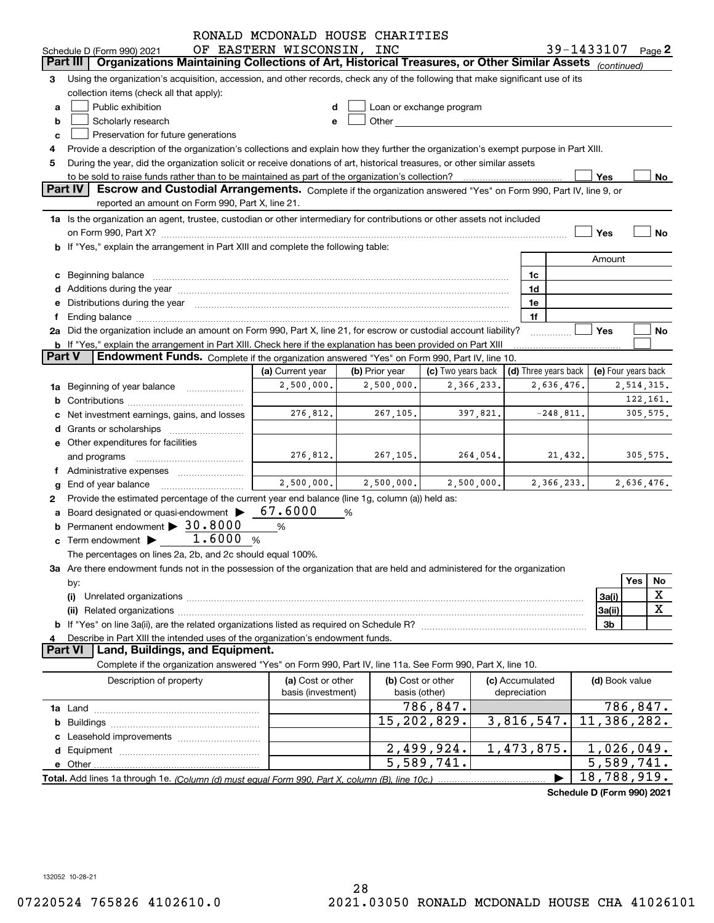|               |                                                                                                                                                                                                                                | RONALD MCDONALD HOUSE CHARITIES         |                |                                                                                                                                                                                                                                |                                 |                            |
|---------------|--------------------------------------------------------------------------------------------------------------------------------------------------------------------------------------------------------------------------------|-----------------------------------------|----------------|--------------------------------------------------------------------------------------------------------------------------------------------------------------------------------------------------------------------------------|---------------------------------|----------------------------|
|               | Schedule D (Form 990) 2021                                                                                                                                                                                                     | OF EASTERN WISCONSIN, INC               |                |                                                                                                                                                                                                                                |                                 | 39-1433107 Page 2          |
|               | Part III<br>Organizations Maintaining Collections of Art, Historical Treasures, or Other Similar Assets (continued)                                                                                                            |                                         |                |                                                                                                                                                                                                                                |                                 |                            |
| 3             | Using the organization's acquisition, accession, and other records, check any of the following that make significant use of its                                                                                                |                                         |                |                                                                                                                                                                                                                                |                                 |                            |
|               | collection items (check all that apply):                                                                                                                                                                                       |                                         |                |                                                                                                                                                                                                                                |                                 |                            |
| a             | Public exhibition                                                                                                                                                                                                              |                                         |                | Loan or exchange program                                                                                                                                                                                                       |                                 |                            |
| b             | Scholarly research                                                                                                                                                                                                             |                                         |                | Other and the control of the control of the control of the control of the control of the control of the control of the control of the control of the control of the control of the control of the control of the control of th |                                 |                            |
| c             | Preservation for future generations                                                                                                                                                                                            |                                         |                |                                                                                                                                                                                                                                |                                 |                            |
|               | Provide a description of the organization's collections and explain how they further the organization's exempt purpose in Part XIII.                                                                                           |                                         |                |                                                                                                                                                                                                                                |                                 |                            |
| 5             | During the year, did the organization solicit or receive donations of art, historical treasures, or other similar assets                                                                                                       |                                         |                |                                                                                                                                                                                                                                |                                 |                            |
|               | to be sold to raise funds rather than to be maintained as part of the organization's collection?                                                                                                                               |                                         |                |                                                                                                                                                                                                                                |                                 | Yes<br>No                  |
|               | Part IV<br>Escrow and Custodial Arrangements. Complete if the organization answered "Yes" on Form 990, Part IV, line 9, or                                                                                                     |                                         |                |                                                                                                                                                                                                                                |                                 |                            |
|               | reported an amount on Form 990, Part X, line 21.                                                                                                                                                                               |                                         |                |                                                                                                                                                                                                                                |                                 |                            |
|               | 1a Is the organization an agent, trustee, custodian or other intermediary for contributions or other assets not included                                                                                                       |                                         |                |                                                                                                                                                                                                                                |                                 |                            |
|               |                                                                                                                                                                                                                                |                                         |                |                                                                                                                                                                                                                                |                                 | Yes<br>No                  |
|               | <b>b</b> If "Yes," explain the arrangement in Part XIII and complete the following table:                                                                                                                                      |                                         |                |                                                                                                                                                                                                                                |                                 |                            |
|               |                                                                                                                                                                                                                                |                                         |                |                                                                                                                                                                                                                                |                                 | Amount                     |
|               |                                                                                                                                                                                                                                |                                         |                |                                                                                                                                                                                                                                |                                 |                            |
|               | c Beginning balance entrance and contain the set of the set of the set of the set of the set of the set of the set of the set of the set of the set of the set of the set of the set of the set of the set of the set of the s |                                         |                |                                                                                                                                                                                                                                | 1c                              |                            |
|               | d Additions during the year measurement contains and a final state of a final state of the state of the state of the state of the state of the state of the state of the state of the state of the state of the state of the s |                                         |                |                                                                                                                                                                                                                                | 1d                              |                            |
|               | e Distributions during the year manufactured and continuum and contract the contract of the contract of the contract of the contract of the contract of the contract of the contract of the contract of the contract of the co |                                         |                |                                                                                                                                                                                                                                | 1e                              |                            |
| Ť.            |                                                                                                                                                                                                                                |                                         |                |                                                                                                                                                                                                                                | 1f                              |                            |
|               | 2a Did the organization include an amount on Form 990, Part X, line 21, for escrow or custodial account liability?                                                                                                             |                                         |                |                                                                                                                                                                                                                                |                                 | Yes<br>No                  |
| <b>Part V</b> | <b>b</b> If "Yes," explain the arrangement in Part XIII. Check here if the explanation has been provided on Part XIII                                                                                                          |                                         |                |                                                                                                                                                                                                                                |                                 |                            |
|               | Endowment Funds. Complete if the organization answered "Yes" on Form 990, Part IV, line 10.                                                                                                                                    |                                         |                |                                                                                                                                                                                                                                |                                 |                            |
|               |                                                                                                                                                                                                                                | (a) Current year                        | (b) Prior year | (c) Two years back                                                                                                                                                                                                             | (d) Three years back            | (e) Four years back        |
|               | 1a Beginning of year balance                                                                                                                                                                                                   | 2,500,000.                              | 2,500,000.     | 2,366,233.                                                                                                                                                                                                                     | 2,636,476.                      | 2,514,315.                 |
|               |                                                                                                                                                                                                                                |                                         |                |                                                                                                                                                                                                                                |                                 | 122,161.                   |
|               | c Net investment earnings, gains, and losses                                                                                                                                                                                   | 276,812.                                | 267, 105.      | 397,821.                                                                                                                                                                                                                       | $-248,811.$                     | 305,575.                   |
|               |                                                                                                                                                                                                                                |                                         |                |                                                                                                                                                                                                                                |                                 |                            |
|               | e Other expenditures for facilities                                                                                                                                                                                            |                                         |                |                                                                                                                                                                                                                                |                                 |                            |
|               | and programs                                                                                                                                                                                                                   | 276,812.                                | 267, 105.      | 264,054.                                                                                                                                                                                                                       | 21,432.                         | 305,575.                   |
|               | f Administrative expenses                                                                                                                                                                                                      |                                         |                |                                                                                                                                                                                                                                |                                 |                            |
|               | g End of year balance                                                                                                                                                                                                          | 2,500,000.                              | 2,500,000.     | 2,500,000.                                                                                                                                                                                                                     | 2,366,233.                      | 2,636,476.                 |
| 2             | Provide the estimated percentage of the current year end balance (line 1g, column (a)) held as:                                                                                                                                |                                         |                |                                                                                                                                                                                                                                |                                 |                            |
|               | a Board designated or quasi-endowment >                                                                                                                                                                                        | 67.6000                                 | %              |                                                                                                                                                                                                                                |                                 |                            |
|               | <b>b</b> Permanent endowment $\triangleright$ 30.8000                                                                                                                                                                          | %                                       |                |                                                                                                                                                                                                                                |                                 |                            |
|               | c Term endowment $\blacktriangleright$ $\boxed{1.6000}$                                                                                                                                                                        | %                                       |                |                                                                                                                                                                                                                                |                                 |                            |
|               | The percentages on lines 2a, 2b, and 2c should equal 100%.                                                                                                                                                                     |                                         |                |                                                                                                                                                                                                                                |                                 |                            |
|               | 3a Are there endowment funds not in the possession of the organization that are held and administered for the organization                                                                                                     |                                         |                |                                                                                                                                                                                                                                |                                 |                            |
|               | by:                                                                                                                                                                                                                            |                                         |                |                                                                                                                                                                                                                                |                                 | Yes<br>No                  |
|               | (i)                                                                                                                                                                                                                            |                                         |                |                                                                                                                                                                                                                                |                                 | X<br>3a(i)                 |
|               |                                                                                                                                                                                                                                |                                         |                |                                                                                                                                                                                                                                |                                 | X<br>3a(ii)                |
|               |                                                                                                                                                                                                                                |                                         |                |                                                                                                                                                                                                                                |                                 | 3b                         |
|               | Describe in Part XIII the intended uses of the organization's endowment funds.                                                                                                                                                 |                                         |                |                                                                                                                                                                                                                                |                                 |                            |
|               | Land, Buildings, and Equipment.<br><b>Part VI</b>                                                                                                                                                                              |                                         |                |                                                                                                                                                                                                                                |                                 |                            |
|               | Complete if the organization answered "Yes" on Form 990, Part IV, line 11a. See Form 990, Part X, line 10.                                                                                                                     |                                         |                |                                                                                                                                                                                                                                |                                 |                            |
|               |                                                                                                                                                                                                                                |                                         |                |                                                                                                                                                                                                                                |                                 |                            |
|               | Description of property                                                                                                                                                                                                        | (a) Cost or other<br>basis (investment) |                | (b) Cost or other<br>basis (other)                                                                                                                                                                                             | (c) Accumulated<br>depreciation | (d) Book value             |
|               |                                                                                                                                                                                                                                |                                         |                |                                                                                                                                                                                                                                |                                 |                            |
|               |                                                                                                                                                                                                                                |                                         |                | 786,847.                                                                                                                                                                                                                       |                                 | 786,847.                   |
|               |                                                                                                                                                                                                                                |                                         |                | 15, 202, 829.                                                                                                                                                                                                                  | 3,816,547.                      | 11,386,282.                |
|               |                                                                                                                                                                                                                                |                                         |                |                                                                                                                                                                                                                                |                                 |                            |
|               |                                                                                                                                                                                                                                |                                         |                | 2,499,924.                                                                                                                                                                                                                     | 1,473,875.                      | 1,026,049.                 |
|               |                                                                                                                                                                                                                                |                                         |                | 5,589,741.                                                                                                                                                                                                                     |                                 | $\overline{5}$ , 589, 741. |
|               |                                                                                                                                                                                                                                |                                         |                |                                                                                                                                                                                                                                |                                 | 18,788,919.                |
|               |                                                                                                                                                                                                                                |                                         |                |                                                                                                                                                                                                                                |                                 |                            |

**Schedule D (Form 990) 2021**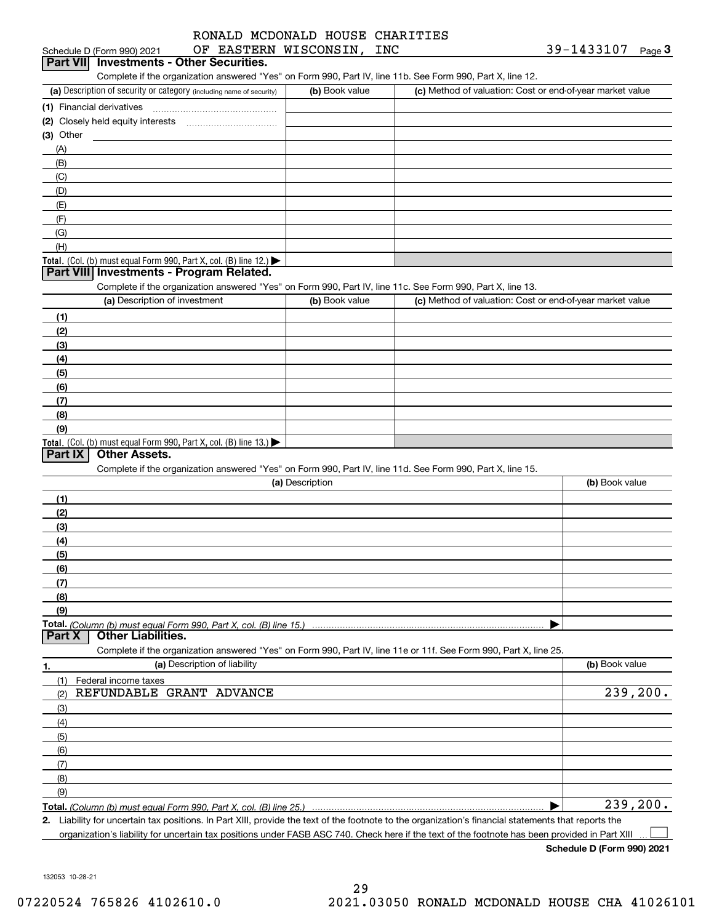# RONALD MCDONALD HOUSE CHARITIES

|                                                                                                                                    | OF EASTERN WISCONSIN,<br>INC | 39-1433107<br>$Page$ 3                                    |
|------------------------------------------------------------------------------------------------------------------------------------|------------------------------|-----------------------------------------------------------|
| <b>Investments - Other Securities.</b><br>Part VIII                                                                                |                              |                                                           |
| Complete if the organization answered "Yes" on Form 990, Part IV, line 11b. See Form 990, Part X, line 12.                         |                              |                                                           |
| (a) Description of security or category (including name of security)                                                               | (b) Book value               | (c) Method of valuation: Cost or end-of-year market value |
| (1) Financial derivatives                                                                                                          |                              |                                                           |
| Closely held equity interests<br>(2)                                                                                               |                              |                                                           |
| $(3)$ Other                                                                                                                        |                              |                                                           |
| (A)                                                                                                                                |                              |                                                           |
| (B)                                                                                                                                |                              |                                                           |
| (C)                                                                                                                                |                              |                                                           |
| (D)                                                                                                                                |                              |                                                           |
| (E)                                                                                                                                |                              |                                                           |
| (F)                                                                                                                                |                              |                                                           |
| (G)                                                                                                                                |                              |                                                           |
| (H)                                                                                                                                |                              |                                                           |
| Total. (Col. (b) must equal Form 990, Part X, col. (B) line 12.)                                                                   |                              |                                                           |
| Part VIII Investments - Program Related.                                                                                           |                              |                                                           |
| Complete if the organization answered "Yes" on Form 990, Part IV, line 11c. See Form 990, Part X, line 13.                         |                              |                                                           |
| (a) Description of investment                                                                                                      | (b) Book value               | (c) Method of valuation: Cost or end-of-year market value |
| (1)                                                                                                                                |                              |                                                           |
| (2)                                                                                                                                |                              |                                                           |
| (3)                                                                                                                                |                              |                                                           |
| (4)                                                                                                                                |                              |                                                           |
| (5)                                                                                                                                |                              |                                                           |
| (6)                                                                                                                                |                              |                                                           |
| (7)                                                                                                                                |                              |                                                           |
| (8)                                                                                                                                |                              |                                                           |
|                                                                                                                                    |                              |                                                           |
| (9)<br>Total. (Col. (b) must equal Form 990, Part X, col. (B) line 13.)                                                            |                              |                                                           |
| <b>Other Assets.</b><br>Complete if the organization answered "Yes" on Form 990, Part IV, line 11d. See Form 990, Part X, line 15. |                              |                                                           |
|                                                                                                                                    | (a) Description              | (b) Book value                                            |
| (1)                                                                                                                                |                              |                                                           |
| (2)                                                                                                                                |                              |                                                           |
| (3)                                                                                                                                |                              |                                                           |
| (4)                                                                                                                                |                              |                                                           |
|                                                                                                                                    |                              |                                                           |
| (5)<br>(6)                                                                                                                         |                              |                                                           |
| (7)                                                                                                                                |                              |                                                           |
|                                                                                                                                    |                              |                                                           |
|                                                                                                                                    |                              |                                                           |
| (8)<br>(9)<br><b>Other Liabilities.</b>                                                                                            |                              |                                                           |
| Complete if the organization answered "Yes" on Form 990, Part IV, line 11e or 11f. See Form 990, Part X, line 25.                  |                              |                                                           |
| (a) Description of liability                                                                                                       |                              | (b) Book value                                            |
| Federal income taxes<br>(1)                                                                                                        |                              |                                                           |
| REFUNDABLE GRANT ADVANCE<br>(2)                                                                                                    |                              | 239, 200.                                                 |
| (3)                                                                                                                                |                              |                                                           |
| (4)                                                                                                                                |                              |                                                           |
| (5)                                                                                                                                |                              |                                                           |
| (6)                                                                                                                                |                              |                                                           |
|                                                                                                                                    |                              |                                                           |
| (7)                                                                                                                                |                              |                                                           |
| Part IX<br>Part X<br>(8)<br>(9)                                                                                                    |                              |                                                           |

organization's liability for uncertain tax positions under FASB ASC 740. Check here if the text of the footnote has been provided in Part XIII

**Schedule D (Form 990) 2021**

 $\Box$ 

132053 10-28-21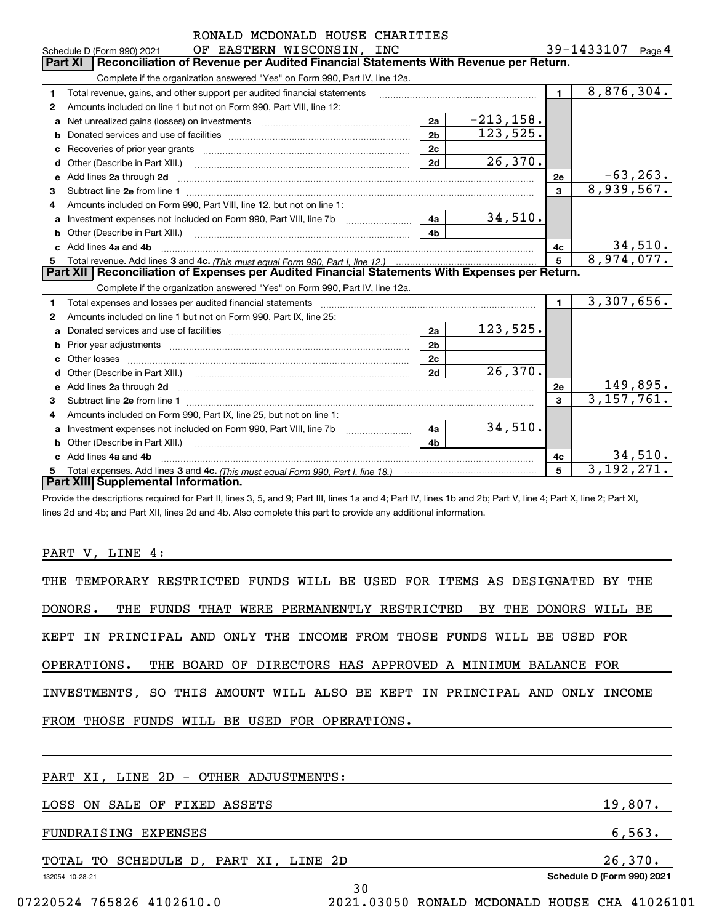|                                                                                                       | RONALD MCDONALD HOUSE CHARITIES                                                                                                                                                                                                |                |              |                |                         |             |
|-------------------------------------------------------------------------------------------------------|--------------------------------------------------------------------------------------------------------------------------------------------------------------------------------------------------------------------------------|----------------|--------------|----------------|-------------------------|-------------|
|                                                                                                       | OF EASTERN WISCONSIN, INC<br>Schedule D (Form 990) 2021                                                                                                                                                                        |                |              |                | 39-1433107 $_{Page}$ 4  |             |
| Reconciliation of Revenue per Audited Financial Statements With Revenue per Return.<br><b>Part XI</b> |                                                                                                                                                                                                                                |                |              |                |                         |             |
|                                                                                                       | Complete if the organization answered "Yes" on Form 990, Part IV, line 12a.                                                                                                                                                    |                |              |                |                         |             |
| 1                                                                                                     | Total revenue, gains, and other support per audited financial statements                                                                                                                                                       |                |              | $\blacksquare$ | 8,876,304.              |             |
| 2                                                                                                     | Amounts included on line 1 but not on Form 990, Part VIII, line 12:                                                                                                                                                            |                |              |                |                         |             |
| a                                                                                                     |                                                                                                                                                                                                                                | 2a             | $-213, 158.$ |                |                         |             |
| b                                                                                                     |                                                                                                                                                                                                                                | 2 <sub>b</sub> | 123,525.     |                |                         |             |
| c                                                                                                     |                                                                                                                                                                                                                                | 2c             |              |                |                         |             |
| d                                                                                                     | Other (Describe in Part XIII.) (2000) (2000) (2000) (2010) (2010) (2010) (2010) (2010) (2010) (2010) (2010) (20                                                                                                                | 2d             | 26,370.      |                |                         |             |
| е                                                                                                     | Add lines 2a through 2d                                                                                                                                                                                                        |                |              | 2e             |                         | $-63, 263.$ |
| 3                                                                                                     |                                                                                                                                                                                                                                |                |              | 3              | 8,939,567.              |             |
| 4                                                                                                     | Amounts included on Form 990, Part VIII, line 12, but not on line 1:                                                                                                                                                           |                |              |                |                         |             |
| a                                                                                                     |                                                                                                                                                                                                                                | 4a l           | 34,510.      |                |                         |             |
| b                                                                                                     | Other (Describe in Part XIII.) <b>Construction Contract Construction</b> Chern Construction Construction Construction                                                                                                          | 4 <sub>b</sub> |              |                |                         |             |
|                                                                                                       | Add lines 4a and 4b                                                                                                                                                                                                            |                |              | 4c             |                         | 34,510.     |
| 5                                                                                                     |                                                                                                                                                                                                                                |                |              | 5              | 8,974,077.              |             |
|                                                                                                       | Part XII   Reconciliation of Expenses per Audited Financial Statements With Expenses per Return.                                                                                                                               |                |              |                |                         |             |
|                                                                                                       | Complete if the organization answered "Yes" on Form 990, Part IV, line 12a.                                                                                                                                                    |                |              |                |                         |             |
| 1                                                                                                     | Total expenses and losses per audited financial statements [11] [12] manuscription control expenses and losses per audited financial statements [11] [12] manuscription of the statements [12] manuscription of the statements |                |              | $\mathbf{1}$   | 3,307,656.              |             |
| 2                                                                                                     | Amounts included on line 1 but not on Form 990, Part IX, line 25:                                                                                                                                                              |                |              |                |                         |             |
| a                                                                                                     |                                                                                                                                                                                                                                | 2a             | 123,525.     |                |                         |             |
| b                                                                                                     |                                                                                                                                                                                                                                | 2 <sub>b</sub> |              |                |                         |             |
| c                                                                                                     |                                                                                                                                                                                                                                | 2c             |              |                |                         |             |
| d                                                                                                     |                                                                                                                                                                                                                                | 2d             | 26, 370.     |                |                         |             |
| e                                                                                                     | Add lines 2a through 2d                                                                                                                                                                                                        |                |              | 2е             |                         | 149,895.    |
| 3                                                                                                     | Subtract line 2e from line 1                                                                                                                                                                                                   |                |              | 3              | $\overline{3,157,761.}$ |             |
| 4                                                                                                     | Amounts included on Form 990, Part IX, line 25, but not on line 1:                                                                                                                                                             |                |              |                |                         |             |
| a                                                                                                     | Investment expenses not included on Form 990, Part VIII, line 7b                                                                                                                                                               | 4a             | 34,510.      |                |                         |             |
| b                                                                                                     |                                                                                                                                                                                                                                | 4 <sub>h</sub> |              |                |                         |             |
|                                                                                                       | Add lines 4a and 4b                                                                                                                                                                                                            |                |              | 4c             |                         | 34,510.     |
| 5                                                                                                     |                                                                                                                                                                                                                                |                |              | 5              | 3, 192, 271.            |             |
|                                                                                                       | Part XIII Supplemental Information.                                                                                                                                                                                            |                |              |                |                         |             |

Provide the descriptions required for Part II, lines 3, 5, and 9; Part III, lines 1a and 4; Part IV, lines 1b and 2b; Part V, line 4; Part X, line 2; Part XI, lines 2d and 4b; and Part XII, lines 2d and 4b. Also complete this part to provide any additional information.

### PART V, LINE 4:

| THE TEMPORARY RESTRICTED FUNDS WILL BE USED FOR ITEMS AS DESIGNATED BY     | THE                        |
|----------------------------------------------------------------------------|----------------------------|
| DONORS. THE FUNDS THAT WERE PERMANENTLY RESTRICTED BY THE DONORS WILL BE   |                            |
| KEPT IN PRINCIPAL AND ONLY THE INCOME FROM THOSE FUNDS WILL BE USED FOR    |                            |
| OPERATIONS. THE BOARD OF DIRECTORS HAS APPROVED A MINIMUM BALANCE FOR      |                            |
| INVESTMENTS, SO THIS AMOUNT WILL ALSO BE KEPT IN PRINCIPAL AND ONLY INCOME |                            |
| BE USED FOR OPERATIONS.<br>FROM THOSE FUNDS WILL                           |                            |
| PART XI, LINE 2D - OTHER ADJUSTMENTS:                                      |                            |
| LOSS ON SALE OF FIXED ASSETS                                               | 19,807.                    |
| <b>FUNDRAISING EXPENSES</b>                                                | 6,563.                     |
| TOTAL TO SCHEDULE D, PART XI, LINE 2D                                      | 26,370.                    |
| 132054 10-28-21                                                            | Schedule D (Form 990) 2021 |

30

|  | 07220524 765826 4102610.0 |  |
|--|---------------------------|--|
|  |                           |  |

07220524 765826 4102610.0 2021.03050 RONALD MCDONALD HOUSE CHA 41026101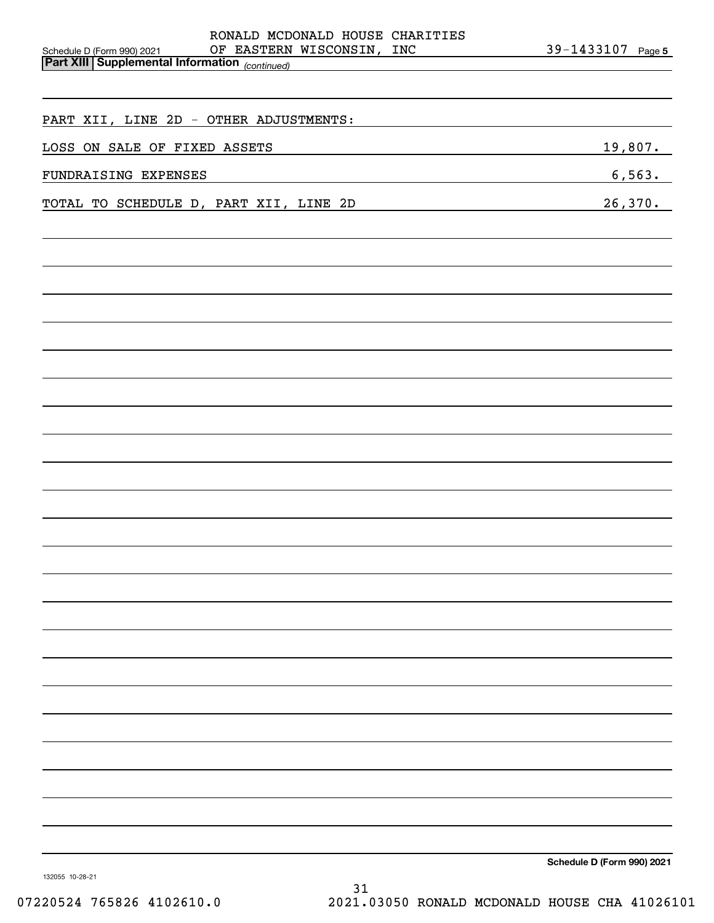| RONALD MCDONALD HOUSE CHARITIES<br>OF EASTERN WISCONSIN, INC                            | 39-1433107<br>Page 5       |
|-----------------------------------------------------------------------------------------|----------------------------|
| Schedule D (Form 990) 2021 OF EASTERN<br>Part XIII Supplemental Information (continued) |                            |
|                                                                                         |                            |
| PART XII, LINE 2D - OTHER ADJUSTMENTS:                                                  |                            |
| LOSS ON SALE OF FIXED ASSETS                                                            | <u>19,807.</u>             |
| FUNDRAISING EXPENSES                                                                    | 6, 563.                    |
| TOTAL TO SCHEDULE D, PART XII, LINE 2D                                                  | 26,370.                    |
|                                                                                         |                            |
|                                                                                         |                            |
|                                                                                         |                            |
|                                                                                         |                            |
|                                                                                         |                            |
|                                                                                         |                            |
|                                                                                         |                            |
|                                                                                         |                            |
|                                                                                         |                            |
|                                                                                         |                            |
|                                                                                         |                            |
|                                                                                         |                            |
|                                                                                         |                            |
|                                                                                         |                            |
|                                                                                         |                            |
|                                                                                         |                            |
|                                                                                         |                            |
|                                                                                         |                            |
|                                                                                         |                            |
|                                                                                         |                            |
|                                                                                         |                            |
|                                                                                         |                            |
|                                                                                         | Schedule D (Form 990) 2021 |

**Schedule D (Form 990) 2021**

132055 10-28-21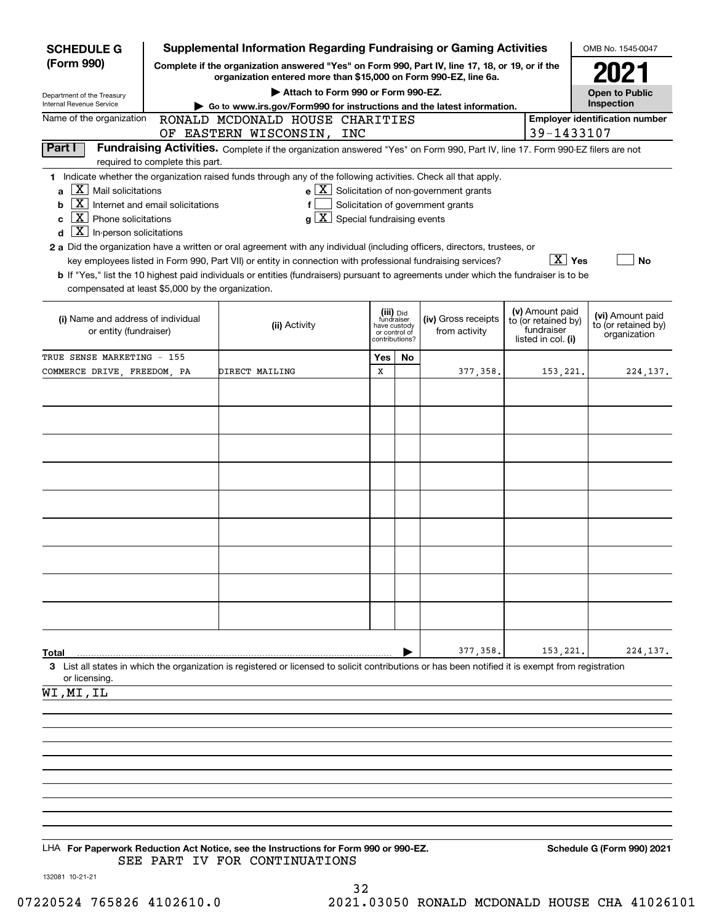| <b>SCHEDULE G</b>                                                                                                    |                                                                                                                                                                     | <b>Supplemental Information Regarding Fundraising or Gaming Activities</b>                                                                                                                                                                                                                 |                                                                            |    |                                                                                                   |  |                                                                            | OMB No. 1545-0047                                       |  |  |  |
|----------------------------------------------------------------------------------------------------------------------|---------------------------------------------------------------------------------------------------------------------------------------------------------------------|--------------------------------------------------------------------------------------------------------------------------------------------------------------------------------------------------------------------------------------------------------------------------------------------|----------------------------------------------------------------------------|----|---------------------------------------------------------------------------------------------------|--|----------------------------------------------------------------------------|---------------------------------------------------------|--|--|--|
| (Form 990)                                                                                                           | Complete if the organization answered "Yes" on Form 990, Part IV, line 17, 18, or 19, or if the<br>organization entered more than \$15,000 on Form 990-EZ, line 6a. |                                                                                                                                                                                                                                                                                            | 2021                                                                       |    |                                                                                                   |  |                                                                            |                                                         |  |  |  |
| Department of the Treasury                                                                                           |                                                                                                                                                                     | <b>Open to Public</b><br>Inspection                                                                                                                                                                                                                                                        |                                                                            |    |                                                                                                   |  |                                                                            |                                                         |  |  |  |
| Internal Revenue Service<br>Name of the organization                                                                 |                                                                                                                                                                     | Go to www.irs.gov/Form990 for instructions and the latest information.<br>RONALD MCDONALD HOUSE CHARITIES                                                                                                                                                                                  |                                                                            |    |                                                                                                   |  |                                                                            |                                                         |  |  |  |
|                                                                                                                      | OF EASTERN WISCONSIN, INC                                                                                                                                           | 39-1433107                                                                                                                                                                                                                                                                                 | <b>Employer identification number</b>                                      |    |                                                                                                   |  |                                                                            |                                                         |  |  |  |
| Part I                                                                                                               | required to complete this part.                                                                                                                                     | Fundraising Activities. Complete if the organization answered "Yes" on Form 990, Part IV, line 17. Form 990-EZ filers are not                                                                                                                                                              |                                                                            |    |                                                                                                   |  |                                                                            |                                                         |  |  |  |
| $X$ Mail solicitations<br>  X  <br>$X$ Phone solicitations<br>C<br>$\boxed{\textbf{X}}$ In-person solicitations<br>d | Internet and email solicitations                                                                                                                                    | 1 Indicate whether the organization raised funds through any of the following activities. Check all that apply.<br>f<br>$g\mid X$ Special fundraising events<br>2 a Did the organization have a written or oral agreement with any individual (including officers, directors, trustees, or |                                                                            |    | $e$ $\boxed{\text{X}}$ Solicitation of non-government grants<br>Solicitation of government grants |  |                                                                            |                                                         |  |  |  |
| compensated at least \$5,000 by the organization.                                                                    |                                                                                                                                                                     | key employees listed in Form 990, Part VII) or entity in connection with professional fundraising services?<br><b>b</b> If "Yes," list the 10 highest paid individuals or entities (fundraisers) pursuant to agreements under which the fundraiser is to be                                |                                                                            |    |                                                                                                   |  | $\boxed{\text{X}}$ Yes                                                     | No                                                      |  |  |  |
| (i) Name and address of individual<br>or entity (fundraiser)                                                         |                                                                                                                                                                     | (ii) Activity                                                                                                                                                                                                                                                                              | (iii) Did<br>fundraiser<br>have custody<br>or control of<br>contributions? |    | (iv) Gross receipts<br>from activity                                                              |  | (v) Amount paid<br>to (or retained by)<br>fundraiser<br>listed in col. (i) | (vi) Amount paid<br>to (or retained by)<br>organization |  |  |  |
| TRUE SENSE MARKETING - 155<br>COMMERCE DRIVE, FREEDOM, PA                                                            |                                                                                                                                                                     | DIRECT MAILING                                                                                                                                                                                                                                                                             | Yes<br>х                                                                   | No | 377,358.                                                                                          |  | 153,221.                                                                   | 224, 137.                                               |  |  |  |
|                                                                                                                      |                                                                                                                                                                     |                                                                                                                                                                                                                                                                                            |                                                                            |    |                                                                                                   |  |                                                                            |                                                         |  |  |  |
|                                                                                                                      |                                                                                                                                                                     |                                                                                                                                                                                                                                                                                            |                                                                            |    |                                                                                                   |  |                                                                            |                                                         |  |  |  |
|                                                                                                                      |                                                                                                                                                                     |                                                                                                                                                                                                                                                                                            |                                                                            |    |                                                                                                   |  |                                                                            |                                                         |  |  |  |
|                                                                                                                      |                                                                                                                                                                     |                                                                                                                                                                                                                                                                                            |                                                                            |    |                                                                                                   |  |                                                                            |                                                         |  |  |  |
|                                                                                                                      |                                                                                                                                                                     |                                                                                                                                                                                                                                                                                            |                                                                            |    |                                                                                                   |  |                                                                            |                                                         |  |  |  |
|                                                                                                                      |                                                                                                                                                                     |                                                                                                                                                                                                                                                                                            |                                                                            |    |                                                                                                   |  |                                                                            |                                                         |  |  |  |
|                                                                                                                      |                                                                                                                                                                     |                                                                                                                                                                                                                                                                                            |                                                                            |    |                                                                                                   |  |                                                                            |                                                         |  |  |  |
|                                                                                                                      |                                                                                                                                                                     |                                                                                                                                                                                                                                                                                            |                                                                            |    |                                                                                                   |  |                                                                            |                                                         |  |  |  |
|                                                                                                                      |                                                                                                                                                                     |                                                                                                                                                                                                                                                                                            |                                                                            |    |                                                                                                   |  |                                                                            |                                                         |  |  |  |
| Total                                                                                                                |                                                                                                                                                                     | 3 List all states in which the organization is registered or licensed to solicit contributions or has been notified it is exempt from registration                                                                                                                                         |                                                                            |    | 377, 358.                                                                                         |  | 153,221.                                                                   | 224, 137.                                               |  |  |  |
| or licensing.<br>WI, MI, IL                                                                                          |                                                                                                                                                                     |                                                                                                                                                                                                                                                                                            |                                                                            |    |                                                                                                   |  |                                                                            |                                                         |  |  |  |
|                                                                                                                      |                                                                                                                                                                     |                                                                                                                                                                                                                                                                                            |                                                                            |    |                                                                                                   |  |                                                                            |                                                         |  |  |  |
|                                                                                                                      |                                                                                                                                                                     |                                                                                                                                                                                                                                                                                            |                                                                            |    |                                                                                                   |  |                                                                            |                                                         |  |  |  |
|                                                                                                                      |                                                                                                                                                                     |                                                                                                                                                                                                                                                                                            |                                                                            |    |                                                                                                   |  |                                                                            |                                                         |  |  |  |
|                                                                                                                      |                                                                                                                                                                     |                                                                                                                                                                                                                                                                                            |                                                                            |    |                                                                                                   |  |                                                                            |                                                         |  |  |  |
|                                                                                                                      |                                                                                                                                                                     |                                                                                                                                                                                                                                                                                            |                                                                            |    |                                                                                                   |  |                                                                            |                                                         |  |  |  |
|                                                                                                                      |                                                                                                                                                                     | LHA For Paperwork Reduction Act Notice, see the Instructions for Form 990 or 990-EZ.                                                                                                                                                                                                       |                                                                            |    |                                                                                                   |  |                                                                            | Schedule G (Form 990) 2021                              |  |  |  |
|                                                                                                                      |                                                                                                                                                                     | SEE PART IV FOR CONTINUATIONS                                                                                                                                                                                                                                                              |                                                                            |    |                                                                                                   |  |                                                                            |                                                         |  |  |  |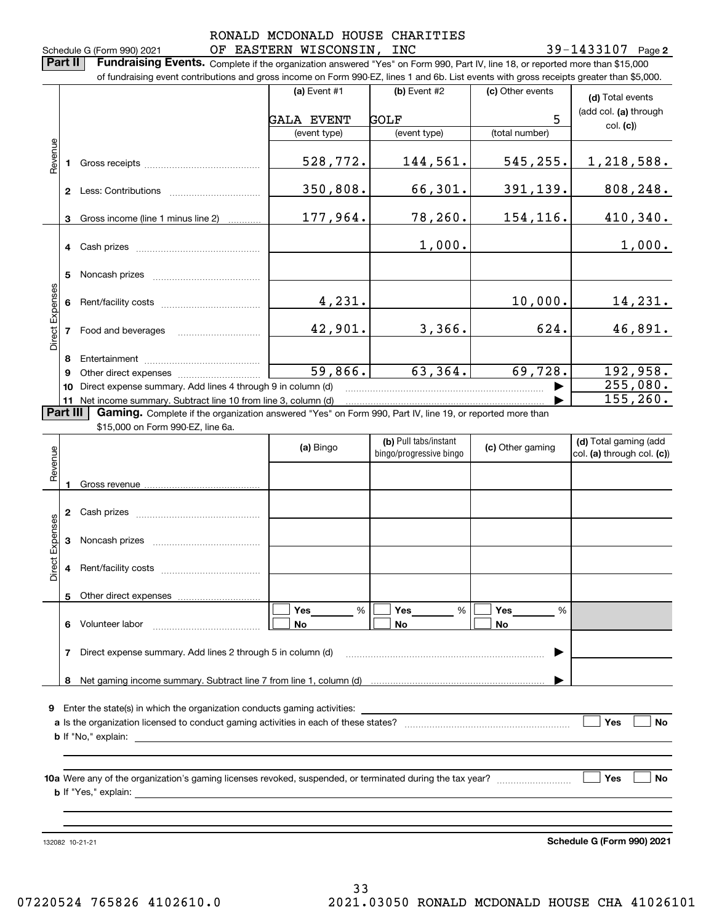## Schedule G (Form 990) 2021 OF EASTERN WISCONSIN, INC 39-1433107 Page RONALD MCDONALD HOUSE CHARITIES

Complete if the organization answered "Yes" on Form 990, Part IV, line 18, or reported more than \$15,000

| ганн            |    | of fundraising event contributions and gross income on Form 990-EZ, lines 1 and 6b. List events with gross receipts greater than \$5,000. |                                   |                                                  |                     |                                                     |
|-----------------|----|-------------------------------------------------------------------------------------------------------------------------------------------|-----------------------------------|--------------------------------------------------|---------------------|-----------------------------------------------------|
|                 |    |                                                                                                                                           | (a) Event $#1$                    | $(b)$ Event #2                                   | (c) Other events    | (d) Total events                                    |
|                 |    |                                                                                                                                           |                                   |                                                  |                     | (add col. (a) through                               |
|                 |    |                                                                                                                                           | <b>GALA EVENT</b><br>(event type) | <b>GOLF</b><br>(event type)                      | 5<br>(total number) | col. (c)                                            |
|                 |    |                                                                                                                                           |                                   |                                                  |                     |                                                     |
| Revenue         | 1. |                                                                                                                                           | 528,772.                          | 144,561.                                         | 545,255.            | 1,218,588.                                          |
|                 |    |                                                                                                                                           | 350,808.                          | 66,301.                                          | 391,139.            | 808, 248.                                           |
|                 | 3  | Gross income (line 1 minus line 2)                                                                                                        | 177,964.                          | 78,260.                                          | 154,116.            | 410,340.                                            |
|                 |    | 4 Cash prizes                                                                                                                             |                                   | 1,000.                                           |                     | 1,000.                                              |
|                 | 5. | Noncash prizes                                                                                                                            |                                   |                                                  |                     |                                                     |
|                 | 6  |                                                                                                                                           | 4,231.                            |                                                  | 10,000.             | 14,231.                                             |
| Direct Expenses |    | 7 Food and beverages                                                                                                                      | 42,901.                           | 3,366.                                           | 624.                | 46,891.                                             |
|                 | 8  |                                                                                                                                           |                                   |                                                  |                     |                                                     |
|                 | 9  |                                                                                                                                           | 59,866.                           | 63,364.                                          | 69,728.             | 192,958.                                            |
|                 |    | 10 Direct expense summary. Add lines 4 through 9 in column (d)                                                                            |                                   |                                                  |                     | 255,080.                                            |
| <b>Part III</b> |    | 11 Net income summary. Subtract line 10 from line 3, column (d)                                                                           |                                   |                                                  |                     | 155, 260.                                           |
|                 |    |                                                                                                                                           |                                   |                                                  |                     |                                                     |
|                 |    | Gaming. Complete if the organization answered "Yes" on Form 990, Part IV, line 19, or reported more than                                  |                                   |                                                  |                     |                                                     |
|                 |    | \$15,000 on Form 990-EZ, line 6a.                                                                                                         |                                   |                                                  |                     |                                                     |
|                 |    |                                                                                                                                           | (a) Bingo                         | (b) Pull tabs/instant<br>bingo/progressive bingo | (c) Other gaming    | (d) Total gaming (add<br>col. (a) through col. (c)) |
|                 |    |                                                                                                                                           |                                   |                                                  |                     |                                                     |
| Revenue         | 1. |                                                                                                                                           |                                   |                                                  |                     |                                                     |
|                 |    | 2 Cash prizes                                                                                                                             |                                   |                                                  |                     |                                                     |
|                 | 3  |                                                                                                                                           |                                   |                                                  |                     |                                                     |
| Expenses        | 4  | Rent/facility costs                                                                                                                       |                                   |                                                  |                     |                                                     |
| Direct          | 5  |                                                                                                                                           |                                   |                                                  |                     |                                                     |
|                 |    | Other direct expenses                                                                                                                     | %<br>Yes                          | Yes<br>%                                         | Yes<br>%            |                                                     |
|                 |    | 6 Volunteer labor                                                                                                                         | No                                | No                                               | No                  |                                                     |
|                 | 7  | Direct expense summary. Add lines 2 through 5 in column (d)                                                                               |                                   |                                                  |                     |                                                     |
|                 | 8  |                                                                                                                                           |                                   |                                                  |                     |                                                     |
|                 |    |                                                                                                                                           |                                   |                                                  |                     |                                                     |
| 9               |    | Enter the state(s) in which the organization conducts gaming activities:                                                                  |                                   |                                                  |                     |                                                     |
|                 |    | <b>b</b> If "No," explain:                                                                                                                |                                   |                                                  |                     | Yes<br>No                                           |

**10a** Were any of the organization's gaming licenses revoked, suspended, or terminated during the tax year? \_\_\_\_\_\_\_\_\_\_\_\_\_\_\_\_ **b** If "Yes," explain: **Yes**

132082 10-21-21

**Schedule G (Form 990) 2021**

**No**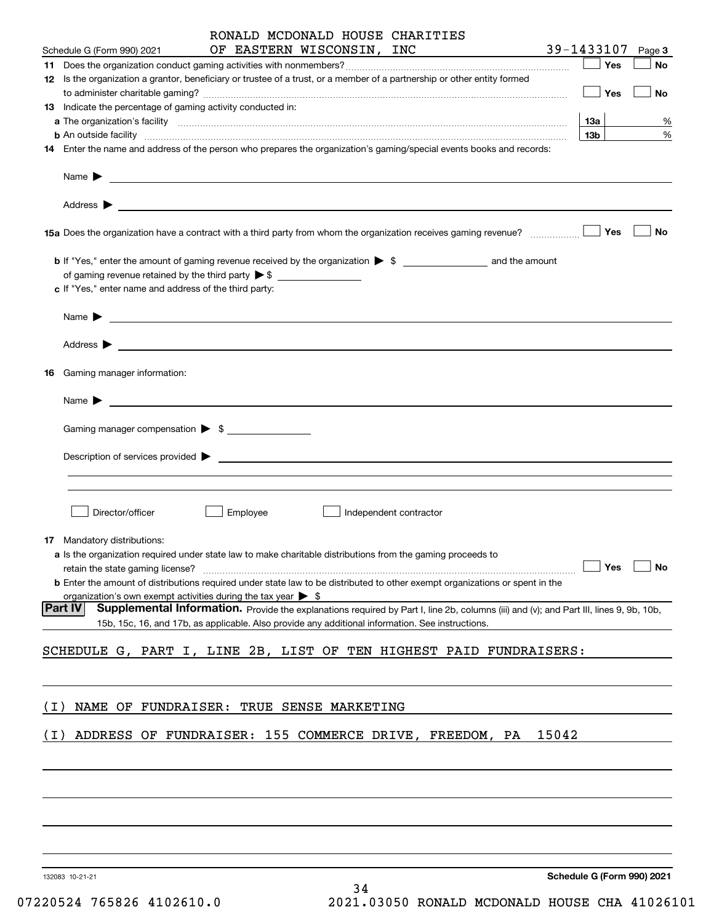|       |                                                                                                                                                                                                                                                       |          | RONALD MCDONALD HOUSE CHARITIES |                                                                                                                                        |       |                            |        |
|-------|-------------------------------------------------------------------------------------------------------------------------------------------------------------------------------------------------------------------------------------------------------|----------|---------------------------------|----------------------------------------------------------------------------------------------------------------------------------------|-------|----------------------------|--------|
|       | Schedule G (Form 990) 2021                                                                                                                                                                                                                            |          | OF EASTERN WISCONSIN, INC       |                                                                                                                                        |       | 39-1433107                 | Page 3 |
|       |                                                                                                                                                                                                                                                       |          |                                 |                                                                                                                                        |       | Yes                        | No     |
|       | 12 Is the organization a grantor, beneficiary or trustee of a trust, or a member of a partnership or other entity formed                                                                                                                              |          |                                 |                                                                                                                                        |       | $\Box$ Yes                 | No     |
|       | 13 Indicate the percentage of gaming activity conducted in:                                                                                                                                                                                           |          |                                 |                                                                                                                                        |       |                            |        |
|       |                                                                                                                                                                                                                                                       |          |                                 |                                                                                                                                        |       | 13а                        | %      |
|       | <b>b</b> An outside facility <i>www.communicality www.communicality.communicality www.communicality www.communicality.com</i><br>14 Enter the name and address of the person who prepares the organization's gaming/special events books and records: |          |                                 |                                                                                                                                        |       | 13 <sub>b</sub>            | %      |
|       |                                                                                                                                                                                                                                                       |          |                                 |                                                                                                                                        |       |                            |        |
|       |                                                                                                                                                                                                                                                       |          |                                 |                                                                                                                                        |       |                            |        |
|       |                                                                                                                                                                                                                                                       |          |                                 |                                                                                                                                        |       |                            | No     |
|       | c If "Yes," enter name and address of the third party:                                                                                                                                                                                                |          |                                 |                                                                                                                                        |       |                            |        |
|       | Name $\blacktriangleright$                                                                                                                                                                                                                            |          |                                 |                                                                                                                                        |       |                            |        |
|       |                                                                                                                                                                                                                                                       |          |                                 |                                                                                                                                        |       |                            |        |
| 16.   | Gaming manager information:                                                                                                                                                                                                                           |          |                                 |                                                                                                                                        |       |                            |        |
|       | Name $\blacktriangleright$ $\lrcorner$                                                                                                                                                                                                                |          |                                 |                                                                                                                                        |       |                            |        |
|       | Gaming manager compensation > \$                                                                                                                                                                                                                      |          |                                 |                                                                                                                                        |       |                            |        |
|       | Description of services provided <b>by the contract of the contract of services</b> provided <b>by the contract of the contract of the contract of the contract of the contract of the contract of the contract of the contract of th</b>             |          |                                 |                                                                                                                                        |       |                            |        |
|       |                                                                                                                                                                                                                                                       |          |                                 |                                                                                                                                        |       |                            |        |
|       | Director/officer                                                                                                                                                                                                                                      | Employee |                                 | Independent contractor                                                                                                                 |       |                            |        |
|       | 17 Mandatory distributions:<br>a Is the organization required under state law to make charitable distributions from the gaming proceeds to<br>retain the state gaming license?                                                                        |          |                                 |                                                                                                                                        |       | Yes                        | No     |
|       | <b>b</b> Enter the amount of distributions required under state law to be distributed to other exempt organizations or spent in the<br>organization's own exempt activities during the tax year $\triangleright$ \$                                   |          |                                 |                                                                                                                                        |       |                            |        |
|       | <b>Part IV</b>                                                                                                                                                                                                                                        |          |                                 | Supplemental Information. Provide the explanations required by Part I, line 2b, columns (iii) and (v); and Part III, lines 9, 9b, 10b, |       |                            |        |
|       | 15b, 15c, 16, and 17b, as applicable. Also provide any additional information. See instructions.                                                                                                                                                      |          |                                 |                                                                                                                                        |       |                            |        |
|       | SCHEDULE G, PART I, LINE 2B, LIST OF TEN HIGHEST PAID FUNDRAISERS:                                                                                                                                                                                    |          |                                 |                                                                                                                                        |       |                            |        |
|       |                                                                                                                                                                                                                                                       |          |                                 |                                                                                                                                        |       |                            |        |
| ( I ) | NAME OF FUNDRAISER: TRUE SENSE MARKETING                                                                                                                                                                                                              |          |                                 |                                                                                                                                        |       |                            |        |
| (1)   |                                                                                                                                                                                                                                                       |          |                                 | ADDRESS OF FUNDRAISER: 155 COMMERCE DRIVE, FREEDOM, PA                                                                                 | 15042 |                            |        |
|       |                                                                                                                                                                                                                                                       |          |                                 |                                                                                                                                        |       |                            |        |
|       |                                                                                                                                                                                                                                                       |          |                                 |                                                                                                                                        |       |                            |        |
|       |                                                                                                                                                                                                                                                       |          |                                 |                                                                                                                                        |       |                            |        |
|       |                                                                                                                                                                                                                                                       |          |                                 |                                                                                                                                        |       |                            |        |
|       | 132083 10-21-21                                                                                                                                                                                                                                       |          | າ 1                             |                                                                                                                                        |       | Schedule G (Form 990) 2021 |        |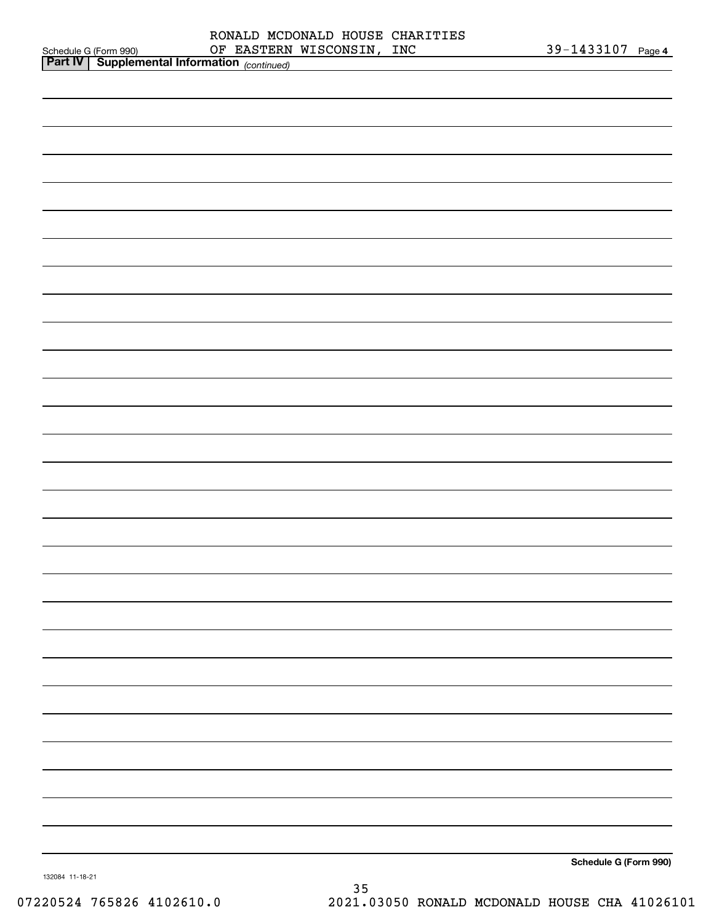|                 |                                                                                  |  | OF EASTERN WISCONSIN, INC | RONALD MCDONALD HOUSE CHARITIES | 39-1433107 Page 4     |  |
|-----------------|----------------------------------------------------------------------------------|--|---------------------------|---------------------------------|-----------------------|--|
|                 | Schedule G (Form 990) OF EASTERN<br>Part IV Supplemental Information (continued) |  |                           |                                 |                       |  |
|                 |                                                                                  |  |                           |                                 |                       |  |
|                 |                                                                                  |  |                           |                                 |                       |  |
|                 |                                                                                  |  |                           |                                 |                       |  |
|                 |                                                                                  |  |                           |                                 |                       |  |
|                 |                                                                                  |  |                           |                                 |                       |  |
|                 |                                                                                  |  |                           |                                 |                       |  |
|                 |                                                                                  |  |                           |                                 |                       |  |
|                 |                                                                                  |  |                           |                                 |                       |  |
|                 |                                                                                  |  |                           |                                 |                       |  |
|                 |                                                                                  |  |                           |                                 |                       |  |
|                 |                                                                                  |  |                           |                                 |                       |  |
|                 |                                                                                  |  |                           |                                 |                       |  |
|                 |                                                                                  |  |                           |                                 |                       |  |
|                 |                                                                                  |  |                           |                                 |                       |  |
|                 |                                                                                  |  |                           |                                 |                       |  |
|                 |                                                                                  |  |                           |                                 |                       |  |
|                 |                                                                                  |  |                           |                                 |                       |  |
|                 |                                                                                  |  |                           |                                 |                       |  |
|                 |                                                                                  |  |                           |                                 |                       |  |
|                 |                                                                                  |  |                           |                                 |                       |  |
|                 |                                                                                  |  |                           |                                 |                       |  |
|                 |                                                                                  |  |                           |                                 |                       |  |
|                 |                                                                                  |  |                           |                                 |                       |  |
|                 |                                                                                  |  |                           |                                 |                       |  |
|                 |                                                                                  |  |                           |                                 |                       |  |
|                 |                                                                                  |  |                           |                                 |                       |  |
|                 |                                                                                  |  |                           |                                 |                       |  |
|                 |                                                                                  |  |                           |                                 |                       |  |
|                 |                                                                                  |  |                           |                                 |                       |  |
|                 |                                                                                  |  |                           |                                 |                       |  |
|                 |                                                                                  |  |                           |                                 |                       |  |
|                 |                                                                                  |  |                           |                                 |                       |  |
|                 |                                                                                  |  |                           |                                 |                       |  |
|                 |                                                                                  |  |                           |                                 |                       |  |
|                 |                                                                                  |  |                           |                                 |                       |  |
|                 |                                                                                  |  |                           |                                 |                       |  |
|                 |                                                                                  |  |                           |                                 |                       |  |
|                 |                                                                                  |  |                           |                                 |                       |  |
|                 |                                                                                  |  |                           |                                 |                       |  |
|                 |                                                                                  |  |                           |                                 |                       |  |
|                 |                                                                                  |  |                           |                                 |                       |  |
|                 |                                                                                  |  |                           |                                 |                       |  |
|                 |                                                                                  |  |                           |                                 |                       |  |
|                 |                                                                                  |  |                           |                                 |                       |  |
|                 |                                                                                  |  |                           |                                 | Schedule G (Form 990) |  |
| 132084 11-18-21 |                                                                                  |  |                           |                                 |                       |  |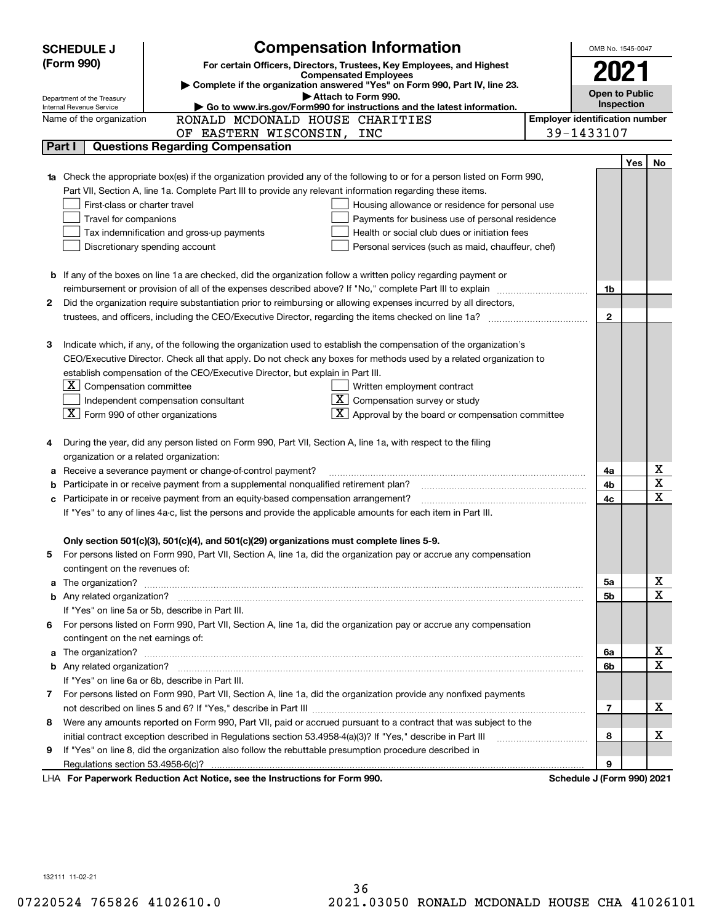|    | <b>Compensation Information</b><br><b>SCHEDULE J</b>                                                                                                                                                                                 |  | OMB No. 1545-0047          |            |                         |  |  |  |
|----|--------------------------------------------------------------------------------------------------------------------------------------------------------------------------------------------------------------------------------------|--|----------------------------|------------|-------------------------|--|--|--|
|    | (Form 990)<br>For certain Officers, Directors, Trustees, Key Employees, and Highest                                                                                                                                                  |  |                            |            |                         |  |  |  |
|    | 2021<br><b>Compensated Employees</b>                                                                                                                                                                                                 |  |                            |            |                         |  |  |  |
|    | Complete if the organization answered "Yes" on Form 990, Part IV, line 23.<br>Attach to Form 990.                                                                                                                                    |  | <b>Open to Public</b>      |            |                         |  |  |  |
|    | Department of the Treasury<br>Go to www.irs.gov/Form990 for instructions and the latest information.<br>Internal Revenue Service                                                                                                     |  |                            |            |                         |  |  |  |
|    | <b>Employer identification number</b><br>Name of the organization<br>RONALD MCDONALD HOUSE CHARITIES                                                                                                                                 |  |                            |            |                         |  |  |  |
|    | OF EASTERN WISCONSIN, INC                                                                                                                                                                                                            |  | 39-1433107                 |            |                         |  |  |  |
|    | <b>Questions Regarding Compensation</b><br>Part I                                                                                                                                                                                    |  |                            |            |                         |  |  |  |
|    |                                                                                                                                                                                                                                      |  |                            | <b>Yes</b> | No                      |  |  |  |
|    | <b>1a</b> Check the appropriate box(es) if the organization provided any of the following to or for a person listed on Form 990,                                                                                                     |  |                            |            |                         |  |  |  |
|    | Part VII, Section A, line 1a. Complete Part III to provide any relevant information regarding these items.                                                                                                                           |  |                            |            |                         |  |  |  |
|    | First-class or charter travel<br>Housing allowance or residence for personal use                                                                                                                                                     |  |                            |            |                         |  |  |  |
|    | Travel for companions<br>Payments for business use of personal residence                                                                                                                                                             |  |                            |            |                         |  |  |  |
|    | Tax indemnification and gross-up payments<br>Health or social club dues or initiation fees                                                                                                                                           |  |                            |            |                         |  |  |  |
|    | Discretionary spending account<br>Personal services (such as maid, chauffeur, chef)                                                                                                                                                  |  |                            |            |                         |  |  |  |
|    |                                                                                                                                                                                                                                      |  |                            |            |                         |  |  |  |
|    | <b>b</b> If any of the boxes on line 1a are checked, did the organization follow a written policy regarding payment or                                                                                                               |  |                            |            |                         |  |  |  |
|    | reimbursement or provision of all of the expenses described above? If "No," complete Part III to explain                                                                                                                             |  | 1b                         |            |                         |  |  |  |
| 2  | Did the organization require substantiation prior to reimbursing or allowing expenses incurred by all directors,                                                                                                                     |  |                            |            |                         |  |  |  |
|    |                                                                                                                                                                                                                                      |  | $\mathbf{2}$               |            |                         |  |  |  |
|    |                                                                                                                                                                                                                                      |  |                            |            |                         |  |  |  |
| 3  | Indicate which, if any, of the following the organization used to establish the compensation of the organization's                                                                                                                   |  |                            |            |                         |  |  |  |
|    | CEO/Executive Director. Check all that apply. Do not check any boxes for methods used by a related organization to                                                                                                                   |  |                            |            |                         |  |  |  |
|    | establish compensation of the CEO/Executive Director, but explain in Part III.                                                                                                                                                       |  |                            |            |                         |  |  |  |
|    | $ \mathbf{X} $ Compensation committee<br>Written employment contract                                                                                                                                                                 |  |                            |            |                         |  |  |  |
|    | $\overline{\textbf{X}}$ Compensation survey or study<br>Independent compensation consultant                                                                                                                                          |  |                            |            |                         |  |  |  |
|    | $\boxed{\textbf{X}}$ Form 990 of other organizations<br>Approval by the board or compensation committee                                                                                                                              |  |                            |            |                         |  |  |  |
|    |                                                                                                                                                                                                                                      |  |                            |            |                         |  |  |  |
| 4  | During the year, did any person listed on Form 990, Part VII, Section A, line 1a, with respect to the filing                                                                                                                         |  |                            |            |                         |  |  |  |
|    | organization or a related organization:                                                                                                                                                                                              |  |                            |            |                         |  |  |  |
|    | Receive a severance payment or change-of-control payment?                                                                                                                                                                            |  | 4a                         |            | x                       |  |  |  |
|    | Participate in or receive payment from a supplemental nonqualified retirement plan?                                                                                                                                                  |  | 4b                         |            | $\overline{\mathbf{x}}$ |  |  |  |
|    | c Participate in or receive payment from an equity-based compensation arrangement?                                                                                                                                                   |  | 4c                         |            | $\overline{\textbf{X}}$ |  |  |  |
|    | If "Yes" to any of lines 4a-c, list the persons and provide the applicable amounts for each item in Part III.                                                                                                                        |  |                            |            |                         |  |  |  |
|    |                                                                                                                                                                                                                                      |  |                            |            |                         |  |  |  |
|    | Only section 501(c)(3), 501(c)(4), and 501(c)(29) organizations must complete lines 5-9.                                                                                                                                             |  |                            |            |                         |  |  |  |
| 5. | For persons listed on Form 990, Part VII, Section A, line 1a, did the organization pay or accrue any compensation                                                                                                                    |  |                            |            |                         |  |  |  |
|    | contingent on the revenues of:                                                                                                                                                                                                       |  |                            |            |                         |  |  |  |
|    | a The organization? <b>Entitled Strategies and Strategies and Strategies and Strategies and Strategies and Strategies and Strategies and Strategies and Strategies and Strategies and Strategies and Strategies and Strategies a</b> |  | 5a                         |            | <u>x</u>                |  |  |  |
|    |                                                                                                                                                                                                                                      |  | 5b                         |            | $\overline{\mathbf{x}}$ |  |  |  |
|    | If "Yes" on line 5a or 5b, describe in Part III.                                                                                                                                                                                     |  |                            |            |                         |  |  |  |
|    | 6 For persons listed on Form 990, Part VII, Section A, line 1a, did the organization pay or accrue any compensation                                                                                                                  |  |                            |            |                         |  |  |  |
|    | contingent on the net earnings of:                                                                                                                                                                                                   |  |                            |            | <u>x</u>                |  |  |  |
|    |                                                                                                                                                                                                                                      |  |                            |            |                         |  |  |  |
|    |                                                                                                                                                                                                                                      |  | 6b                         |            | $\overline{\mathbf{x}}$ |  |  |  |
|    | If "Yes" on line 6a or 6b, describe in Part III.                                                                                                                                                                                     |  |                            |            |                         |  |  |  |
|    | 7 For persons listed on Form 990, Part VII, Section A, line 1a, did the organization provide any nonfixed payments                                                                                                                   |  |                            |            |                         |  |  |  |
|    |                                                                                                                                                                                                                                      |  | 7                          |            | х                       |  |  |  |
| 8  | Were any amounts reported on Form 990, Part VII, paid or accrued pursuant to a contract that was subject to the                                                                                                                      |  |                            |            |                         |  |  |  |
|    | initial contract exception described in Regulations section 53.4958-4(a)(3)? If "Yes," describe in Part III                                                                                                                          |  | 8                          |            | х                       |  |  |  |
| 9  | If "Yes" on line 8, did the organization also follow the rebuttable presumption procedure described in                                                                                                                               |  |                            |            |                         |  |  |  |
|    |                                                                                                                                                                                                                                      |  | 9                          |            |                         |  |  |  |
|    | LHA For Paperwork Reduction Act Notice, see the Instructions for Form 990.                                                                                                                                                           |  | Schedule J (Form 990) 2021 |            |                         |  |  |  |

132111 11-02-21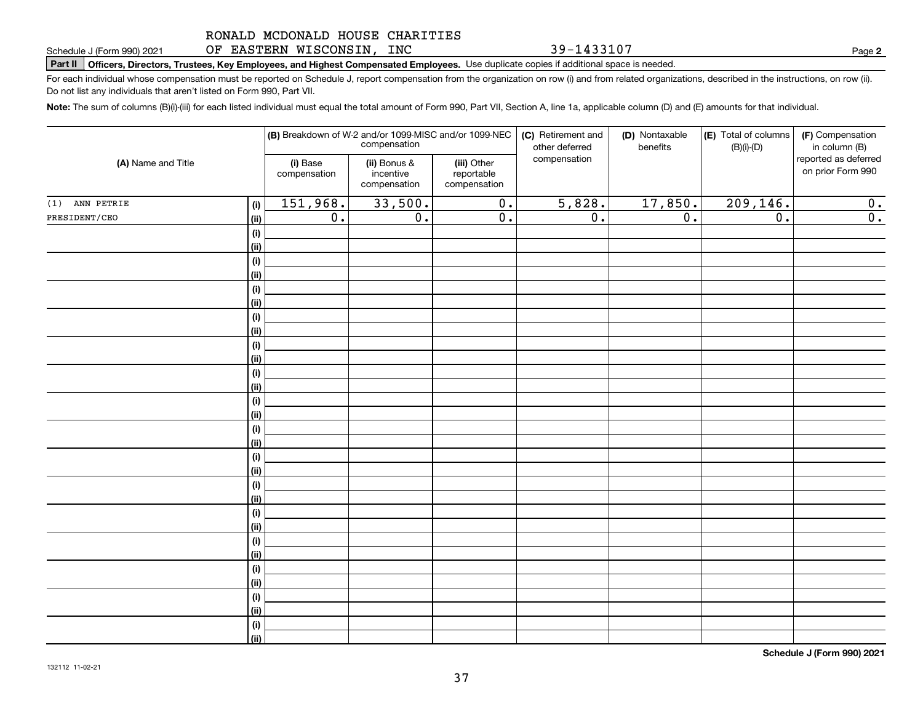#### RONALD MCDONALD HOUSE CHARITIES OF EASTERN WISCONSIN, INC

**Part II Officers, Directors, Trustees, Key Employees, and Highest Compensated Employees.**  Schedule J (Form 990) 2021 Page Use duplicate copies if additional space is needed.

For each individual whose compensation must be reported on Schedule J, report compensation from the organization on row (i) and from related organizations, described in the instructions, on row (ii). Do not list any individuals that aren't listed on Form 990, Part VII.

**Note:**  The sum of columns (B)(i)-(iii) for each listed individual must equal the total amount of Form 990, Part VII, Section A, line 1a, applicable column (D) and (E) amounts for that individual.

| (A) Name and Title |             |                          | (B) Breakdown of W-2 and/or 1099-MISC and/or 1099-NEC<br>compensation |                                           | (C) Retirement and<br>other deferred | (D) Nontaxable<br>benefits | (E) Total of columns<br>$(B)(i)-(D)$ | (F) Compensation<br>in column (B)         |
|--------------------|-------------|--------------------------|-----------------------------------------------------------------------|-------------------------------------------|--------------------------------------|----------------------------|--------------------------------------|-------------------------------------------|
|                    |             | (i) Base<br>compensation | (ii) Bonus &<br>incentive<br>compensation                             | (iii) Other<br>reportable<br>compensation | compensation                         |                            |                                      | reported as deferred<br>on prior Form 990 |
| $(1)$ ANN PETRIE   | (i)         | 151,968.                 | 33,500.                                                               | $\overline{0}$ .                          | 5,828.                               | 17,850.                    | 209,146.                             | 0.                                        |
| PRESIDENT/CEO      | (ii)        | 0.                       | $\overline{0}$ .                                                      | $\overline{0}$ .                          | $\overline{0}$ .                     | $\overline{0}$ .           | $\overline{0}$ .                     | $\overline{0}$ .                          |
|                    | $(\sf{i})$  |                          |                                                                       |                                           |                                      |                            |                                      |                                           |
|                    | (ii)        |                          |                                                                       |                                           |                                      |                            |                                      |                                           |
|                    | (i)         |                          |                                                                       |                                           |                                      |                            |                                      |                                           |
|                    | (ii)        |                          |                                                                       |                                           |                                      |                            |                                      |                                           |
|                    | (i)         |                          |                                                                       |                                           |                                      |                            |                                      |                                           |
|                    | (ii)        |                          |                                                                       |                                           |                                      |                            |                                      |                                           |
|                    | (i)         |                          |                                                                       |                                           |                                      |                            |                                      |                                           |
|                    | (ii)        |                          |                                                                       |                                           |                                      |                            |                                      |                                           |
|                    | (i)         |                          |                                                                       |                                           |                                      |                            |                                      |                                           |
|                    | (ii)        |                          |                                                                       |                                           |                                      |                            |                                      |                                           |
|                    | (i)         |                          |                                                                       |                                           |                                      |                            |                                      |                                           |
|                    | (ii)        |                          |                                                                       |                                           |                                      |                            |                                      |                                           |
|                    | (i)<br>(ii) |                          |                                                                       |                                           |                                      |                            |                                      |                                           |
|                    | (i)         |                          |                                                                       |                                           |                                      |                            |                                      |                                           |
|                    | (ii)        |                          |                                                                       |                                           |                                      |                            |                                      |                                           |
|                    | (i)         |                          |                                                                       |                                           |                                      |                            |                                      |                                           |
|                    | (ii)        |                          |                                                                       |                                           |                                      |                            |                                      |                                           |
|                    | (i)         |                          |                                                                       |                                           |                                      |                            |                                      |                                           |
|                    | (ii)        |                          |                                                                       |                                           |                                      |                            |                                      |                                           |
|                    | (i)         |                          |                                                                       |                                           |                                      |                            |                                      |                                           |
|                    | (ii)        |                          |                                                                       |                                           |                                      |                            |                                      |                                           |
|                    | (i)         |                          |                                                                       |                                           |                                      |                            |                                      |                                           |
|                    | (ii)        |                          |                                                                       |                                           |                                      |                            |                                      |                                           |
|                    | (i)         |                          |                                                                       |                                           |                                      |                            |                                      |                                           |
|                    | (ii)        |                          |                                                                       |                                           |                                      |                            |                                      |                                           |
|                    | (i)         |                          |                                                                       |                                           |                                      |                            |                                      |                                           |
|                    | (ii)        |                          |                                                                       |                                           |                                      |                            |                                      |                                           |
|                    | (i)         |                          |                                                                       |                                           |                                      |                            |                                      |                                           |
|                    | (ii)        |                          |                                                                       |                                           |                                      |                            |                                      |                                           |

**Schedule J (Form 990) 2021**

**2**

39-1433107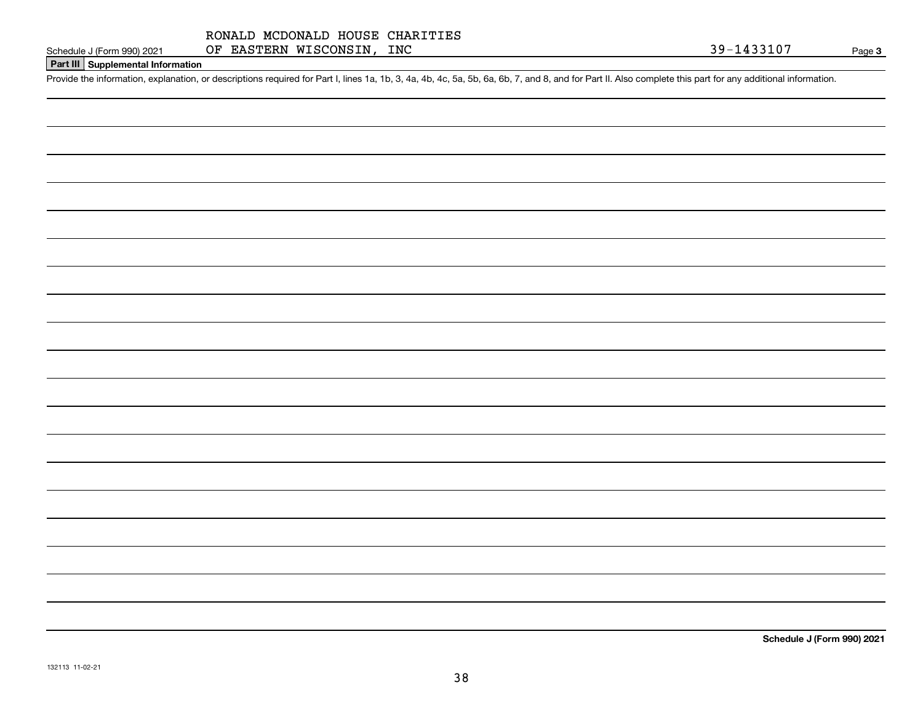## **Part III Supplemental Information**

Schedule J (Form 990) 2021 OF EASTERN WISCONSIN, INC<br>Part III Supplemental Information<br>Provide the information, explanation, or descriptions required for Part I, lines 1a, 1b, 3, 4a, 4b, 4c, 5a, 5b, 6a, 6b, 7, and 8, and f

**Schedule J (Form 990) 2021**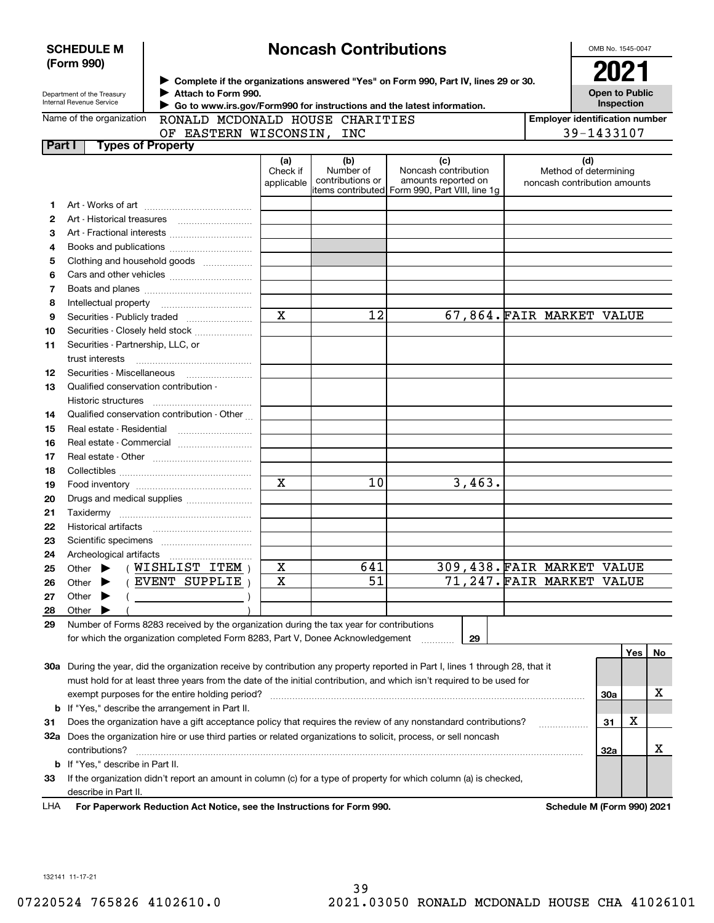|          | <b>Noncash Contributions</b><br><b>SCHEDULE M</b>                                    |                                                                                                                                |             |                               |                                                                        |  |                                       | OMB No. 1545-0047                   |       |    |
|----------|--------------------------------------------------------------------------------------|--------------------------------------------------------------------------------------------------------------------------------|-------------|-------------------------------|------------------------------------------------------------------------|--|---------------------------------------|-------------------------------------|-------|----|
|          | (Form 990)                                                                           |                                                                                                                                |             |                               |                                                                        |  |                                       | 2021                                |       |    |
|          | > Complete if the organizations answered "Yes" on Form 990, Part IV, lines 29 or 30. |                                                                                                                                |             |                               |                                                                        |  |                                       |                                     |       |    |
|          | Department of the Treasury<br>Internal Revenue Service                               | Attach to Form 990.                                                                                                            |             |                               |                                                                        |  |                                       | <b>Open to Public</b><br>Inspection |       |    |
|          | Name of the organization                                                             | RONALD MCDONALD HOUSE CHARITIES                                                                                                |             |                               | Go to www.irs.gov/Form990 for instructions and the latest information. |  | <b>Employer identification number</b> |                                     |       |    |
|          |                                                                                      | OF EASTERN WISCONSIN, INC                                                                                                      |             |                               |                                                                        |  |                                       | 39-1433107                          |       |    |
| Part I   | <b>Types of Property</b>                                                             |                                                                                                                                |             |                               |                                                                        |  |                                       |                                     |       |    |
|          |                                                                                      |                                                                                                                                | (a)         | (b)                           | (c)                                                                    |  |                                       | (d)                                 |       |    |
|          |                                                                                      |                                                                                                                                | Check if    | Number of<br>contributions or | Noncash contribution<br>amounts reported on                            |  | noncash contribution amounts          | Method of determining               |       |    |
|          |                                                                                      |                                                                                                                                | applicable  |                               | items contributed Form 990, Part VIII, line 1g                         |  |                                       |                                     |       |    |
| 1.       |                                                                                      |                                                                                                                                |             |                               |                                                                        |  |                                       |                                     |       |    |
| 2        |                                                                                      |                                                                                                                                |             |                               |                                                                        |  |                                       |                                     |       |    |
| З        |                                                                                      | Art - Fractional interests                                                                                                     |             |                               |                                                                        |  |                                       |                                     |       |    |
| 4        |                                                                                      | Books and publications                                                                                                         |             |                               |                                                                        |  |                                       |                                     |       |    |
| 5        |                                                                                      | Clothing and household goods                                                                                                   |             |                               |                                                                        |  |                                       |                                     |       |    |
| 6        |                                                                                      |                                                                                                                                |             |                               |                                                                        |  |                                       |                                     |       |    |
| 7        |                                                                                      |                                                                                                                                |             |                               |                                                                        |  |                                       |                                     |       |    |
| 8        |                                                                                      |                                                                                                                                |             |                               |                                                                        |  |                                       |                                     |       |    |
| 9        |                                                                                      | Securities - Publicly traded                                                                                                   | $\mathbf X$ | 12                            | 67,864. FAIR MARKET VALUE                                              |  |                                       |                                     |       |    |
| 10       |                                                                                      | Securities - Closely held stock                                                                                                |             |                               |                                                                        |  |                                       |                                     |       |    |
| 11       | Securities - Partnership, LLC, or                                                    |                                                                                                                                |             |                               |                                                                        |  |                                       |                                     |       |    |
|          | trust interests                                                                      |                                                                                                                                |             |                               |                                                                        |  |                                       |                                     |       |    |
| 12       | Securities - Miscellaneous                                                           |                                                                                                                                |             |                               |                                                                        |  |                                       |                                     |       |    |
| 13       | Qualified conservation contribution -                                                |                                                                                                                                |             |                               |                                                                        |  |                                       |                                     |       |    |
|          | Historic structures                                                                  |                                                                                                                                |             |                               |                                                                        |  |                                       |                                     |       |    |
| 14       |                                                                                      | Qualified conservation contribution - Other                                                                                    |             |                               |                                                                        |  |                                       |                                     |       |    |
| 15       |                                                                                      | Real estate - Residential                                                                                                      |             |                               |                                                                        |  |                                       |                                     |       |    |
| 16       |                                                                                      |                                                                                                                                |             |                               |                                                                        |  |                                       |                                     |       |    |
| 17       |                                                                                      |                                                                                                                                |             |                               |                                                                        |  |                                       |                                     |       |    |
| 18       |                                                                                      |                                                                                                                                | $\mathbf X$ | 10                            | 3,463.                                                                 |  |                                       |                                     |       |    |
| 19       |                                                                                      |                                                                                                                                |             |                               |                                                                        |  |                                       |                                     |       |    |
| 20       |                                                                                      | Drugs and medical supplies                                                                                                     |             |                               |                                                                        |  |                                       |                                     |       |    |
| 21<br>22 |                                                                                      |                                                                                                                                |             |                               |                                                                        |  |                                       |                                     |       |    |
| 23       |                                                                                      |                                                                                                                                |             |                               |                                                                        |  |                                       |                                     |       |    |
| 24       |                                                                                      |                                                                                                                                |             |                               |                                                                        |  |                                       |                                     |       |    |
| 25       | Other                                                                                | WISHLIST ITEM)                                                                                                                 | х           | 641                           | 309,438. FAIR MARKET                                                   |  |                                       |                                     | VALUE |    |
| 26       | Other                                                                                | EVENT SUPPLIE                                                                                                                  | X           | 51                            |                                                                        |  | 71,247.FAIR MARKET VALUE              |                                     |       |    |
| 27       | Other                                                                                |                                                                                                                                |             |                               |                                                                        |  |                                       |                                     |       |    |
| 28       | Other                                                                                |                                                                                                                                |             |                               |                                                                        |  |                                       |                                     |       |    |
| 29       |                                                                                      | Number of Forms 8283 received by the organization during the tax year for contributions                                        |             |                               |                                                                        |  |                                       |                                     |       |    |
|          |                                                                                      | for which the organization completed Form 8283, Part V, Donee Acknowledgement                                                  |             |                               | 29                                                                     |  |                                       |                                     |       |    |
|          |                                                                                      |                                                                                                                                |             |                               |                                                                        |  |                                       |                                     | Yes   | No |
|          |                                                                                      | 30a During the year, did the organization receive by contribution any property reported in Part I, lines 1 through 28, that it |             |                               |                                                                        |  |                                       |                                     |       |    |
|          |                                                                                      | must hold for at least three years from the date of the initial contribution, and which isn't required to be used for          |             |                               |                                                                        |  |                                       |                                     |       |    |
|          |                                                                                      | exempt purposes for the entire holding period?                                                                                 |             |                               |                                                                        |  |                                       | <b>30a</b>                          |       | х  |
|          |                                                                                      | <b>b</b> If "Yes," describe the arrangement in Part II.                                                                        |             |                               |                                                                        |  |                                       |                                     |       |    |
| 31       |                                                                                      | Does the organization have a gift acceptance policy that requires the review of any nonstandard contributions?                 |             |                               |                                                                        |  |                                       | 31                                  | x     |    |
|          |                                                                                      | 32a Does the organization hire or use third parties or related organizations to solicit, process, or sell noncash              |             |                               |                                                                        |  |                                       |                                     |       |    |
|          | contributions?                                                                       |                                                                                                                                |             |                               |                                                                        |  |                                       | 32a                                 |       | х  |
|          | <b>b</b> If "Yes," describe in Part II.                                              |                                                                                                                                |             |                               |                                                                        |  |                                       |                                     |       |    |
| 33       |                                                                                      | If the organization didn't report an amount in column (c) for a type of property for which column (a) is checked,              |             |                               |                                                                        |  |                                       |                                     |       |    |
|          | describe in Part II.                                                                 |                                                                                                                                |             |                               |                                                                        |  |                                       |                                     |       |    |
|          |                                                                                      | <b>Department Beduction Act Notice, see the Instructions for Form 000.</b>                                                     |             |                               |                                                                        |  |                                       | Cohodulo M (Corm 000) 2004          |       |    |

**For Paperwork Reduction Act Notice, see the Instructions for Form 990. Schedule M (Form 990) 2021** LHA

132141 11-17-21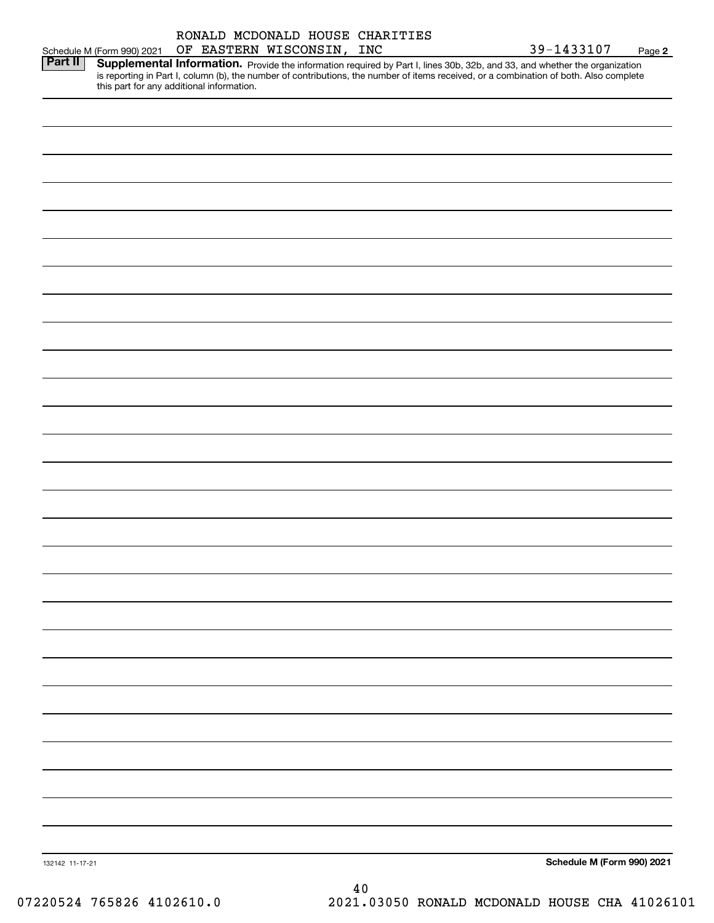|                 |                                           |  | OF EASTERN WISCONSIN, INC | RONALD MCDONALD HOUSE CHARITIES | 39-1433107                                                                                                                                                                                                                          | Page 2 |
|-----------------|-------------------------------------------|--|---------------------------|---------------------------------|-------------------------------------------------------------------------------------------------------------------------------------------------------------------------------------------------------------------------------------|--------|
| <b>Part II</b>  | Schedule M (Form 990) 2021                |  |                           |                                 |                                                                                                                                                                                                                                     |        |
|                 |                                           |  |                           |                                 | <b>Supplemental Information.</b> Provide the information required by Part I, lines 30b, 32b, and 33, and whether the organization is reporting in Part I, column (b), the number of contributions, the number of items received, or |        |
|                 | this part for any additional information. |  |                           |                                 |                                                                                                                                                                                                                                     |        |
|                 |                                           |  |                           |                                 |                                                                                                                                                                                                                                     |        |
|                 |                                           |  |                           |                                 |                                                                                                                                                                                                                                     |        |
|                 |                                           |  |                           |                                 |                                                                                                                                                                                                                                     |        |
|                 |                                           |  |                           |                                 |                                                                                                                                                                                                                                     |        |
|                 |                                           |  |                           |                                 |                                                                                                                                                                                                                                     |        |
|                 |                                           |  |                           |                                 |                                                                                                                                                                                                                                     |        |
|                 |                                           |  |                           |                                 |                                                                                                                                                                                                                                     |        |
|                 |                                           |  |                           |                                 |                                                                                                                                                                                                                                     |        |
|                 |                                           |  |                           |                                 |                                                                                                                                                                                                                                     |        |
|                 |                                           |  |                           |                                 |                                                                                                                                                                                                                                     |        |
|                 |                                           |  |                           |                                 |                                                                                                                                                                                                                                     |        |
|                 |                                           |  |                           |                                 |                                                                                                                                                                                                                                     |        |
|                 |                                           |  |                           |                                 |                                                                                                                                                                                                                                     |        |
|                 |                                           |  |                           |                                 |                                                                                                                                                                                                                                     |        |
|                 |                                           |  |                           |                                 |                                                                                                                                                                                                                                     |        |
|                 |                                           |  |                           |                                 |                                                                                                                                                                                                                                     |        |
|                 |                                           |  |                           |                                 |                                                                                                                                                                                                                                     |        |
|                 |                                           |  |                           |                                 |                                                                                                                                                                                                                                     |        |
|                 |                                           |  |                           |                                 |                                                                                                                                                                                                                                     |        |
|                 |                                           |  |                           |                                 |                                                                                                                                                                                                                                     |        |
|                 |                                           |  |                           |                                 |                                                                                                                                                                                                                                     |        |
|                 |                                           |  |                           |                                 |                                                                                                                                                                                                                                     |        |
|                 |                                           |  |                           |                                 |                                                                                                                                                                                                                                     |        |
|                 |                                           |  |                           |                                 |                                                                                                                                                                                                                                     |        |
|                 |                                           |  |                           |                                 |                                                                                                                                                                                                                                     |        |
|                 |                                           |  |                           |                                 |                                                                                                                                                                                                                                     |        |
|                 |                                           |  |                           |                                 |                                                                                                                                                                                                                                     |        |
|                 |                                           |  |                           |                                 |                                                                                                                                                                                                                                     |        |
|                 |                                           |  |                           |                                 |                                                                                                                                                                                                                                     |        |
|                 |                                           |  |                           |                                 |                                                                                                                                                                                                                                     |        |
|                 |                                           |  |                           |                                 |                                                                                                                                                                                                                                     |        |
|                 |                                           |  |                           |                                 |                                                                                                                                                                                                                                     |        |
|                 |                                           |  |                           |                                 |                                                                                                                                                                                                                                     |        |
|                 |                                           |  |                           |                                 |                                                                                                                                                                                                                                     |        |
|                 |                                           |  |                           |                                 |                                                                                                                                                                                                                                     |        |
|                 |                                           |  |                           |                                 |                                                                                                                                                                                                                                     |        |
|                 |                                           |  |                           |                                 |                                                                                                                                                                                                                                     |        |
|                 |                                           |  |                           |                                 |                                                                                                                                                                                                                                     |        |
|                 |                                           |  |                           |                                 |                                                                                                                                                                                                                                     |        |
|                 |                                           |  |                           |                                 |                                                                                                                                                                                                                                     |        |
|                 |                                           |  |                           |                                 |                                                                                                                                                                                                                                     |        |
|                 |                                           |  |                           |                                 |                                                                                                                                                                                                                                     |        |
|                 |                                           |  |                           |                                 |                                                                                                                                                                                                                                     |        |
|                 |                                           |  |                           |                                 |                                                                                                                                                                                                                                     |        |
|                 |                                           |  |                           |                                 |                                                                                                                                                                                                                                     |        |
|                 |                                           |  |                           |                                 |                                                                                                                                                                                                                                     |        |
| 132142 11-17-21 |                                           |  |                           |                                 | Schedule M (Form 990) 2021                                                                                                                                                                                                          |        |
|                 |                                           |  |                           |                                 |                                                                                                                                                                                                                                     |        |
|                 |                                           |  |                           | 40                              |                                                                                                                                                                                                                                     |        |
|                 | 07220524 765826 4102610.0                 |  |                           |                                 | 2021.03050 RONALD MCDONALD HOUSE CHA 41026101                                                                                                                                                                                       |        |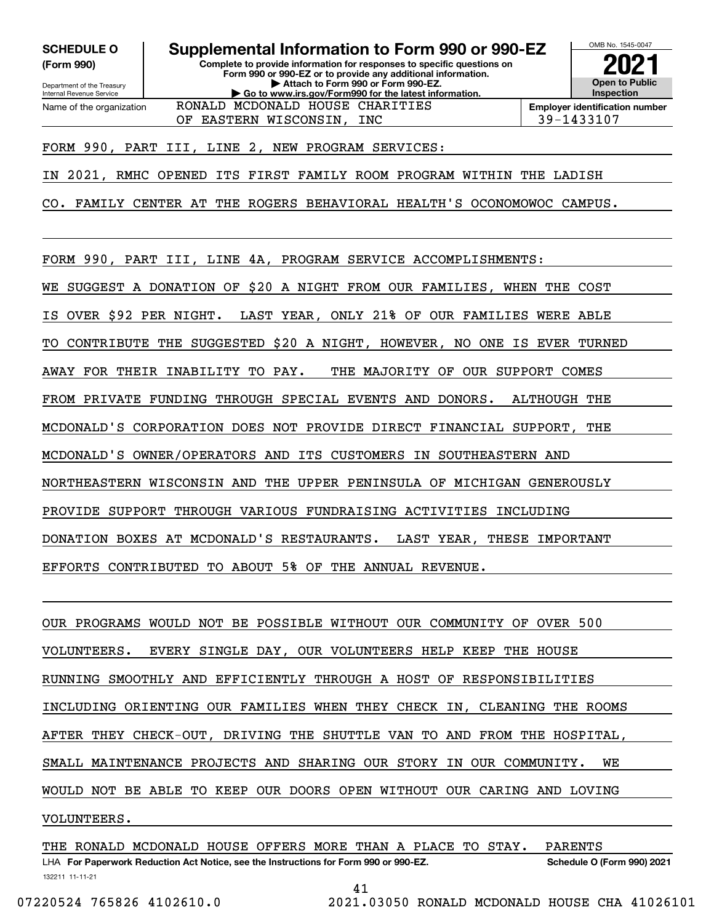**(Form 990)**

Department of the Treasury Internal Revenue Service Name of the organization

**Complete to provide information for responses to specific questions on Form 990 or 990-EZ or to provide any additional information. | Attach to Form 990 or Form 990-EZ. | Go to www.irs.gov/Form990 for the latest information. SCHEDULE O Supplemental Information to Form 990 or 990-EZ** OF EASTERN WISCONSIN, INC  $\vert$  39-1433107 RONALD MCDONALD HOUSE CHARITIES



FORM 990, PART III, LINE 2, NEW PROGRAM SERVICES:

IN 2021, RMHC OPENED ITS FIRST FAMILY ROOM PROGRAM WITHIN THE LADISH

CO. FAMILY CENTER AT THE ROGERS BEHAVIORAL HEALTH'S OCONOMOWOC CAMPUS.

FORM 990, PART III, LINE 4A, PROGRAM SERVICE ACCOMPLISHMENTS:

WE SUGGEST A DONATION OF \$20 A NIGHT FROM OUR FAMILIES, WHEN THE COST

IS OVER \$92 PER NIGHT. LAST YEAR, ONLY 21% OF OUR FAMILIES WERE ABLE

TO CONTRIBUTE THE SUGGESTED \$20 A NIGHT, HOWEVER, NO ONE IS EVER TURNED

AWAY FOR THEIR INABILITY TO PAY. THE MAJORITY OF OUR SUPPORT COMES

FROM PRIVATE FUNDING THROUGH SPECIAL EVENTS AND DONORS. ALTHOUGH THE

MCDONALD'S CORPORATION DOES NOT PROVIDE DIRECT FINANCIAL SUPPORT, THE

MCDONALD'S OWNER/OPERATORS AND ITS CUSTOMERS IN SOUTHEASTERN AND

NORTHEASTERN WISCONSIN AND THE UPPER PENINSULA OF MICHIGAN GENEROUSLY

PROVIDE SUPPORT THROUGH VARIOUS FUNDRAISING ACTIVITIES INCLUDING

DONATION BOXES AT MCDONALD'S RESTAURANTS. LAST YEAR, THESE IMPORTANT

EFFORTS CONTRIBUTED TO ABOUT 5% OF THE ANNUAL REVENUE.

OUR PROGRAMS WOULD NOT BE POSSIBLE WITHOUT OUR COMMUNITY OF OVER 500 VOLUNTEERS. EVERY SINGLE DAY, OUR VOLUNTEERS HELP KEEP THE HOUSE RUNNING SMOOTHLY AND EFFICIENTLY THROUGH A HOST OF RESPONSIBILITIES INCLUDING ORIENTING OUR FAMILIES WHEN THEY CHECK IN, CLEANING THE ROOMS AFTER THEY CHECK-OUT, DRIVING THE SHUTTLE VAN TO AND FROM THE HOSPITAL, SMALL MAINTENANCE PROJECTS AND SHARING OUR STORY IN OUR COMMUNITY. WE WOULD NOT BE ABLE TO KEEP OUR DOORS OPEN WITHOUT OUR CARING AND LOVING VOLUNTEERS.

132211 11-11-21 LHA For Paperwork Reduction Act Notice, see the Instructions for Form 990 or 990-EZ. Schedule O (Form 990) 2021 THE RONALD MCDONALD HOUSE OFFERS MORE THAN A PLACE TO STAY. PARENTS

41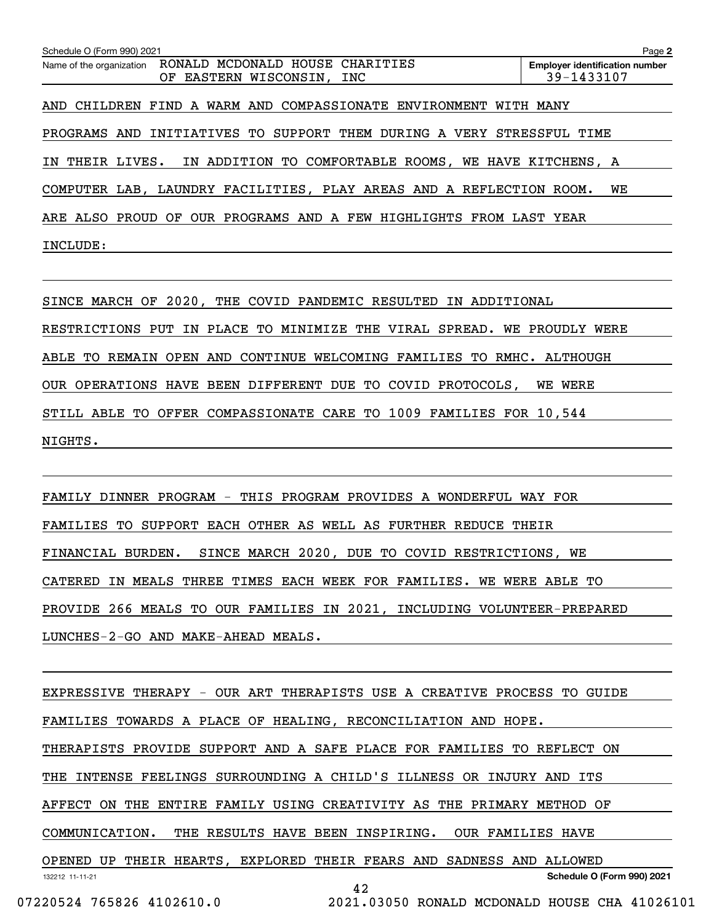**2Employer identification number** Schedule O (Form 990) 2021 Page Name of the organization RONALD MCDONALD HOUSE CHARITIES AND CHILDREN FIND A WARM AND COMPASSIONATE ENVIRONMENT WITH MANY PROGRAMS AND INITIATIVES TO SUPPORT THEM DURING A VERY STRESSFUL TIME IN THEIR LIVES. IN ADDITION TO COMFORTABLE ROOMS, WE HAVE KITCHENS, A COMPUTER LAB, LAUNDRY FACILITIES, PLAY AREAS AND A REFLECTION ROOM. WE ARE ALSO PROUD OF OUR PROGRAMS AND A FEW HIGHLIGHTS FROM LAST YEAR INCLUDE: OF EASTERN WISCONSIN, INC  $\vert$  39-1433107

SINCE MARCH OF 2020, THE COVID PANDEMIC RESULTED IN ADDITIONAL RESTRICTIONS PUT IN PLACE TO MINIMIZE THE VIRAL SPREAD. WE PROUDLY WERE ABLE TO REMAIN OPEN AND CONTINUE WELCOMING FAMILIES TO RMHC. ALTHOUGH OUR OPERATIONS HAVE BEEN DIFFERENT DUE TO COVID PROTOCOLS, WE WERE STILL ABLE TO OFFER COMPASSIONATE CARE TO 1009 FAMILIES FOR 10,544 NIGHTS.

FAMILY DINNER PROGRAM - THIS PROGRAM PROVIDES A WONDERFUL WAY FOR FAMILIES TO SUPPORT EACH OTHER AS WELL AS FURTHER REDUCE THEIR FINANCIAL BURDEN. SINCE MARCH 2020, DUE TO COVID RESTRICTIONS, WE CATERED IN MEALS THREE TIMES EACH WEEK FOR FAMILIES. WE WERE ABLE TO PROVIDE 266 MEALS TO OUR FAMILIES IN 2021, INCLUDING VOLUNTEER-PREPARED LUNCHES-2-GO AND MAKE-AHEAD MEALS.

132212 11-11-21 **Schedule O (Form 990) 2021** EXPRESSIVE THERAPY - OUR ART THERAPISTS USE A CREATIVE PROCESS TO GUIDE FAMILIES TOWARDS A PLACE OF HEALING, RECONCILIATION AND HOPE. THERAPISTS PROVIDE SUPPORT AND A SAFE PLACE FOR FAMILIES TO REFLECT ON THE INTENSE FEELINGS SURROUNDING A CHILD'S ILLNESS OR INJURY AND ITS AFFECT ON THE ENTIRE FAMILY USING CREATIVITY AS THE PRIMARY METHOD OF COMMUNICATION. THE RESULTS HAVE BEEN INSPIRING. OUR FAMILIES HAVE OPENED UP THEIR HEARTS, EXPLORED THEIR FEARS AND SADNESS AND ALLOWED 42

 <sup>07220524 765826 4102610.0 2021.03050</sup> RONALD MCDONALD HOUSE CHA 41026101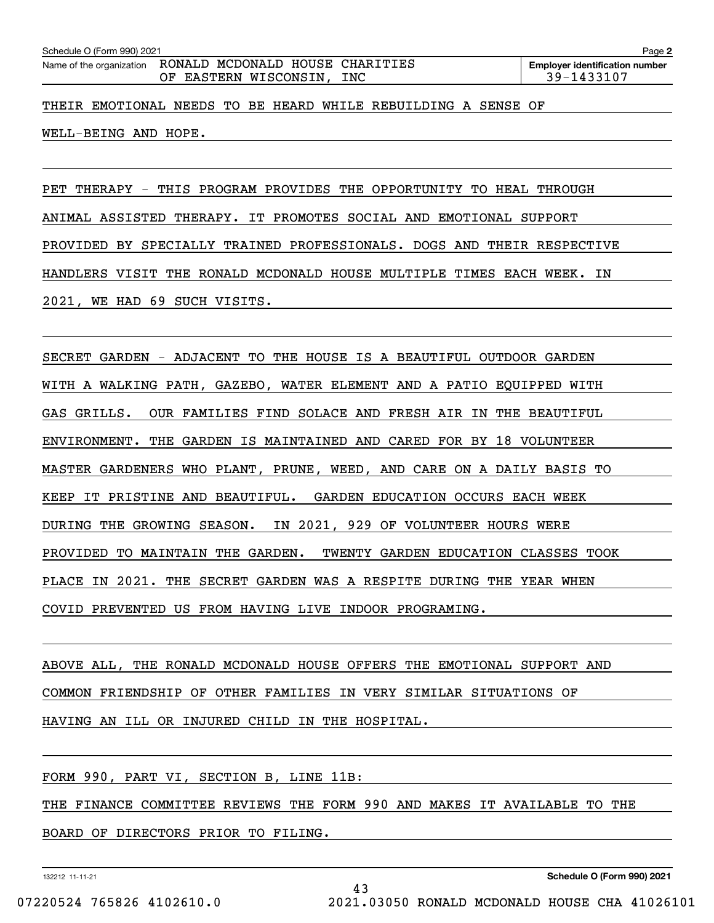THEIR EMOTIONAL NEEDS TO BE HEARD WHILE REBUILDING A SENSE OF

## WELL-BEING AND HOPE.

PET THERAPY - THIS PROGRAM PROVIDES THE OPPORTUNITY TO HEAL THROUGH ANIMAL ASSISTED THERAPY. IT PROMOTES SOCIAL AND EMOTIONAL SUPPORT PROVIDED BY SPECIALLY TRAINED PROFESSIONALS. DOGS AND THEIR RESPECTIVE HANDLERS VISIT THE RONALD MCDONALD HOUSE MULTIPLE TIMES EACH WEEK. IN 2021, WE HAD 69 SUCH VISITS.

SECRET GARDEN - ADJACENT TO THE HOUSE IS A BEAUTIFUL OUTDOOR GARDEN WITH A WALKING PATH, GAZEBO, WATER ELEMENT AND A PATIO EQUIPPED WITH GAS GRILLS. OUR FAMILIES FIND SOLACE AND FRESH AIR IN THE BEAUTIFUL ENVIRONMENT. THE GARDEN IS MAINTAINED AND CARED FOR BY 18 VOLUNTEER MASTER GARDENERS WHO PLANT, PRUNE, WEED, AND CARE ON A DAILY BASIS TO KEEP IT PRISTINE AND BEAUTIFUL. GARDEN EDUCATION OCCURS EACH WEEK DURING THE GROWING SEASON. IN 2021, 929 OF VOLUNTEER HOURS WERE PROVIDED TO MAINTAIN THE GARDEN. TWENTY GARDEN EDUCATION CLASSES TOOK PLACE IN 2021. THE SECRET GARDEN WAS A RESPITE DURING THE YEAR WHEN COVID PREVENTED US FROM HAVING LIVE INDOOR PROGRAMING.

ABOVE ALL, THE RONALD MCDONALD HOUSE OFFERS THE EMOTIONAL SUPPORT AND COMMON FRIENDSHIP OF OTHER FAMILIES IN VERY SIMILAR SITUATIONS OF HAVING AN ILL OR INJURED CHILD IN THE HOSPITAL.

FORM 990, PART VI, SECTION B, LINE 11B:

THE FINANCE COMMITTEE REVIEWS THE FORM 990 AND MAKES IT AVAILABLE TO THE

BOARD OF DIRECTORS PRIOR TO FILING.

132212 11-11-21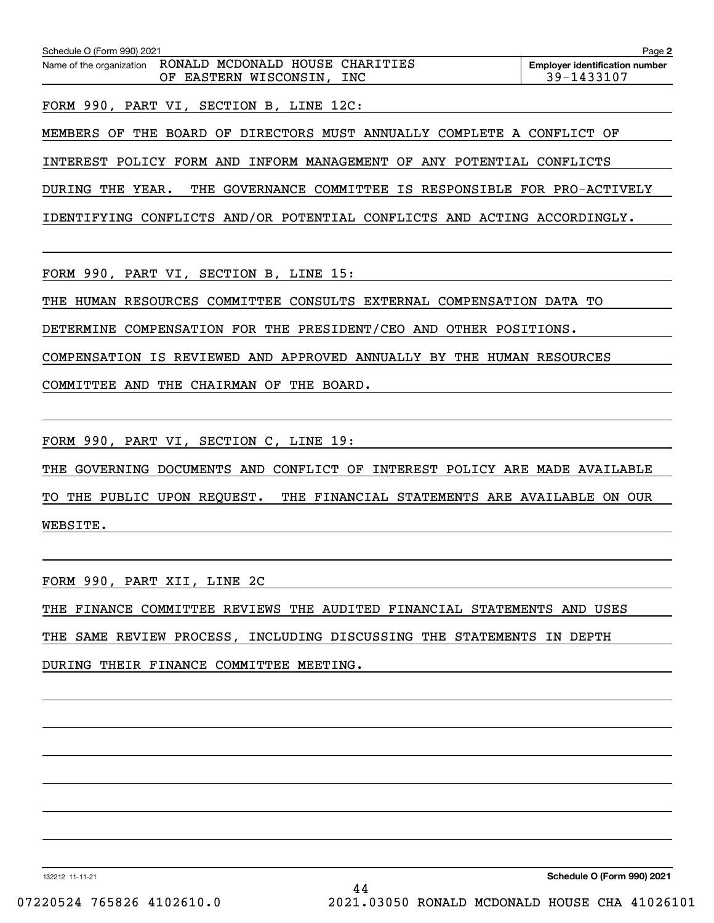| Schedule O (Form 990) 2021                                                               | Page 2                                              |
|------------------------------------------------------------------------------------------|-----------------------------------------------------|
| RONALD MCDONALD HOUSE CHARITIES<br>Name of the organization<br>OF EASTERN WISCONSIN, INC | <b>Employer identification number</b><br>39-1433107 |
| FORM 990, PART VI, SECTION B, LINE 12C:                                                  |                                                     |
| MEMBERS OF THE BOARD OF DIRECTORS MUST ANNUALLY COMPLETE A CONFLICT OF                   |                                                     |

INTEREST POLICY FORM AND INFORM MANAGEMENT OF ANY POTENTIAL CONFLICTS

DURING THE YEAR. THE GOVERNANCE COMMITTEE IS RESPONSIBLE FOR PRO-ACTIVELY

IDENTIFYING CONFLICTS AND/OR POTENTIAL CONFLICTS AND ACTING ACCORDINGLY.

FORM 990, PART VI, SECTION B, LINE 15:

THE HUMAN RESOURCES COMMITTEE CONSULTS EXTERNAL COMPENSATION DATA TO

DETERMINE COMPENSATION FOR THE PRESIDENT/CEO AND OTHER POSITIONS.

COMPENSATION IS REVIEWED AND APPROVED ANNUALLY BY THE HUMAN RESOURCES

COMMITTEE AND THE CHAIRMAN OF THE BOARD.

FORM 990, PART VI, SECTION C, LINE 19:

THE GOVERNING DOCUMENTS AND CONFLICT OF INTEREST POLICY ARE MADE AVAILABLE

TO THE PUBLIC UPON REQUEST. THE FINANCIAL STATEMENTS ARE AVAILABLE ON OUR WEBSITE.

FORM 990, PART XII, LINE 2C

THE FINANCE COMMITTEE REVIEWS THE AUDITED FINANCIAL STATEMENTS AND USES

THE SAME REVIEW PROCESS, INCLUDING DISCUSSING THE STATEMENTS IN DEPTH

DURING THEIR FINANCE COMMITTEE MEETING.

132212 11-11-21